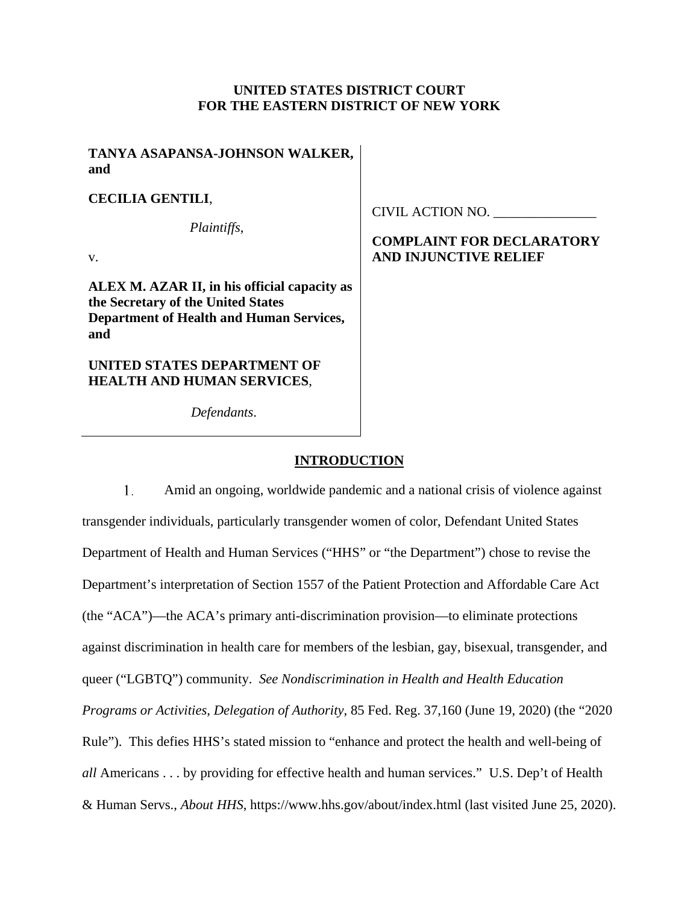### **UNITED STATES DISTRICT COURT FOR THE EASTERN DISTRICT OF NEW YORK**

**TANYA ASAPANSA-JOHNSON WALKER, and** 

**CECILIA GENTILI**,

*Plaintiffs*,

v.

**ALEX M. AZAR II, in his official capacity as the Secretary of the United States Department of Health and Human Services, and** 

**UNITED STATES DEPARTMENT OF HEALTH AND HUMAN SERVICES**,

*Defendants*.

CIVIL ACTION NO. \_\_\_\_\_\_\_\_\_\_\_\_\_\_\_

# **COMPLAINT FOR DECLARATORY AND INJUNCTIVE RELIEF**

### **INTRODUCTION**

Amid an ongoing, worldwide pandemic and a national crisis of violence against transgender individuals, particularly transgender women of color, Defendant United States Department of Health and Human Services ("HHS" or "the Department") chose to revise the Department's interpretation of Section 1557 of the Patient Protection and Affordable Care Act (the "ACA")—the ACA's primary anti-discrimination provision—to eliminate protections against discrimination in health care for members of the lesbian, gay, bisexual, transgender, and queer ("LGBTQ") community. *See Nondiscrimination in Health and Health Education Programs or Activities, Delegation of Authority*, 85 Fed. Reg. 37,160 (June 19, 2020) (the "2020 Rule"). This defies HHS's stated mission to "enhance and protect the health and well-being of *all* Americans . . . by providing for effective health and human services." U.S. Dep't of Health & Human Servs., *About HHS*, https://www.hhs.gov/about/index.html (last visited June 25, 2020). 1.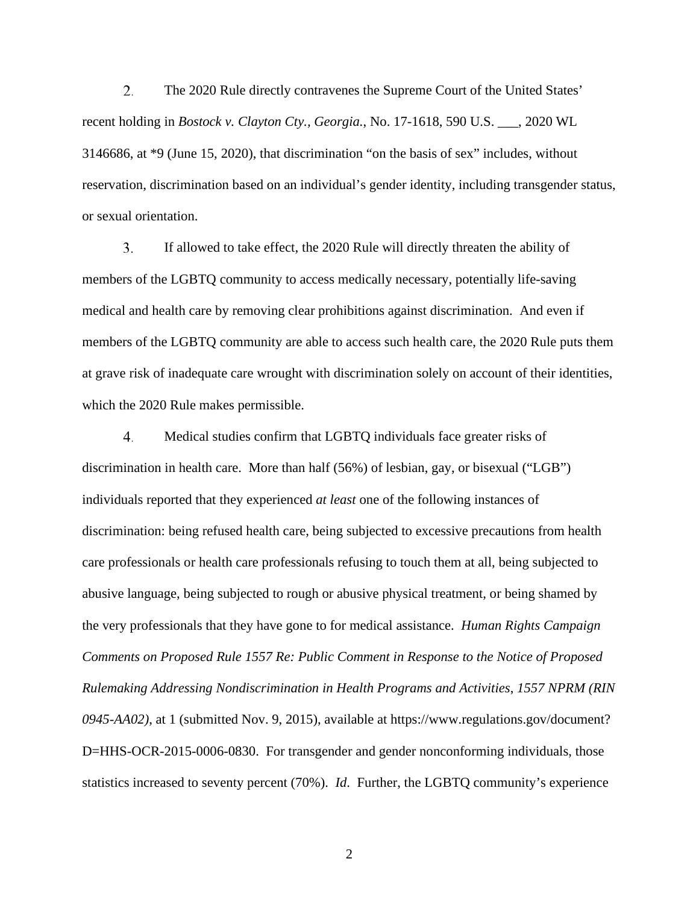The 2020 Rule directly contravenes the Supreme Court of the United States' recent holding in *Bostock v. Clayton Cty., Georgia.*, No. 17-1618, 590 U.S. \_\_\_, 2020 WL 3146686, at \*9 (June 15, 2020), that discrimination "on the basis of sex" includes, without reservation, discrimination based on an individual's gender identity, including transgender status, or sexual orientation. 2.

If allowed to take effect, the 2020 Rule will directly threaten the ability of members of the LGBTQ community to access medically necessary, potentially life-saving medical and health care by removing clear prohibitions against discrimination. And even if members of the LGBTQ community are able to access such health care, the 2020 Rule puts them at grave risk of inadequate care wrought with discrimination solely on account of their identities, which the 2020 Rule makes permissible. 3.

Medical studies confirm that LGBTQ individuals face greater risks of discrimination in health care. More than half (56%) of lesbian, gay, or bisexual ("LGB") individuals reported that they experienced *at least* one of the following instances of discrimination: being refused health care, being subjected to excessive precautions from health care professionals or health care professionals refusing to touch them at all, being subjected to abusive language, being subjected to rough or abusive physical treatment, or being shamed by the very professionals that they have gone to for medical assistance. *Human Rights Campaign Comments on Proposed Rule 1557 Re: Public Comment in Response to the Notice of Proposed Rulemaking Addressing Nondiscrimination in Health Programs and Activities*, *1557 NPRM (RIN 0945-AA02)*, at 1 (submitted Nov. 9, 2015), available at https://www.regulations.gov/document? D=HHS-OCR-2015-0006-0830. For transgender and gender nonconforming individuals, those statistics increased to seventy percent (70%). *Id*. Further, the LGBTQ community's experience 4.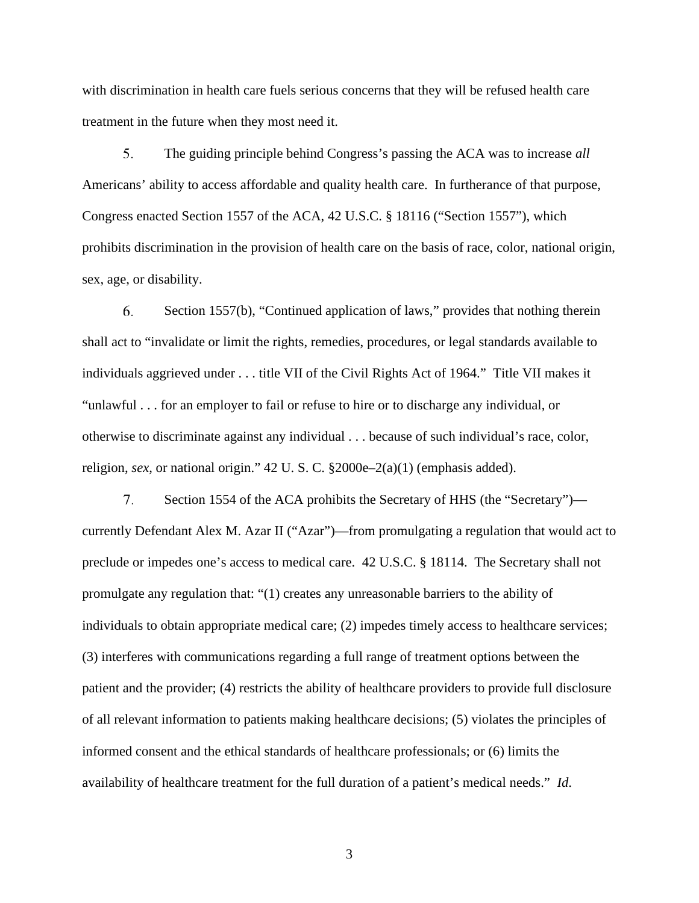with discrimination in health care fuels serious concerns that they will be refused health care treatment in the future when they most need it.

The guiding principle behind Congress's passing the ACA was to increase *all*  Americans' ability to access affordable and quality health care. In furtherance of that purpose, Congress enacted Section 1557 of the ACA, 42 U.S.C. § 18116 ("Section 1557"), which prohibits discrimination in the provision of health care on the basis of race, color, national origin, sex, age, or disability. 5.

Section 1557(b), "Continued application of laws," provides that nothing therein shall act to "invalidate or limit the rights, remedies, procedures, or legal standards available to individuals aggrieved under . . . title VII of the Civil Rights Act of 1964." Title VII makes it "unlawful . . . for an employer to fail or refuse to hire or to discharge any individual, or otherwise to discriminate against any individual . . . because of such individual's race, color, religion, *sex*, or national origin." 42 U. S. C. §2000e–2(a)(1) (emphasis added). 6.

Section 1554 of the ACA prohibits the Secretary of HHS (the "Secretary") currently Defendant Alex M. Azar II ("Azar")—from promulgating a regulation that would act to preclude or impedes one's access to medical care. 42 U.S.C. § 18114. The Secretary shall not promulgate any regulation that: "(1) creates any unreasonable barriers to the ability of individuals to obtain appropriate medical care; (2) impedes timely access to healthcare services; (3) interferes with communications regarding a full range of treatment options between the patient and the provider; (4) restricts the ability of healthcare providers to provide full disclosure of all relevant information to patients making healthcare decisions; (5) violates the principles of informed consent and the ethical standards of healthcare professionals; or (6) limits the availability of healthcare treatment for the full duration of a patient's medical needs." *Id*. 7.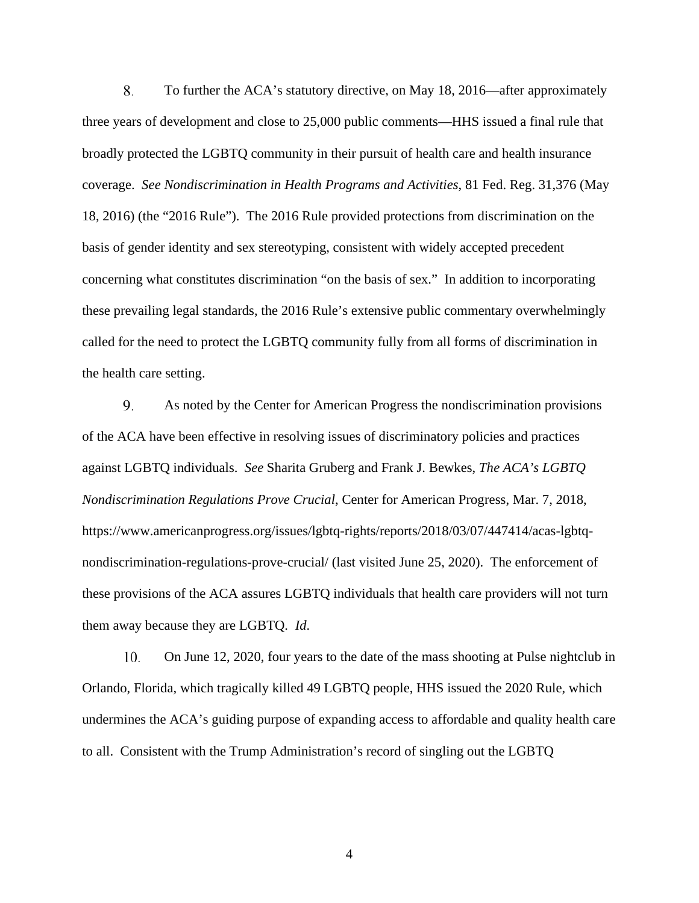To further the ACA's statutory directive, on May 18, 2016—after approximately three years of development and close to 25,000 public comments—HHS issued a final rule that broadly protected the LGBTQ community in their pursuit of health care and health insurance coverage. *See Nondiscrimination in Health Programs and Activities*, 81 Fed. Reg. 31,376 (May 18, 2016) (the "2016 Rule"). The 2016 Rule provided protections from discrimination on the basis of gender identity and sex stereotyping, consistent with widely accepted precedent concerning what constitutes discrimination "on the basis of sex." In addition to incorporating these prevailing legal standards, the 2016 Rule's extensive public commentary overwhelmingly called for the need to protect the LGBTQ community fully from all forms of discrimination in the health care setting. 8.

As noted by the Center for American Progress the nondiscrimination provisions of the ACA have been effective in resolving issues of discriminatory policies and practices against LGBTQ individuals. *See* Sharita Gruberg and Frank J. Bewkes, *The ACA's LGBTQ Nondiscrimination Regulations Prove Crucial*, Center for American Progress, Mar. 7, 2018, https://www.americanprogress.org/issues/lgbtq-rights/reports/2018/03/07/447414/acas-lgbtqnondiscrimination-regulations-prove-crucial/ (last visited June 25, 2020). The enforcement of these provisions of the ACA assures LGBTQ individuals that health care providers will not turn them away because they are LGBTQ. *Id*. 9.

On June 12, 2020, four years to the date of the mass shooting at Pulse nightclub in Orlando, Florida, which tragically killed 49 LGBTQ people, HHS issued the 2020 Rule, which undermines the ACA's guiding purpose of expanding access to affordable and quality health care to all. Consistent with the Trump Administration's record of singling out the LGBTQ **10.**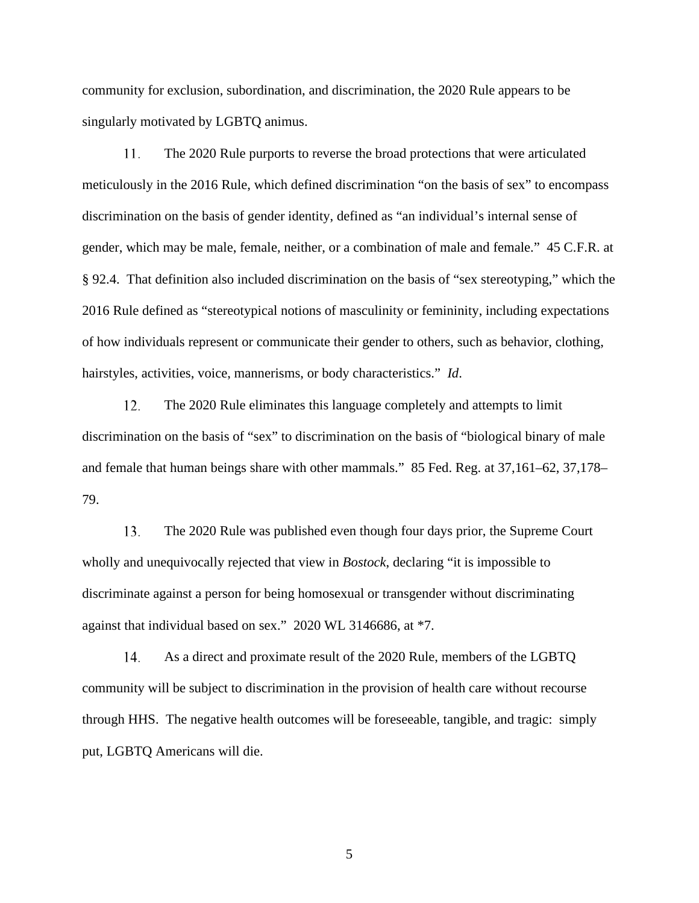community for exclusion, subordination, and discrimination, the 2020 Rule appears to be singularly motivated by LGBTQ animus.

The 2020 Rule purports to reverse the broad protections that were articulated meticulously in the 2016 Rule, which defined discrimination "on the basis of sex" to encompass discrimination on the basis of gender identity, defined as "an individual's internal sense of gender, which may be male, female, neither, or a combination of male and female." 45 C.F.R. at § 92.4. That definition also included discrimination on the basis of "sex stereotyping," which the 2016 Rule defined as "stereotypical notions of masculinity or femininity, including expectations of how individuals represent or communicate their gender to others, such as behavior, clothing, hairstyles, activities, voice, mannerisms, or body characteristics." *Id*. 11.

The 2020 Rule eliminates this language completely and attempts to limit discrimination on the basis of "sex" to discrimination on the basis of "biological binary of male and female that human beings share with other mammals." 85 Fed. Reg. at 37,161–62, 37,178– 79. 12.

The 2020 Rule was published even though four days prior, the Supreme Court wholly and unequivocally rejected that view in *Bostock*, declaring "it is impossible to discriminate against a person for being homosexual or transgender without discriminating against that individual based on sex." 2020 WL 3146686, at \*7. 13.

As a direct and proximate result of the 2020 Rule, members of the LGBTQ community will be subject to discrimination in the provision of health care without recourse through HHS. The negative health outcomes will be foreseeable, tangible, and tragic: simply put, LGBTQ Americans will die. 14.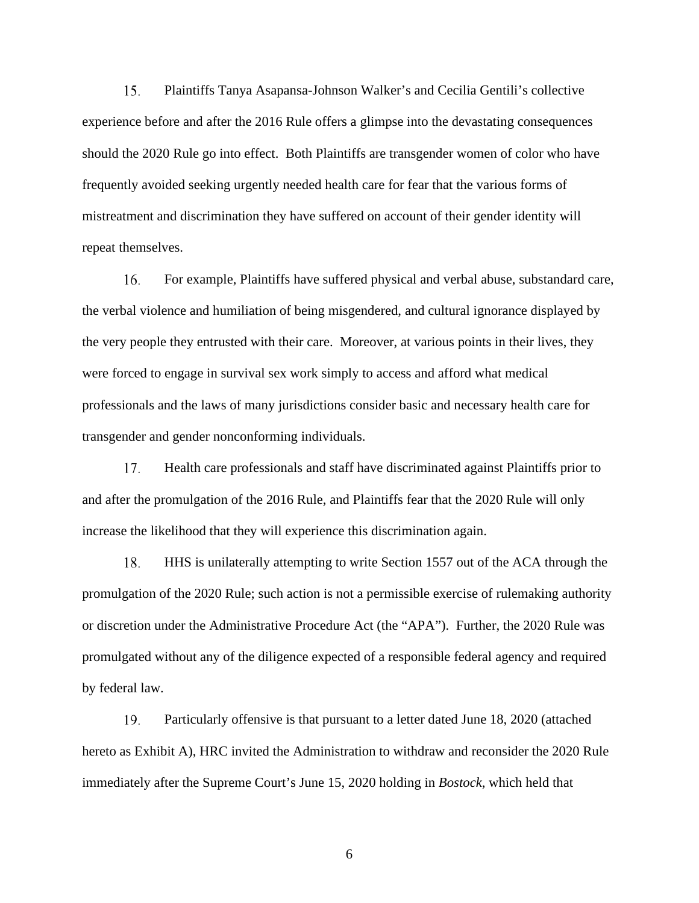Plaintiffs Tanya Asapansa-Johnson Walker's and Cecilia Gentili's collective experience before and after the 2016 Rule offers a glimpse into the devastating consequences should the 2020 Rule go into effect. Both Plaintiffs are transgender women of color who have frequently avoided seeking urgently needed health care for fear that the various forms of mistreatment and discrimination they have suffered on account of their gender identity will repeat themselves. 15.

For example, Plaintiffs have suffered physical and verbal abuse, substandard care, the verbal violence and humiliation of being misgendered, and cultural ignorance displayed by the very people they entrusted with their care. Moreover, at various points in their lives, they were forced to engage in survival sex work simply to access and afford what medical professionals and the laws of many jurisdictions consider basic and necessary health care for transgender and gender nonconforming individuals. 16.

Health care professionals and staff have discriminated against Plaintiffs prior to and after the promulgation of the 2016 Rule, and Plaintiffs fear that the 2020 Rule will only increase the likelihood that they will experience this discrimination again. 17.

HHS is unilaterally attempting to write Section 1557 out of the ACA through the promulgation of the 2020 Rule; such action is not a permissible exercise of rulemaking authority or discretion under the Administrative Procedure Act (the "APA"). Further, the 2020 Rule was promulgated without any of the diligence expected of a responsible federal agency and required by federal law. I 8.

Particularly offensive is that pursuant to a letter dated June 18, 2020 (attached hereto as Exhibit A), HRC invited the Administration to withdraw and reconsider the 2020 Rule immediately after the Supreme Court's June 15, 2020 holding in *Bostock*, which held that 19.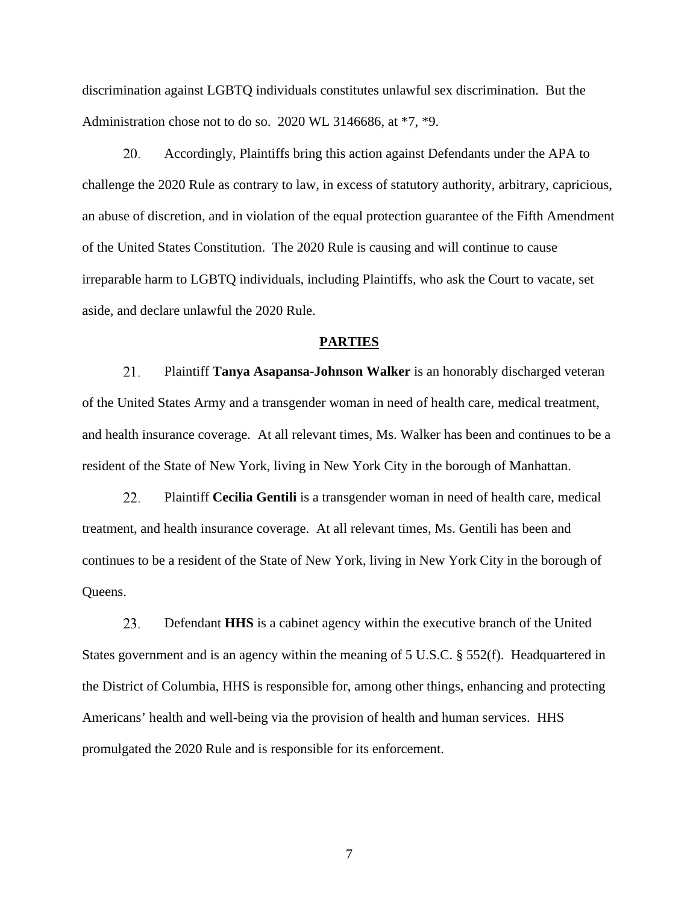discrimination against LGBTQ individuals constitutes unlawful sex discrimination. But the Administration chose not to do so. 2020 WL 3146686, at \*7, \*9.

Accordingly, Plaintiffs bring this action against Defendants under the APA to challenge the 2020 Rule as contrary to law, in excess of statutory authority, arbitrary, capricious, an abuse of discretion, and in violation of the equal protection guarantee of the Fifth Amendment of the United States Constitution. The 2020 Rule is causing and will continue to cause irreparable harm to LGBTQ individuals, including Plaintiffs, who ask the Court to vacate, set aside, and declare unlawful the 2020 Rule. **20.** 

#### **PARTIES**

Plaintiff **Tanya Asapansa-Johnson Walker** is an honorably discharged veteran of the United States Army and a transgender woman in need of health care, medical treatment, and health insurance coverage. At all relevant times, Ms. Walker has been and continues to be a resident of the State of New York, living in New York City in the borough of Manhattan. 21.

Plaintiff **Cecilia Gentili** is a transgender woman in need of health care, medical treatment, and health insurance coverage. At all relevant times, Ms. Gentili has been and continues to be a resident of the State of New York, living in New York City in the borough of Queens. **22.** 

Defendant **HHS** is a cabinet agency within the executive branch of the United States government and is an agency within the meaning of 5 U.S.C. § 552(f). Headquartered in the District of Columbia, HHS is responsible for, among other things, enhancing and protecting Americans' health and well-being via the provision of health and human services. HHS promulgated the 2020 Rule and is responsible for its enforcement. **23.**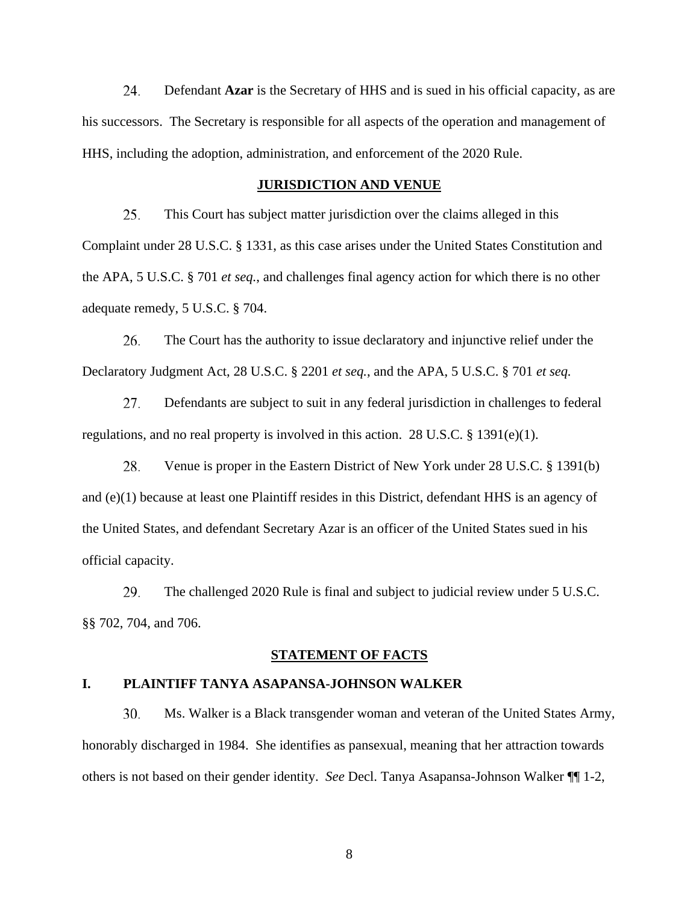Defendant **Azar** is the Secretary of HHS and is sued in his official capacity, as are his successors. The Secretary is responsible for all aspects of the operation and management of HHS, including the adoption, administration, and enforcement of the 2020 Rule. 24.

#### **JURISDICTION AND VENUE**

This Court has subject matter jurisdiction over the claims alleged in this Complaint under 28 U.S.C. § 1331, as this case arises under the United States Constitution and the APA, 5 U.S.C. § 701 *et seq.*, and challenges final agency action for which there is no other adequate remedy, 5 U.S.C. § 704. 25.

The Court has the authority to issue declaratory and injunctive relief under the Declaratory Judgment Act, 28 U.S.C. § 2201 *et seq.*, and the APA, 5 U.S.C. § 701 *et seq.* 26.

Defendants are subject to suit in any federal jurisdiction in challenges to federal regulations, and no real property is involved in this action. 28 U.S.C. § 1391(e)(1). 27.

Venue is proper in the Eastern District of New York under 28 U.S.C. § 1391(b) and (e)(1) because at least one Plaintiff resides in this District, defendant HHS is an agency of the United States, and defendant Secretary Azar is an officer of the United States sued in his official capacity. 28.

The challenged 2020 Rule is final and subject to judicial review under 5 U.S.C. §§ 702, 704, and 706. 29.

### **STATEMENT OF FACTS**

### **I. PLAINTIFF TANYA ASAPANSA-JOHNSON WALKER**

Ms. Walker is a Black transgender woman and veteran of the United States Army, honorably discharged in 1984. She identifies as pansexual, meaning that her attraction towards others is not based on their gender identity. *See* Decl. Tanya Asapansa-Johnson Walker ¶¶ 1-2, 30.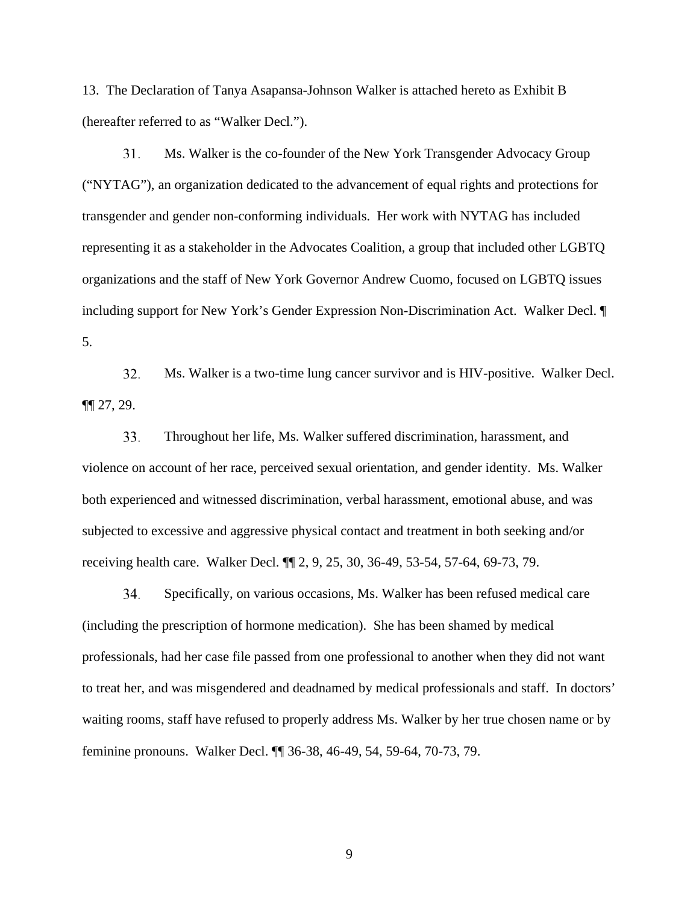13. The Declaration of Tanya Asapansa-Johnson Walker is attached hereto as Exhibit B (hereafter referred to as "Walker Decl.").

Ms. Walker is the co-founder of the New York Transgender Advocacy Group ("NYTAG"), an organization dedicated to the advancement of equal rights and protections for transgender and gender non-conforming individuals. Her work with NYTAG has included representing it as a stakeholder in the Advocates Coalition, a group that included other LGBTQ organizations and the staff of New York Governor Andrew Cuomo, focused on LGBTQ issues including support for New York's Gender Expression Non-Discrimination Act. Walker Decl. ¶ 5. 3 1.

Ms. Walker is a two-time lung cancer survivor and is HIV-positive. Walker Decl. ¶¶ 27, 29. 32.

Throughout her life, Ms. Walker suffered discrimination, harassment, and violence on account of her race, perceived sexual orientation, and gender identity. Ms. Walker both experienced and witnessed discrimination, verbal harassment, emotional abuse, and was subjected to excessive and aggressive physical contact and treatment in both seeking and/or receiving health care. Walker Decl. ¶¶ 2, 9, 25, 30, 36-49, 53-54, 57-64, 69-73, 79. 33.

Specifically, on various occasions, Ms. Walker has been refused medical care (including the prescription of hormone medication). She has been shamed by medical professionals, had her case file passed from one professional to another when they did not want to treat her, and was misgendered and deadnamed by medical professionals and staff. In doctors' waiting rooms, staff have refused to properly address Ms. Walker by her true chosen name or by feminine pronouns. Walker Decl. ¶¶ 36-38, 46-49, 54, 59-64, 70-73, 79. 34.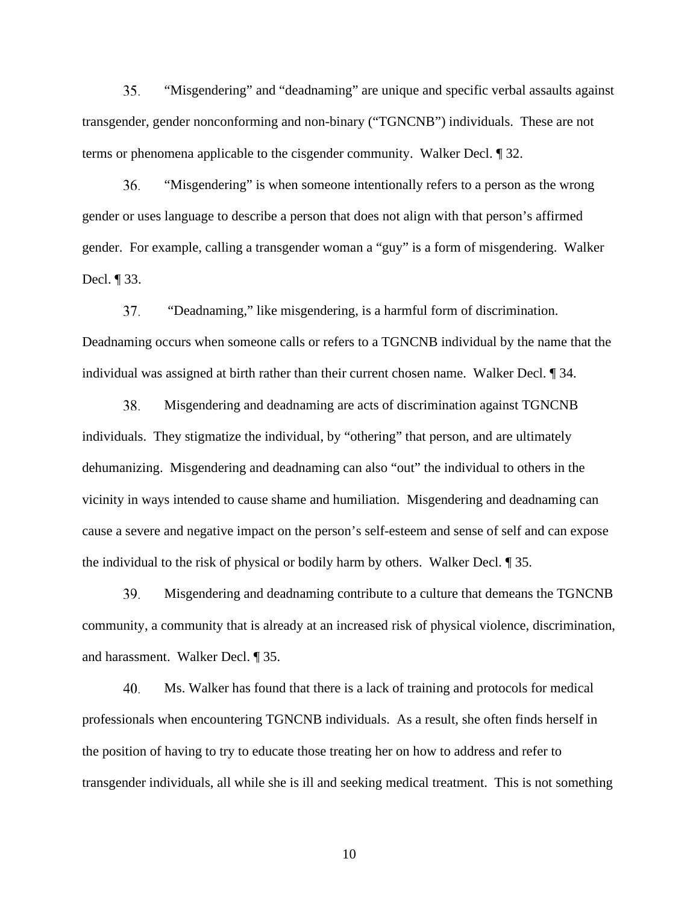"Misgendering" and "deadnaming" are unique and specific verbal assaults against transgender, gender nonconforming and non-binary ("TGNCNB") individuals. These are not terms or phenomena applicable to the cisgender community. Walker Decl. ¶ 32. 35.

"Misgendering" is when someone intentionally refers to a person as the wrong gender or uses language to describe a person that does not align with that person's affirmed gender. For example, calling a transgender woman a "guy" is a form of misgendering. Walker Decl. ¶ 33. 36.

 "Deadnaming," like misgendering, is a harmful form of discrimination. Deadnaming occurs when someone calls or refers to a TGNCNB individual by the name that the individual was assigned at birth rather than their current chosen name. Walker Decl. ¶ 34. 37.

Misgendering and deadnaming are acts of discrimination against TGNCNB individuals. They stigmatize the individual, by "othering" that person, and are ultimately dehumanizing. Misgendering and deadnaming can also "out" the individual to others in the vicinity in ways intended to cause shame and humiliation. Misgendering and deadnaming can cause a severe and negative impact on the person's self-esteem and sense of self and can expose the individual to the risk of physical or bodily harm by others. Walker Decl. ¶ 35. 38.

Misgendering and deadnaming contribute to a culture that demeans the TGNCNB community, a community that is already at an increased risk of physical violence, discrimination, and harassment. Walker Decl. ¶ 35. 39.

Ms. Walker has found that there is a lack of training and protocols for medical professionals when encountering TGNCNB individuals. As a result, she often finds herself in the position of having to try to educate those treating her on how to address and refer to transgender individuals, all while she is ill and seeking medical treatment. This is not something 40.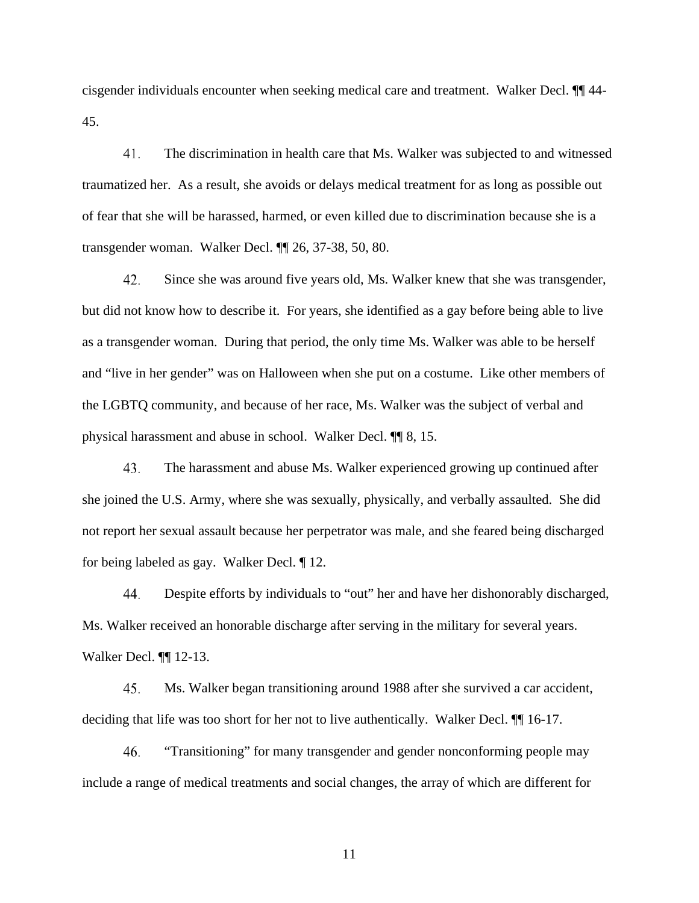cisgender individuals encounter when seeking medical care and treatment. Walker Decl. ¶¶ 44- 45.

The discrimination in health care that Ms. Walker was subjected to and witnessed traumatized her. As a result, she avoids or delays medical treatment for as long as possible out of fear that she will be harassed, harmed, or even killed due to discrimination because she is a transgender woman. Walker Decl. ¶¶ 26, 37-38, 50, 80. 41.

Since she was around five years old, Ms. Walker knew that she was transgender, but did not know how to describe it. For years, she identified as a gay before being able to live as a transgender woman. During that period, the only time Ms. Walker was able to be herself and "live in her gender" was on Halloween when she put on a costume. Like other members of the LGBTQ community, and because of her race, Ms. Walker was the subject of verbal and physical harassment and abuse in school. Walker Decl. ¶¶ 8, 15. 42.

The harassment and abuse Ms. Walker experienced growing up continued after she joined the U.S. Army, where she was sexually, physically, and verbally assaulted. She did not report her sexual assault because her perpetrator was male, and she feared being discharged for being labeled as gay. Walker Decl. ¶ 12. 43.

Despite efforts by individuals to "out" her and have her dishonorably discharged, Ms. Walker received an honorable discharge after serving in the military for several years. Walker Decl. ¶¶ 12-13. 44.

Ms. Walker began transitioning around 1988 after she survived a car accident, deciding that life was too short for her not to live authentically. Walker Decl. ¶¶ 16-17. 45.

"Transitioning" for many transgender and gender nonconforming people may include a range of medical treatments and social changes, the array of which are different for 46.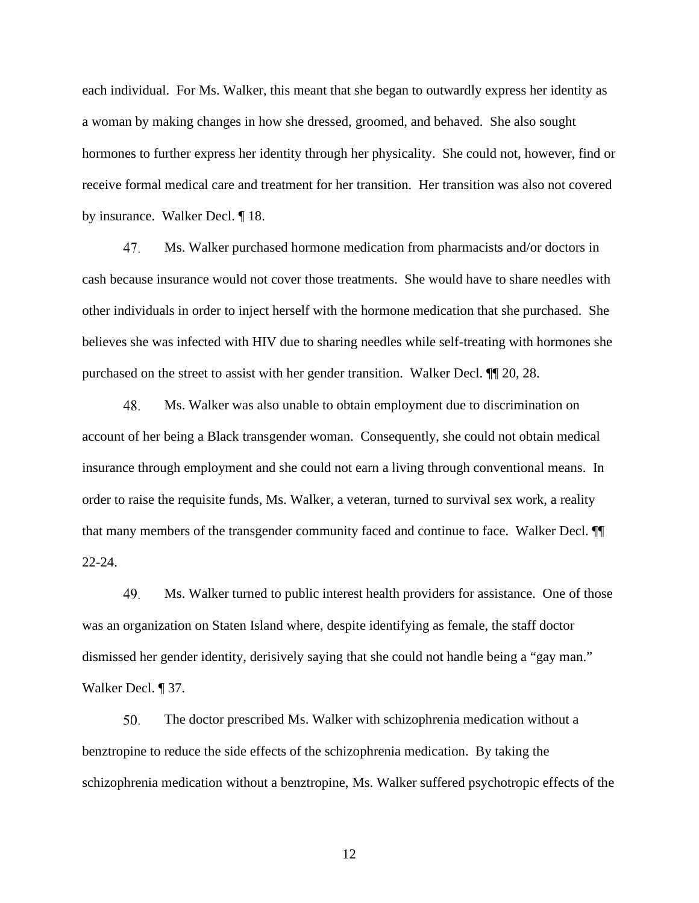each individual. For Ms. Walker, this meant that she began to outwardly express her identity as a woman by making changes in how she dressed, groomed, and behaved. She also sought hormones to further express her identity through her physicality. She could not, however, find or receive formal medical care and treatment for her transition. Her transition was also not covered by insurance. Walker Decl. ¶ 18.

Ms. Walker purchased hormone medication from pharmacists and/or doctors in cash because insurance would not cover those treatments. She would have to share needles with other individuals in order to inject herself with the hormone medication that she purchased. She believes she was infected with HIV due to sharing needles while self-treating with hormones she purchased on the street to assist with her gender transition. Walker Decl. ¶¶ 20, 28. 47.

Ms. Walker was also unable to obtain employment due to discrimination on account of her being a Black transgender woman. Consequently, she could not obtain medical insurance through employment and she could not earn a living through conventional means. In order to raise the requisite funds, Ms. Walker, a veteran, turned to survival sex work, a reality that many members of the transgender community faced and continue to face. Walker Decl. ¶¶ 22-24. 48.

Ms. Walker turned to public interest health providers for assistance. One of those was an organization on Staten Island where, despite identifying as female, the staff doctor dismissed her gender identity, derisively saying that she could not handle being a "gay man." Walker Decl. ¶ 37. 49.

The doctor prescribed Ms. Walker with schizophrenia medication without a benztropine to reduce the side effects of the schizophrenia medication. By taking the schizophrenia medication without a benztropine, Ms. Walker suffered psychotropic effects of the 50.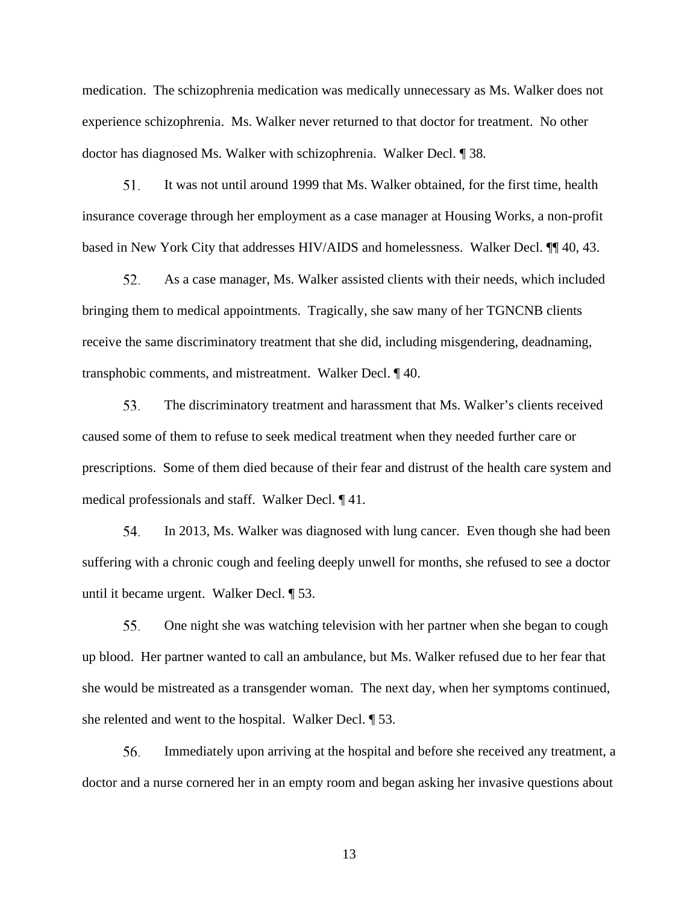medication. The schizophrenia medication was medically unnecessary as Ms. Walker does not experience schizophrenia. Ms. Walker never returned to that doctor for treatment. No other doctor has diagnosed Ms. Walker with schizophrenia. Walker Decl. ¶ 38*.*

It was not until around 1999 that Ms. Walker obtained, for the first time, health insurance coverage through her employment as a case manager at Housing Works, a non-profit based in New York City that addresses HIV/AIDS and homelessness. Walker Decl. ¶¶ 40, 43. 51.

As a case manager, Ms. Walker assisted clients with their needs, which included bringing them to medical appointments. Tragically, she saw many of her TGNCNB clients receive the same discriminatory treatment that she did, including misgendering, deadnaming, transphobic comments, and mistreatment. Walker Decl. ¶ 40. 52.

The discriminatory treatment and harassment that Ms. Walker's clients received caused some of them to refuse to seek medical treatment when they needed further care or prescriptions. Some of them died because of their fear and distrust of the health care system and medical professionals and staff. Walker Decl. ¶ 41. 53.

In 2013, Ms. Walker was diagnosed with lung cancer. Even though she had been suffering with a chronic cough and feeling deeply unwell for months, she refused to see a doctor until it became urgent. Walker Decl. ¶ 53. 54.

One night she was watching television with her partner when she began to cough up blood. Her partner wanted to call an ambulance, but Ms. Walker refused due to her fear that she would be mistreated as a transgender woman. The next day, when her symptoms continued, she relented and went to the hospital. Walker Decl. ¶ 53. 55.

Immediately upon arriving at the hospital and before she received any treatment, a doctor and a nurse cornered her in an empty room and began asking her invasive questions about 56.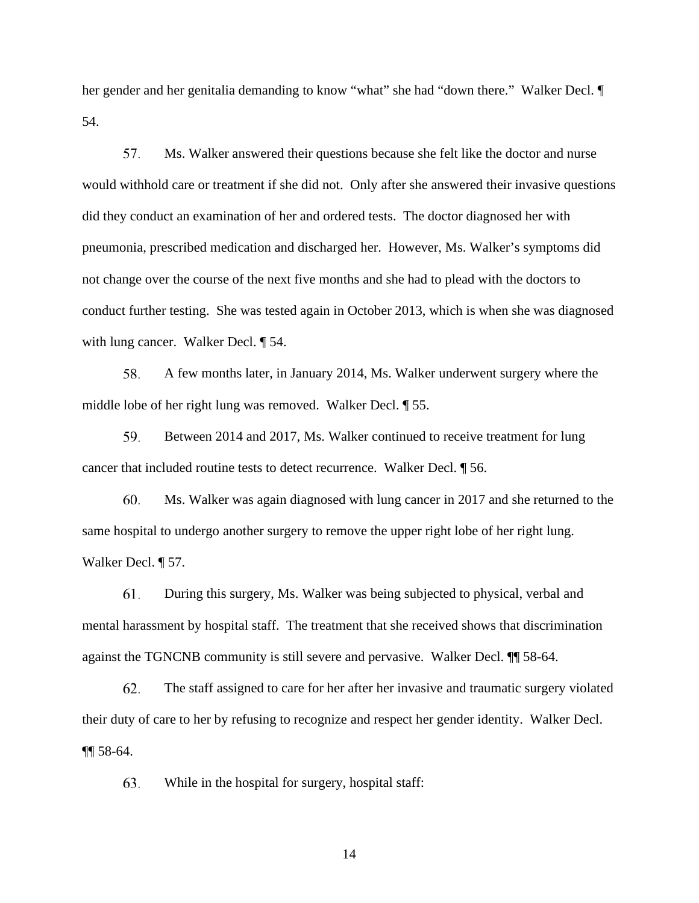her gender and her genitalia demanding to know "what" she had "down there." Walker Decl. ¶ 54.

Ms. Walker answered their questions because she felt like the doctor and nurse would withhold care or treatment if she did not. Only after she answered their invasive questions did they conduct an examination of her and ordered tests. The doctor diagnosed her with pneumonia, prescribed medication and discharged her. However, Ms. Walker's symptoms did not change over the course of the next five months and she had to plead with the doctors to conduct further testing. She was tested again in October 2013, which is when she was diagnosed with lung cancer. Walker Decl. 154. 57.

A few months later, in January 2014, Ms. Walker underwent surgery where the middle lobe of her right lung was removed. Walker Decl. ¶ 55. 58.

Between 2014 and 2017, Ms. Walker continued to receive treatment for lung cancer that included routine tests to detect recurrence. Walker Decl. ¶ 56. 59.

Ms. Walker was again diagnosed with lung cancer in 2017 and she returned to the same hospital to undergo another surgery to remove the upper right lobe of her right lung. Walker Decl. ¶ 57. 60.

During this surgery, Ms. Walker was being subjected to physical, verbal and mental harassment by hospital staff. The treatment that she received shows that discrimination against the TGNCNB community is still severe and pervasive. Walker Decl. ¶¶ 58-64. 61.

The staff assigned to care for her after her invasive and traumatic surgery violated their duty of care to her by refusing to recognize and respect her gender identity. Walker Decl. ¶¶ 58-64. 62.

While in the hospital for surgery, hospital staff: 63.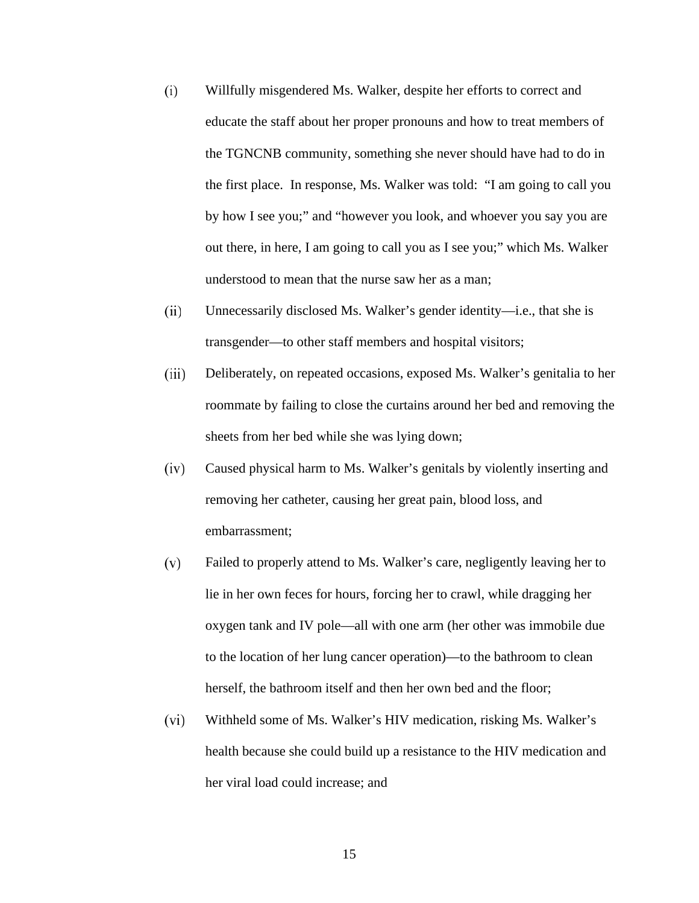- Willfully misgendered Ms. Walker, despite her efforts to correct and educate the staff about her proper pronouns and how to treat members of the TGNCNB community, something she never should have had to do in the first place. In response, Ms. Walker was told: "I am going to call you by how I see you;" and "however you look, and whoever you say you are out there, in here, I am going to call you as I see you;" which Ms. Walker understood to mean that the nurse saw her as a man; (i)
- Unnecessarily disclosed Ms. Walker's gender identity—i.e., that she is transgender—to other staff members and hospital visitors; (ii)
- Deliberately, on repeated occasions, exposed Ms. Walker's genitalia to her roommate by failing to close the curtains around her bed and removing the sheets from her bed while she was lying down; (iii)
- Caused physical harm to Ms. Walker's genitals by violently inserting and removing her catheter, causing her great pain, blood loss, and embarrassment; (iv)
- Failed to properly attend to Ms. Walker's care, negligently leaving her to lie in her own feces for hours, forcing her to crawl, while dragging her oxygen tank and IV pole—all with one arm (her other was immobile due to the location of her lung cancer operation)—to the bathroom to clean herself, the bathroom itself and then her own bed and the floor; (v)
- Withheld some of Ms. Walker's HIV medication, risking Ms. Walker's health because she could build up a resistance to the HIV medication and her viral load could increase; and (vi)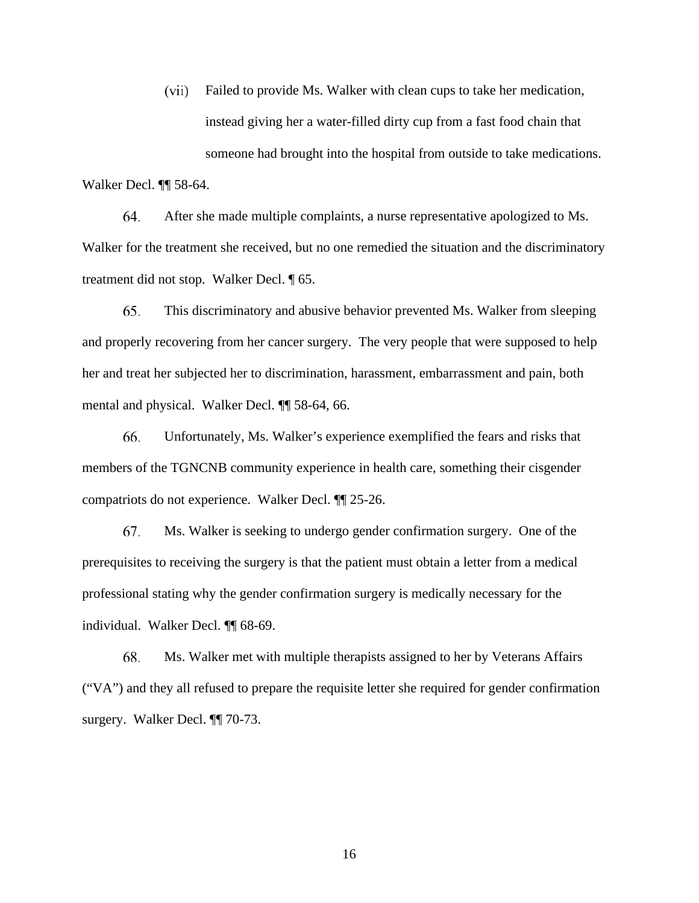Failed to provide Ms. Walker with clean cups to take her medication, instead giving her a water-filled dirty cup from a fast food chain that someone had brought into the hospital from outside to take medications. Walker Decl. ¶¶ 58-64. (vii)

After she made multiple complaints, a nurse representative apologized to Ms. Walker for the treatment she received, but no one remedied the situation and the discriminatory treatment did not stop. Walker Decl. ¶ 65. 64.

This discriminatory and abusive behavior prevented Ms. Walker from sleeping and properly recovering from her cancer surgery. The very people that were supposed to help her and treat her subjected her to discrimination, harassment, embarrassment and pain, both mental and physical. Walker Decl. ¶¶ 58-64, 66. 65.

Unfortunately, Ms. Walker's experience exemplified the fears and risks that members of the TGNCNB community experience in health care, something their cisgender compatriots do not experience. Walker Decl. ¶¶ 25-26. 66.

Ms. Walker is seeking to undergo gender confirmation surgery. One of the prerequisites to receiving the surgery is that the patient must obtain a letter from a medical professional stating why the gender confirmation surgery is medically necessary for the individual. Walker Decl. ¶¶ 68-69. 67.

Ms. Walker met with multiple therapists assigned to her by Veterans Affairs ("VA") and they all refused to prepare the requisite letter she required for gender confirmation surgery. Walker Decl. ¶¶ 70-73. 68.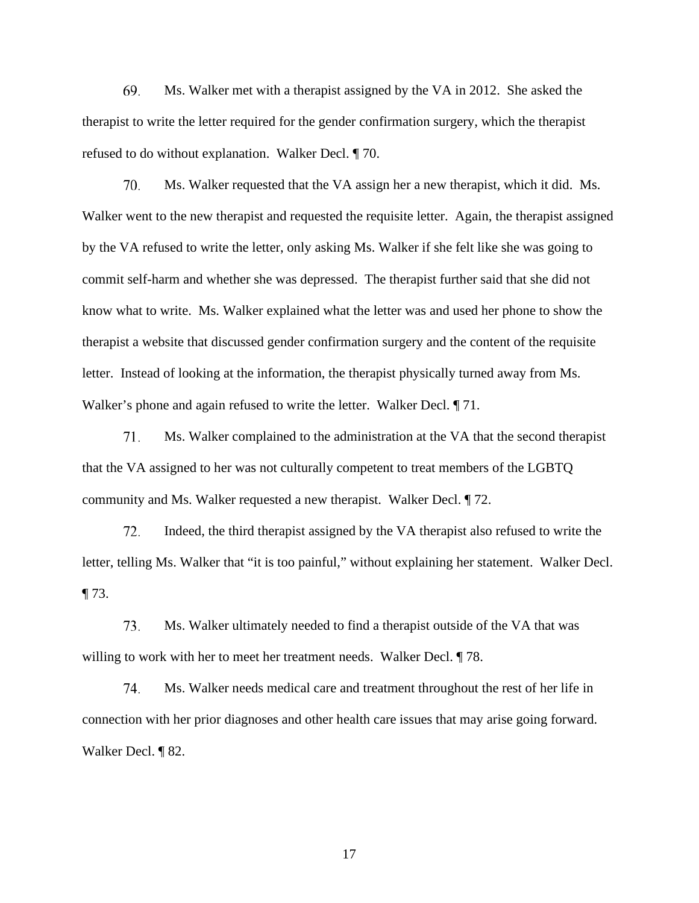Ms. Walker met with a therapist assigned by the VA in 2012. She asked the therapist to write the letter required for the gender confirmation surgery, which the therapist refused to do without explanation. Walker Decl. ¶ 70. 69.

Ms. Walker requested that the VA assign her a new therapist, which it did. Ms. Walker went to the new therapist and requested the requisite letter. Again, the therapist assigned by the VA refused to write the letter, only asking Ms. Walker if she felt like she was going to commit self-harm and whether she was depressed. The therapist further said that she did not know what to write. Ms. Walker explained what the letter was and used her phone to show the therapist a website that discussed gender confirmation surgery and the content of the requisite letter. Instead of looking at the information, the therapist physically turned away from Ms. Walker's phone and again refused to write the letter. Walker Decl. ¶ 71. 70.

Ms. Walker complained to the administration at the VA that the second therapist that the VA assigned to her was not culturally competent to treat members of the LGBTQ community and Ms. Walker requested a new therapist. Walker Decl. ¶ 72. 71.

Indeed, the third therapist assigned by the VA therapist also refused to write the letter, telling Ms. Walker that "it is too painful," without explaining her statement. Walker Decl.  $\P$  73. 72.

Ms. Walker ultimately needed to find a therapist outside of the VA that was willing to work with her to meet her treatment needs. Walker Decl.  $\sqrt{ }$  78. 73.

Ms. Walker needs medical care and treatment throughout the rest of her life in connection with her prior diagnoses and other health care issues that may arise going forward. Walker Decl. ¶ 82. 74.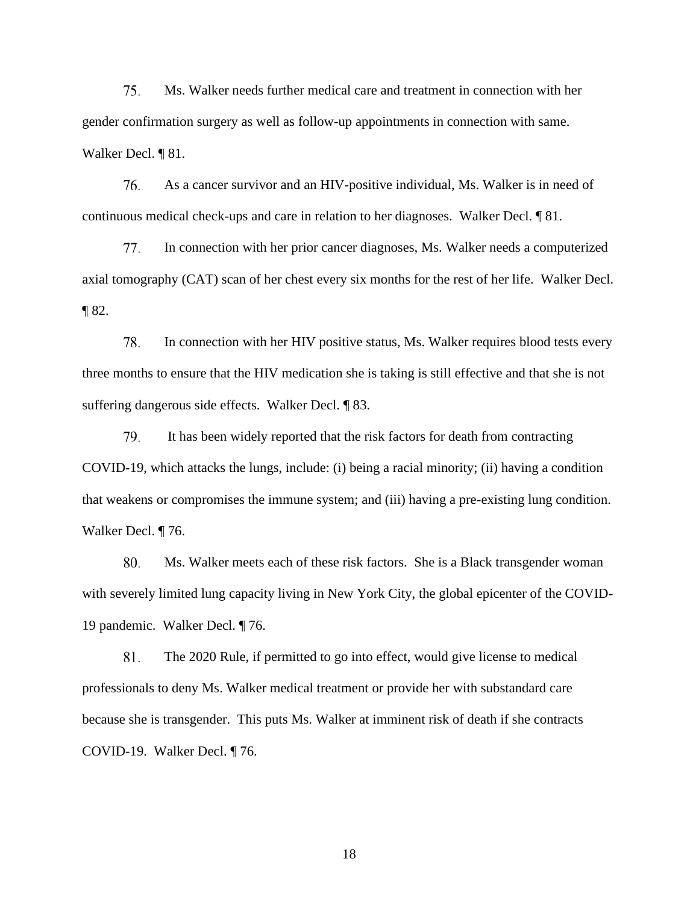Ms. Walker needs further medical care and treatment in connection with her gender confirmation surgery as well as follow-up appointments in connection with same. Walker Decl. ¶ 81. 75.

As a cancer survivor and an HIV-positive individual, Ms. Walker is in need of continuous medical check-ups and care in relation to her diagnoses. Walker Decl. ¶ 81. 76.

In connection with her prior cancer diagnoses, Ms. Walker needs a computerized axial tomography (CAT) scan of her chest every six months for the rest of her life. Walker Decl. ¶ 82. 77.

In connection with her HIV positive status, Ms. Walker requires blood tests every three months to ensure that the HIV medication she is taking is still effective and that she is not suffering dangerous side effects. Walker Decl. ¶ 83. 78.

 It has been widely reported that the risk factors for death from contracting COVID-19, which attacks the lungs, include: (i) being a racial minority; (ii) having a condition that weakens or compromises the immune system; and (iii) having a pre-existing lung condition. Walker Decl. ¶ 76. 79.

Ms. Walker meets each of these risk factors. She is a Black transgender woman with severely limited lung capacity living in New York City, the global epicenter of the COVID-19 pandemic. Walker Decl. ¶ 76. 80.

The 2020 Rule, if permitted to go into effect, would give license to medical professionals to deny Ms. Walker medical treatment or provide her with substandard care because she is transgender. This puts Ms. Walker at imminent risk of death if she contracts COVID-19. Walker Decl. ¶ 76. 81.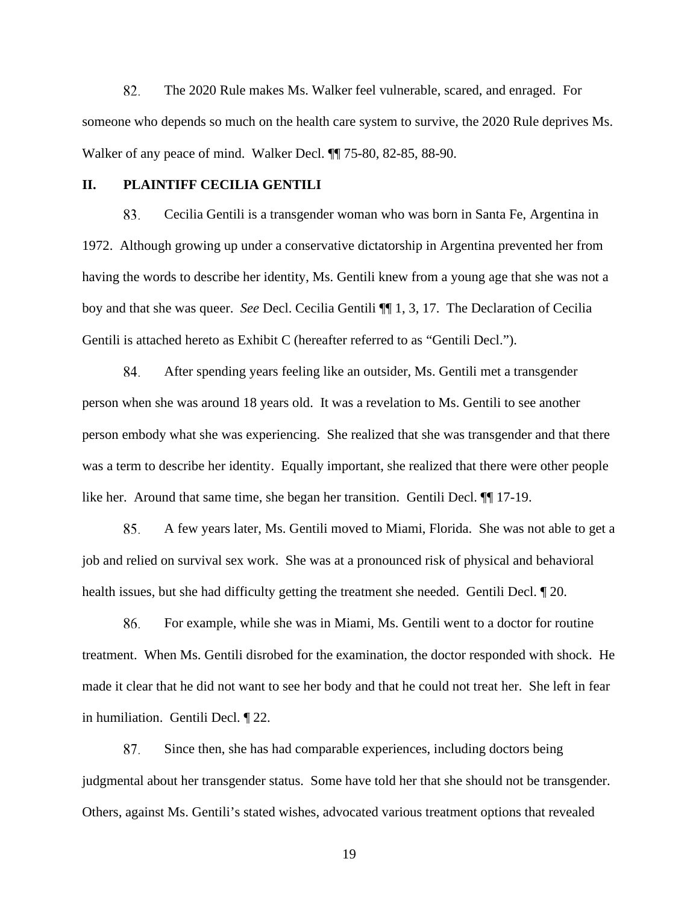The 2020 Rule makes Ms. Walker feel vulnerable, scared, and enraged. For someone who depends so much on the health care system to survive, the 2020 Rule deprives Ms. Walker of any peace of mind. Walker Decl. ¶¶ 75-80, 82-85, 88-90. 82.

# **II. PLAINTIFF CECILIA GENTILI**

Cecilia Gentili is a transgender woman who was born in Santa Fe, Argentina in 1972. Although growing up under a conservative dictatorship in Argentina prevented her from having the words to describe her identity, Ms. Gentili knew from a young age that she was not a boy and that she was queer. *See* Decl. Cecilia Gentili ¶¶ 1, 3, 17. The Declaration of Cecilia Gentili is attached hereto as Exhibit C (hereafter referred to as "Gentili Decl."). 83.

After spending years feeling like an outsider, Ms. Gentili met a transgender person when she was around 18 years old. It was a revelation to Ms. Gentili to see another person embody what she was experiencing. She realized that she was transgender and that there was a term to describe her identity. Equally important, she realized that there were other people like her. Around that same time, she began her transition. Gentili Decl. ¶¶ 17-19. 84.

A few years later, Ms. Gentili moved to Miami, Florida. She was not able to get a job and relied on survival sex work. She was at a pronounced risk of physical and behavioral health issues, but she had difficulty getting the treatment she needed. Gentili Decl. ¶ 20. 85.

For example, while she was in Miami, Ms. Gentili went to a doctor for routine treatment. When Ms. Gentili disrobed for the examination, the doctor responded with shock. He made it clear that he did not want to see her body and that he could not treat her. She left in fear in humiliation. Gentili Decl. ¶ 22. 86.

Since then, she has had comparable experiences, including doctors being judgmental about her transgender status. Some have told her that she should not be transgender. Others, against Ms. Gentili's stated wishes, advocated various treatment options that revealed 87.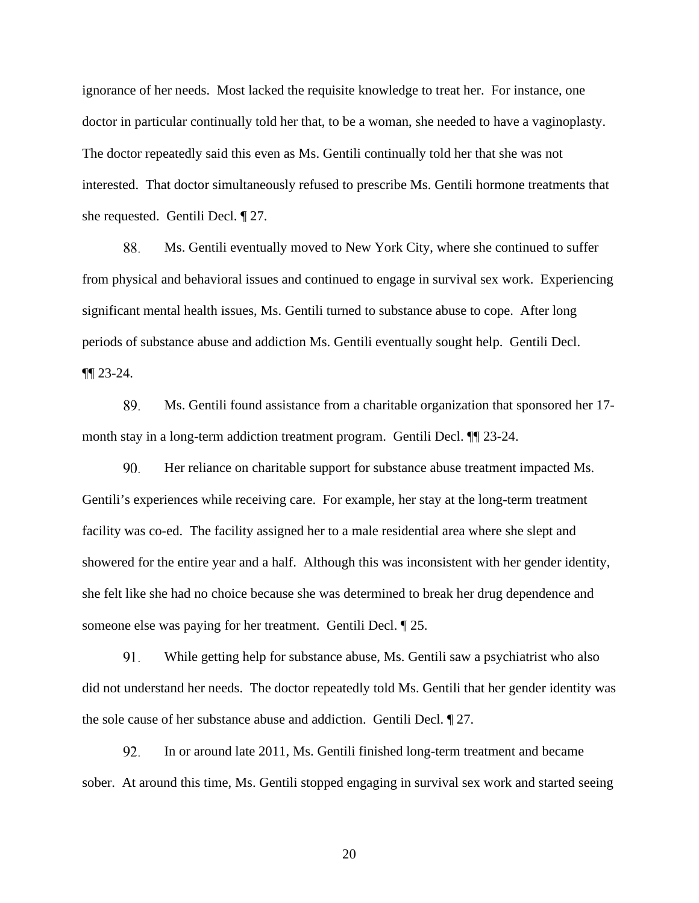ignorance of her needs. Most lacked the requisite knowledge to treat her. For instance, one doctor in particular continually told her that, to be a woman, she needed to have a vaginoplasty. The doctor repeatedly said this even as Ms. Gentili continually told her that she was not interested. That doctor simultaneously refused to prescribe Ms. Gentili hormone treatments that she requested. Gentili Decl. ¶ 27.

Ms. Gentili eventually moved to New York City, where she continued to suffer from physical and behavioral issues and continued to engage in survival sex work. Experiencing significant mental health issues, Ms. Gentili turned to substance abuse to cope. After long periods of substance abuse and addiction Ms. Gentili eventually sought help. Gentili Decl. ¶¶ 23-24. 88.

Ms. Gentili found assistance from a charitable organization that sponsored her 17 month stay in a long-term addiction treatment program. Gentili Decl. ¶¶ 23-24. 89.

Her reliance on charitable support for substance abuse treatment impacted Ms. Gentili's experiences while receiving care. For example, her stay at the long-term treatment facility was co-ed. The facility assigned her to a male residential area where she slept and showered for the entire year and a half. Although this was inconsistent with her gender identity, she felt like she had no choice because she was determined to break her drug dependence and someone else was paying for her treatment. Gentili Decl. ¶ 25. 90.

While getting help for substance abuse, Ms. Gentili saw a psychiatrist who also did not understand her needs. The doctor repeatedly told Ms. Gentili that her gender identity was the sole cause of her substance abuse and addiction. Gentili Decl. ¶ 27. 91.

In or around late 2011, Ms. Gentili finished long-term treatment and became sober. At around this time, Ms. Gentili stopped engaging in survival sex work and started seeing 92.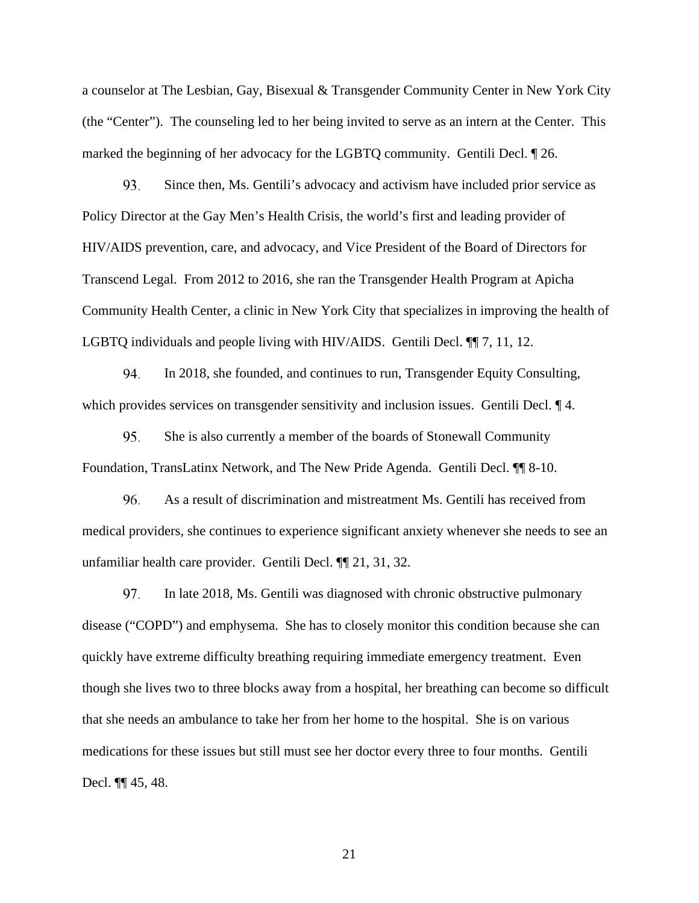a counselor at The Lesbian, Gay, Bisexual & Transgender Community Center in New York City (the "Center"). The counseling led to her being invited to serve as an intern at the Center. This marked the beginning of her advocacy for the LGBTQ community. Gentili Decl. ¶ 26.

Since then, Ms. Gentili's advocacy and activism have included prior service as Policy Director at the Gay Men's Health Crisis, the world's first and leading provider of HIV/AIDS prevention, care, and advocacy, and Vice President of the Board of Directors for Transcend Legal. From 2012 to 2016, she ran the Transgender Health Program at Apicha Community Health Center, a clinic in New York City that specializes in improving the health of LGBTQ individuals and people living with HIV/AIDS. Gentili Decl. ¶¶ 7, 11, 12. **93.** 

In 2018, she founded, and continues to run, Transgender Equity Consulting, which provides services on transgender sensitivity and inclusion issues. Gentili Decl.  $\P$ 4. **94.** 

She is also currently a member of the boards of Stonewall Community Foundation, TransLatinx Network, and The New Pride Agenda. Gentili Decl. ¶¶ 8-10. **95.** 

As a result of discrimination and mistreatment Ms. Gentili has received from medical providers, she continues to experience significant anxiety whenever she needs to see an unfamiliar health care provider. Gentili Decl. ¶¶ 21, 31, 32. **96.** 

In late 2018, Ms. Gentili was diagnosed with chronic obstructive pulmonary disease ("COPD") and emphysema. She has to closely monitor this condition because she can quickly have extreme difficulty breathing requiring immediate emergency treatment. Even though she lives two to three blocks away from a hospital, her breathing can become so difficult that she needs an ambulance to take her from her home to the hospital. She is on various medications for these issues but still must see her doctor every three to four months. Gentili Decl. ¶¶ 45, 48. 97.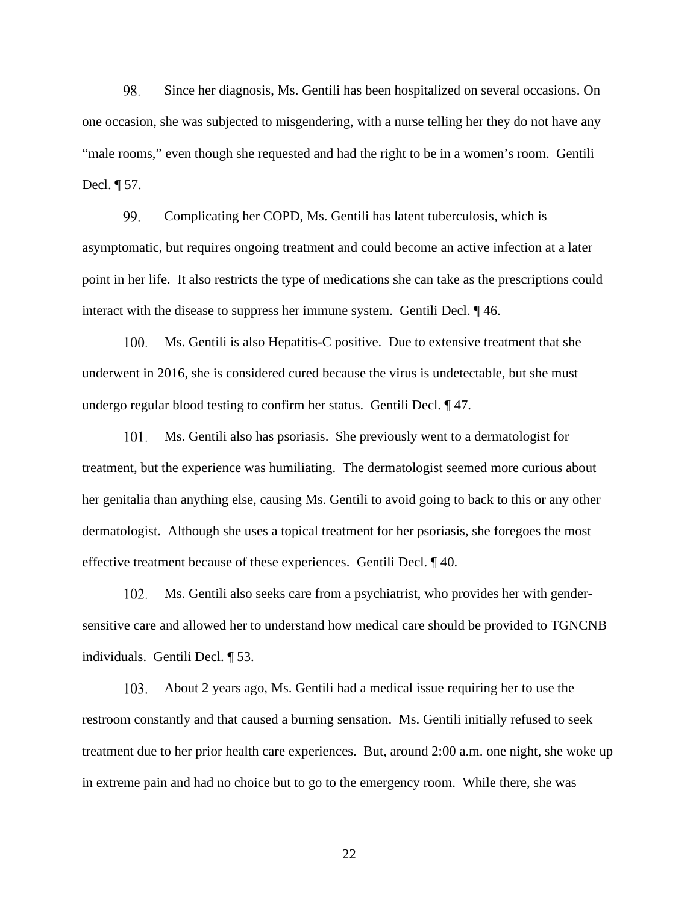Since her diagnosis, Ms. Gentili has been hospitalized on several occasions. On one occasion, she was subjected to misgendering, with a nurse telling her they do not have any "male rooms," even though she requested and had the right to be in a women's room. Gentili Decl. ¶ 57. 98.

Complicating her COPD, Ms. Gentili has latent tuberculosis, which is asymptomatic, but requires ongoing treatment and could become an active infection at a later point in her life. It also restricts the type of medications she can take as the prescriptions could interact with the disease to suppress her immune system. Gentili Decl. ¶ 46. 99.

Ms. Gentili is also Hepatitis-C positive. Due to extensive treatment that she underwent in 2016, she is considered cured because the virus is undetectable, but she must undergo regular blood testing to confirm her status. Gentili Decl. ¶ 47. 100.

Ms. Gentili also has psoriasis. She previously went to a dermatologist for treatment, but the experience was humiliating. The dermatologist seemed more curious about her genitalia than anything else, causing Ms. Gentili to avoid going to back to this or any other dermatologist. Although she uses a topical treatment for her psoriasis, she foregoes the most effective treatment because of these experiences. Gentili Decl. ¶ 40. 101.

Ms. Gentili also seeks care from a psychiatrist, who provides her with gendersensitive care and allowed her to understand how medical care should be provided to TGNCNB individuals. Gentili Decl. ¶ 53. 102.

About 2 years ago, Ms. Gentili had a medical issue requiring her to use the restroom constantly and that caused a burning sensation. Ms. Gentili initially refused to seek treatment due to her prior health care experiences. But, around 2:00 a.m. one night, she woke up in extreme pain and had no choice but to go to the emergency room. While there, she was 103.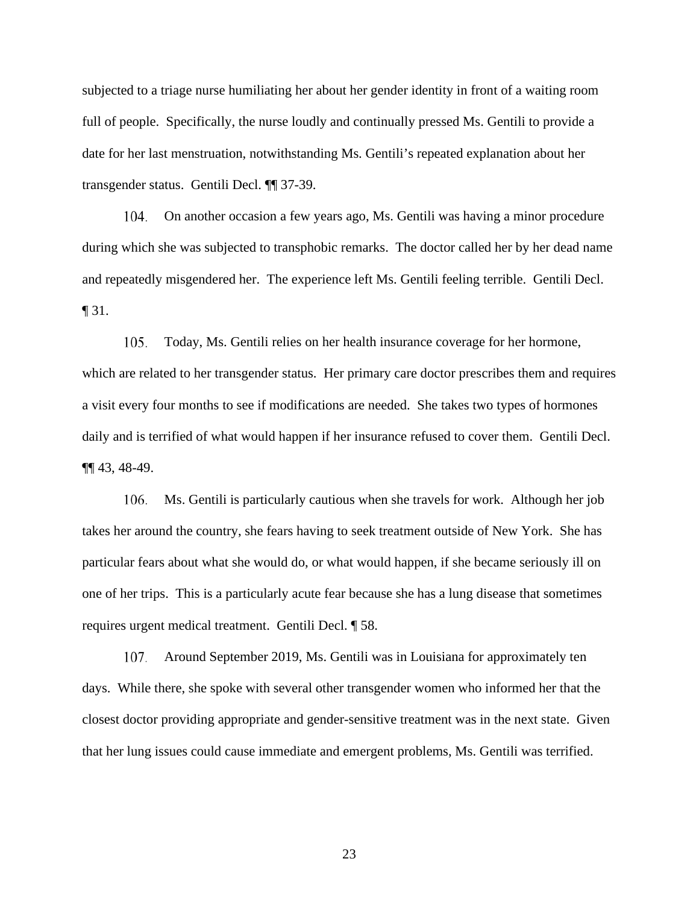subjected to a triage nurse humiliating her about her gender identity in front of a waiting room full of people. Specifically, the nurse loudly and continually pressed Ms. Gentili to provide a date for her last menstruation, notwithstanding Ms. Gentili's repeated explanation about her transgender status. Gentili Decl. ¶¶ 37-39.

On another occasion a few years ago, Ms. Gentili was having a minor procedure during which she was subjected to transphobic remarks. The doctor called her by her dead name and repeatedly misgendered her. The experience left Ms. Gentili feeling terrible. Gentili Decl. ¶ 31. 104.

Today, Ms. Gentili relies on her health insurance coverage for her hormone, which are related to her transgender status. Her primary care doctor prescribes them and requires a visit every four months to see if modifications are needed. She takes two types of hormones daily and is terrified of what would happen if her insurance refused to cover them. Gentili Decl. ¶¶ 43, 48-49. 105.

Ms. Gentili is particularly cautious when she travels for work. Although her job takes her around the country, she fears having to seek treatment outside of New York. She has particular fears about what she would do, or what would happen, if she became seriously ill on one of her trips. This is a particularly acute fear because she has a lung disease that sometimes requires urgent medical treatment. Gentili Decl. ¶ 58. 106.

Around September 2019, Ms. Gentili was in Louisiana for approximately ten days. While there, she spoke with several other transgender women who informed her that the closest doctor providing appropriate and gender-sensitive treatment was in the next state. Given that her lung issues could cause immediate and emergent problems, Ms. Gentili was terrified. 107.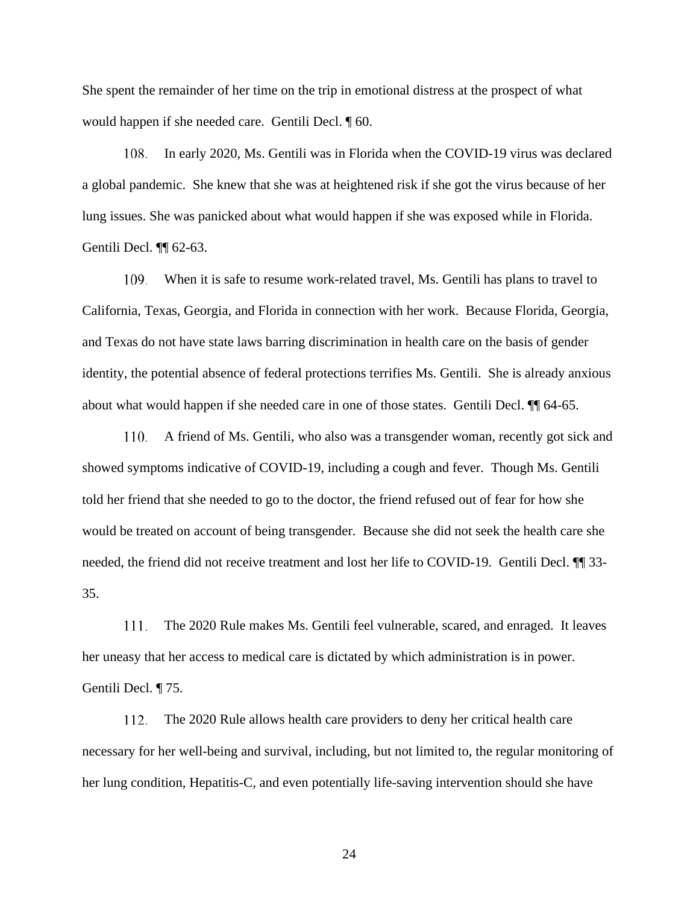She spent the remainder of her time on the trip in emotional distress at the prospect of what would happen if she needed care. Gentili Decl. ¶ 60.

In early 2020, Ms. Gentili was in Florida when the COVID-19 virus was declared a global pandemic. She knew that she was at heightened risk if she got the virus because of her lung issues. She was panicked about what would happen if she was exposed while in Florida. Gentili Decl. ¶¶ 62-63. 108.

When it is safe to resume work-related travel, Ms. Gentili has plans to travel to California, Texas, Georgia, and Florida in connection with her work. Because Florida, Georgia, and Texas do not have state laws barring discrimination in health care on the basis of gender identity, the potential absence of federal protections terrifies Ms. Gentili. She is already anxious about what would happen if she needed care in one of those states. Gentili Decl. ¶¶ 64-65. I 09.

A friend of Ms. Gentili, who also was a transgender woman, recently got sick and showed symptoms indicative of COVID-19, including a cough and fever. Though Ms. Gentili told her friend that she needed to go to the doctor, the friend refused out of fear for how she would be treated on account of being transgender. Because she did not seek the health care she needed, the friend did not receive treatment and lost her life to COVID-19. Gentili Decl. ¶¶ 33- 35. 110.

The 2020 Rule makes Ms. Gentili feel vulnerable, scared, and enraged. It leaves her uneasy that her access to medical care is dictated by which administration is in power. Gentili Decl. ¶ 75. 111.

The 2020 Rule allows health care providers to deny her critical health care necessary for her well-being and survival, including, but not limited to, the regular monitoring of her lung condition, Hepatitis-C, and even potentially life-saving intervention should she have 112.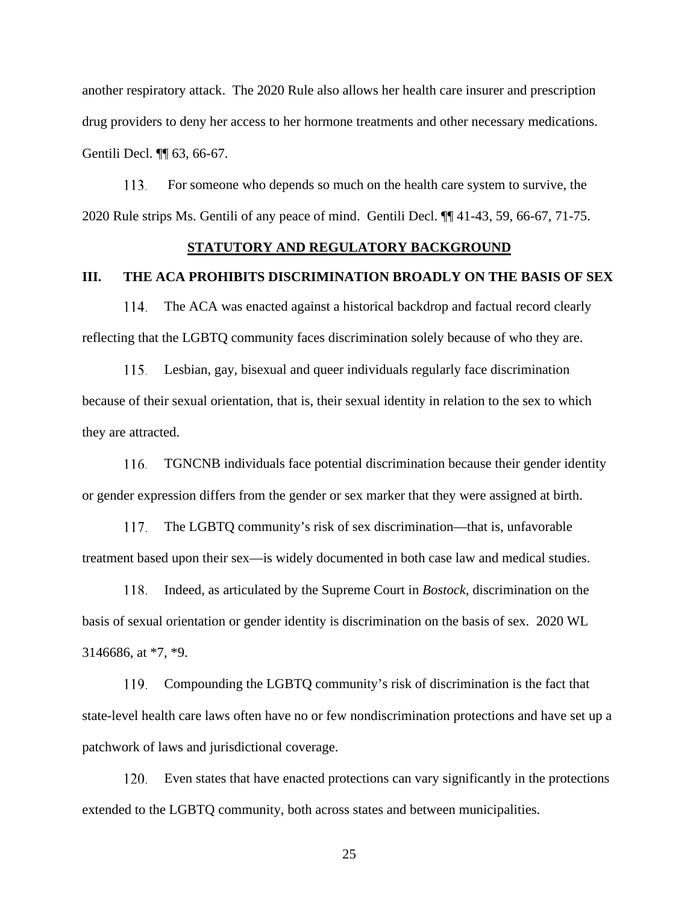another respiratory attack. The 2020 Rule also allows her health care insurer and prescription drug providers to deny her access to her hormone treatments and other necessary medications. Gentili Decl. ¶¶ 63, 66-67.

 For someone who depends so much on the health care system to survive, the 2020 Rule strips Ms. Gentili of any peace of mind. Gentili Decl. ¶¶ 41-43, 59, 66-67, 71-75. 113.

### **STATUTORY AND REGULATORY BACKGROUND**

## **III. THE ACA PROHIBITS DISCRIMINATION BROADLY ON THE BASIS OF SEX**

The ACA was enacted against a historical backdrop and factual record clearly reflecting that the LGBTQ community faces discrimination solely because of who they are. 114.

Lesbian, gay, bisexual and queer individuals regularly face discrimination because of their sexual orientation, that is, their sexual identity in relation to the sex to which they are attracted. 115.

TGNCNB individuals face potential discrimination because their gender identity or gender expression differs from the gender or sex marker that they were assigned at birth. 116.

The LGBTQ community's risk of sex discrimination—that is, unfavorable treatment based upon their sex—is widely documented in both case law and medical studies. 117.

Indeed, as articulated by the Supreme Court in *Bostock*, discrimination on the basis of sexual orientation or gender identity is discrimination on the basis of sex. 2020 WL 3146686, at \*7, \*9. 118.

Compounding the LGBTQ community's risk of discrimination is the fact that state-level health care laws often have no or few nondiscrimination protections and have set up a patchwork of laws and jurisdictional coverage. 119.

Even states that have enacted protections can vary significantly in the protections extended to the LGBTQ community, both across states and between municipalities. 120.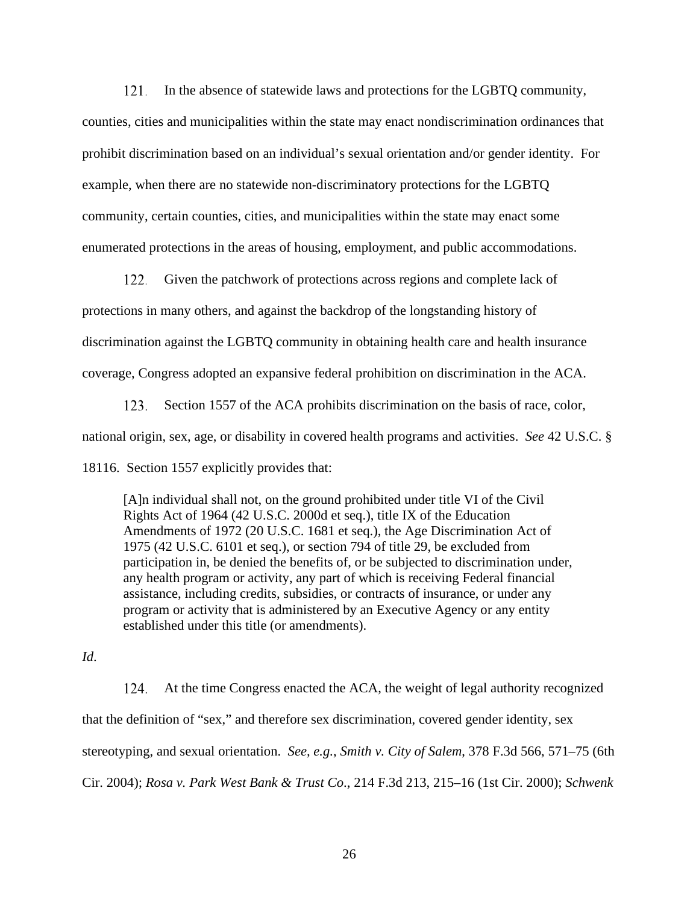In the absence of statewide laws and protections for the LGBTQ community, 121.

counties, cities and municipalities within the state may enact nondiscrimination ordinances that prohibit discrimination based on an individual's sexual orientation and/or gender identity. For example, when there are no statewide non-discriminatory protections for the LGBTQ community, certain counties, cities, and municipalities within the state may enact some enumerated protections in the areas of housing, employment, and public accommodations.

Given the patchwork of protections across regions and complete lack of protections in many others, and against the backdrop of the longstanding history of discrimination against the LGBTQ community in obtaining health care and health insurance coverage, Congress adopted an expansive federal prohibition on discrimination in the ACA. 122.

Section 1557 of the ACA prohibits discrimination on the basis of race, color, national origin, sex, age, or disability in covered health programs and activities. *See* 42 U.S.C. § 18116. Section 1557 explicitly provides that: 123.

[A]n individual shall not, on the ground prohibited under title VI of the Civil Rights Act of 1964 (42 U.S.C. 2000d et seq.), title IX of the Education Amendments of 1972 (20 U.S.C. 1681 et seq.), the Age Discrimination Act of 1975 (42 U.S.C. 6101 et seq.), or section 794 of title 29, be excluded from participation in, be denied the benefits of, or be subjected to discrimination under, any health program or activity, any part of which is receiving Federal financial assistance, including credits, subsidies, or contracts of insurance, or under any program or activity that is administered by an Executive Agency or any entity established under this title (or amendments).

*Id*.

At the time Congress enacted the ACA, the weight of legal authority recognized that the definition of "sex," and therefore sex discrimination, covered gender identity, sex stereotyping, and sexual orientation. *See, e.g.*, *Smith v. City of Salem*, 378 F.3d 566, 571–75 (6th Cir. 2004); *Rosa v. Park West Bank & Trust Co*., 214 F.3d 213, 215–16 (1st Cir. 2000); *Schwenk*  124.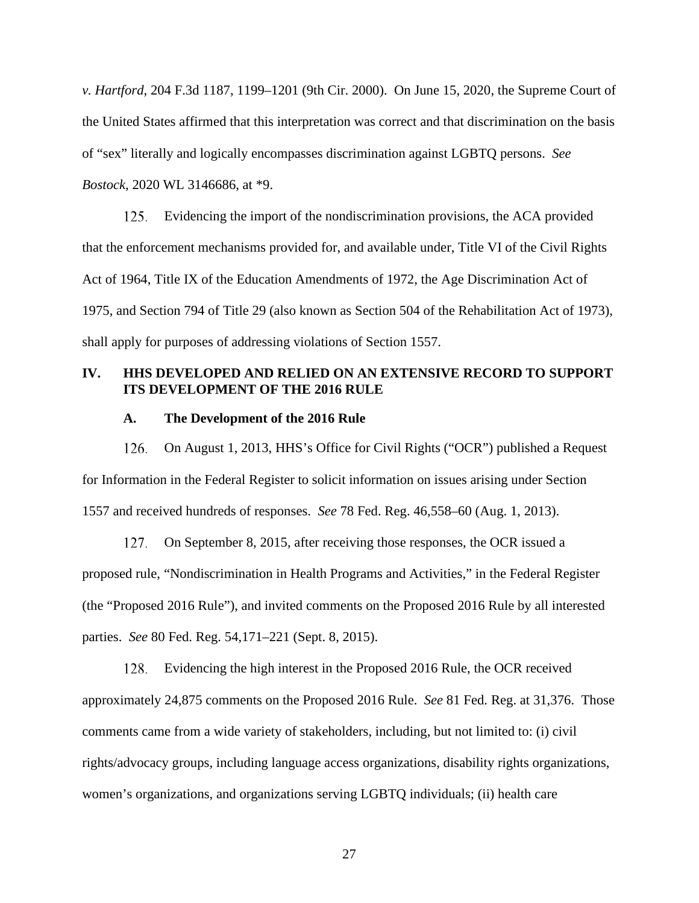*v. Hartford*, 204 F.3d 1187, 1199–1201 (9th Cir. 2000). On June 15, 2020, the Supreme Court of the United States affirmed that this interpretation was correct and that discrimination on the basis of "sex" literally and logically encompasses discrimination against LGBTQ persons. *See Bostock*, 2020 WL 3146686, at \*9.

Evidencing the import of the nondiscrimination provisions, the ACA provided that the enforcement mechanisms provided for, and available under, Title VI of the Civil Rights Act of 1964, Title IX of the Education Amendments of 1972, the Age Discrimination Act of 1975, and Section 794 of Title 29 (also known as Section 504 of the Rehabilitation Act of 1973), shall apply for purposes of addressing violations of Section 1557. 125.

# **IV. HHS DEVELOPED AND RELIED ON AN EXTENSIVE RECORD TO SUPPORT ITS DEVELOPMENT OF THE 2016 RULE**

### **A. The Development of the 2016 Rule**

On August 1, 2013, HHS's Office for Civil Rights ("OCR") published a Request for Information in the Federal Register to solicit information on issues arising under Section 1557 and received hundreds of responses. *See* 78 Fed. Reg. 46,558–60 (Aug. 1, 2013). 126.

On September 8, 2015, after receiving those responses, the OCR issued a proposed rule, "Nondiscrimination in Health Programs and Activities," in the Federal Register (the "Proposed 2016 Rule"), and invited comments on the Proposed 2016 Rule by all interested parties. *See* 80 Fed. Reg. 54,171–221 (Sept. 8, 2015). 127,

Evidencing the high interest in the Proposed 2016 Rule, the OCR received approximately 24,875 comments on the Proposed 2016 Rule. *See* 81 Fed. Reg. at 31,376. Those comments came from a wide variety of stakeholders, including, but not limited to: (i) civil rights/advocacy groups, including language access organizations, disability rights organizations, women's organizations, and organizations serving LGBTQ individuals; (ii) health care 128.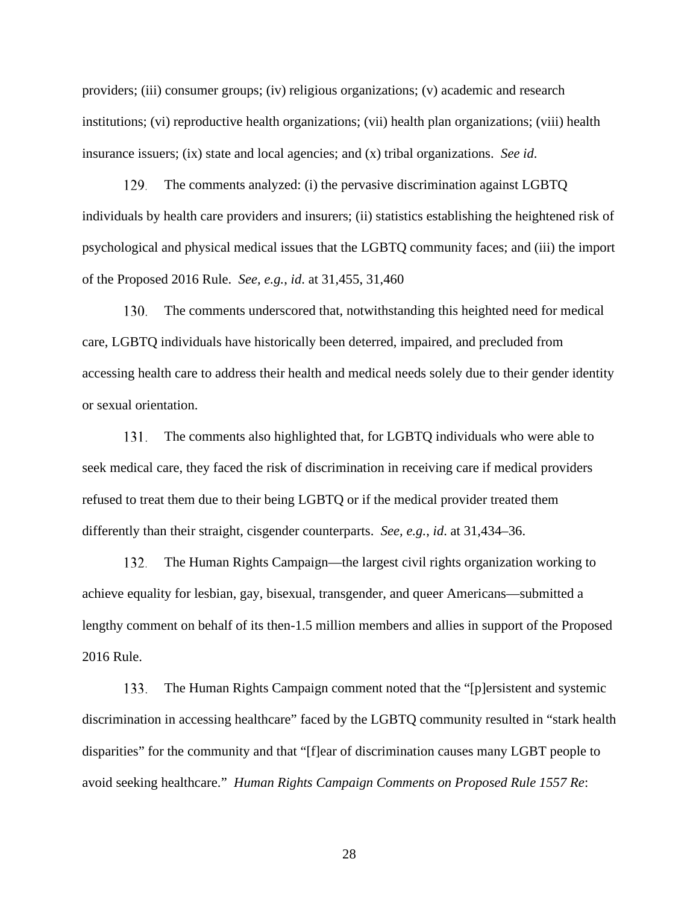providers; (iii) consumer groups; (iv) religious organizations; (v) academic and research institutions; (vi) reproductive health organizations; (vii) health plan organizations; (viii) health insurance issuers; (ix) state and local agencies; and (x) tribal organizations. *See id*.

The comments analyzed: (i) the pervasive discrimination against LGBTQ individuals by health care providers and insurers; (ii) statistics establishing the heightened risk of psychological and physical medical issues that the LGBTQ community faces; and (iii) the import of the Proposed 2016 Rule. *See, e.g.*, *id*. at 31,455, 31,460 129.

The comments underscored that, notwithstanding this heighted need for medical care, LGBTQ individuals have historically been deterred, impaired, and precluded from accessing health care to address their health and medical needs solely due to their gender identity or sexual orientation. 130.

The comments also highlighted that, for LGBTQ individuals who were able to seek medical care, they faced the risk of discrimination in receiving care if medical providers refused to treat them due to their being LGBTQ or if the medical provider treated them differently than their straight, cisgender counterparts. *See, e.g.*, *id*. at 31,434–36. 131.

The Human Rights Campaign—the largest civil rights organization working to achieve equality for lesbian, gay, bisexual, transgender, and queer Americans—submitted a lengthy comment on behalf of its then-1.5 million members and allies in support of the Proposed 2016 Rule. 132.

The Human Rights Campaign comment noted that the "[p]ersistent and systemic discrimination in accessing healthcare" faced by the LGBTQ community resulted in "stark health disparities" for the community and that "[f]ear of discrimination causes many LGBT people to avoid seeking healthcare." *Human Rights Campaign Comments on Proposed Rule 1557 Re*: 133.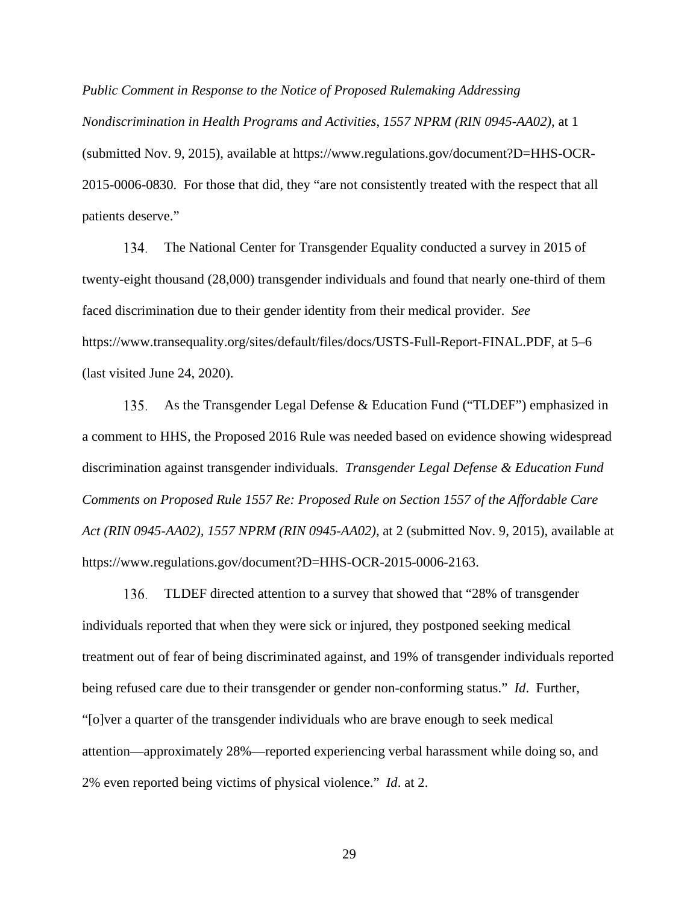*Public Comment in Response to the Notice of Proposed Rulemaking Addressing Nondiscrimination in Health Programs and Activities*, *1557 NPRM (RIN 0945-AA02)*, at 1 (submitted Nov. 9, 2015), available at https://www.regulations.gov/document?D=HHS-OCR-2015-0006-0830. For those that did, they "are not consistently treated with the respect that all patients deserve."

The National Center for Transgender Equality conducted a survey in 2015 of twenty-eight thousand (28,000) transgender individuals and found that nearly one-third of them faced discrimination due to their gender identity from their medical provider. *See*  https://www.transequality.org/sites/default/files/docs/USTS-Full-Report-FINAL.PDF, at 5–6 (last visited June 24, 2020). 134.

As the Transgender Legal Defense & Education Fund ("TLDEF") emphasized in a comment to HHS, the Proposed 2016 Rule was needed based on evidence showing widespread discrimination against transgender individuals. *Transgender Legal Defense & Education Fund Comments on Proposed Rule 1557 Re: Proposed Rule on Section 1557 of the Affordable Care Act (RIN 0945-AA02), 1557 NPRM (RIN 0945-AA02)*, at 2 (submitted Nov. 9, 2015), available at https://www.regulations.gov/document?D=HHS-OCR-2015-0006-2163. 135.

TLDEF directed attention to a survey that showed that "28% of transgender individuals reported that when they were sick or injured, they postponed seeking medical treatment out of fear of being discriminated against, and 19% of transgender individuals reported being refused care due to their transgender or gender non-conforming status." *Id*. Further, "[o]ver a quarter of the transgender individuals who are brave enough to seek medical attention—approximately 28%—reported experiencing verbal harassment while doing so, and 2% even reported being victims of physical violence." *Id*. at 2. 136.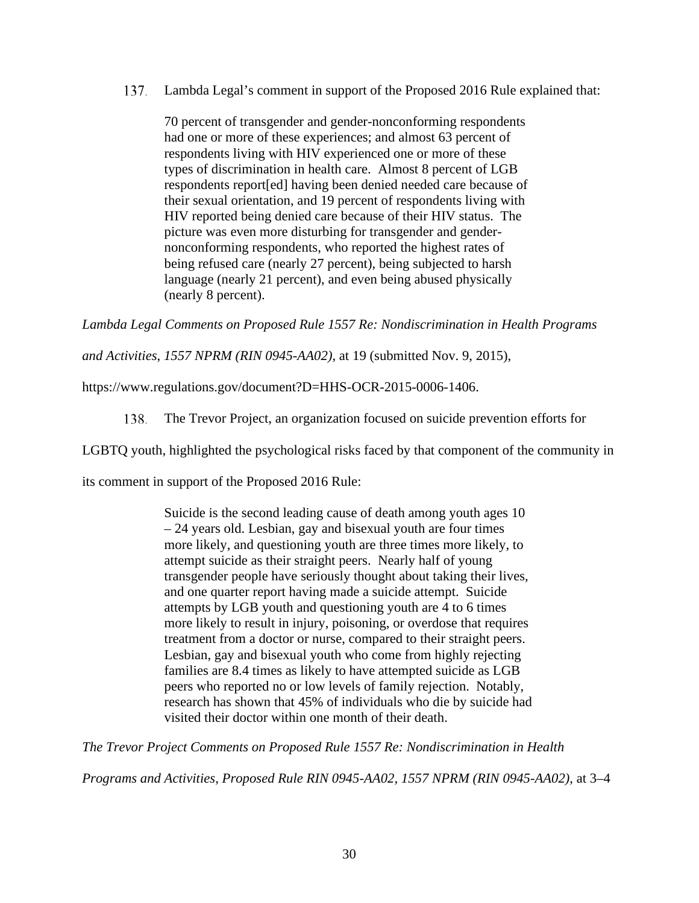Lambda Legal's comment in support of the Proposed 2016 Rule explained that: 137.

70 percent of transgender and gender-nonconforming respondents had one or more of these experiences; and almost 63 percent of respondents living with HIV experienced one or more of these types of discrimination in health care. Almost 8 percent of LGB respondents report[ed] having been denied needed care because of their sexual orientation, and 19 percent of respondents living with HIV reported being denied care because of their HIV status. The picture was even more disturbing for transgender and gendernonconforming respondents, who reported the highest rates of being refused care (nearly 27 percent), being subjected to harsh language (nearly 21 percent), and even being abused physically (nearly 8 percent).

*Lambda Legal Comments on Proposed Rule 1557 Re: Nondiscrimination in Health Programs* 

*and Activities*, *1557 NPRM (RIN 0945-AA02)*, at 19 (submitted Nov. 9, 2015),

https://www.regulations.gov/document?D=HHS-OCR-2015-0006-1406.

The Trevor Project, an organization focused on suicide prevention efforts for 138.

LGBTQ youth, highlighted the psychological risks faced by that component of the community in

its comment in support of the Proposed 2016 Rule:

Suicide is the second leading cause of death among youth ages 10 – 24 years old. Lesbian, gay and bisexual youth are four times more likely, and questioning youth are three times more likely, to attempt suicide as their straight peers. Nearly half of young transgender people have seriously thought about taking their lives, and one quarter report having made a suicide attempt. Suicide attempts by LGB youth and questioning youth are 4 to 6 times more likely to result in injury, poisoning, or overdose that requires treatment from a doctor or nurse, compared to their straight peers. Lesbian, gay and bisexual youth who come from highly rejecting families are 8.4 times as likely to have attempted suicide as LGB peers who reported no or low levels of family rejection. Notably, research has shown that 45% of individuals who die by suicide had visited their doctor within one month of their death.

*The Trevor Project Comments on Proposed Rule 1557 Re: Nondiscrimination in Health* 

*Programs and Activities, Proposed Rule RIN 0945-AA02, 1557 NPRM (RIN 0945-AA02)*, at 3–4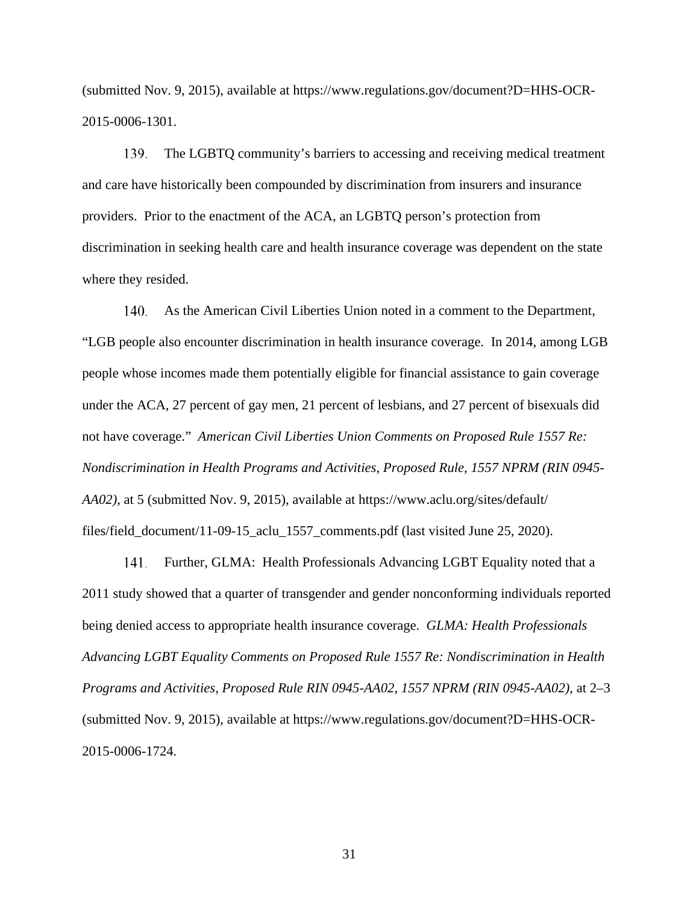(submitted Nov. 9, 2015), available at https://www.regulations.gov/document?D=HHS-OCR-2015-0006-1301.

The LGBTQ community's barriers to accessing and receiving medical treatment and care have historically been compounded by discrimination from insurers and insurance providers. Prior to the enactment of the ACA, an LGBTQ person's protection from discrimination in seeking health care and health insurance coverage was dependent on the state where they resided. 139.

As the American Civil Liberties Union noted in a comment to the Department, "LGB people also encounter discrimination in health insurance coverage. In 2014, among LGB people whose incomes made them potentially eligible for financial assistance to gain coverage under the ACA, 27 percent of gay men, 21 percent of lesbians, and 27 percent of bisexuals did not have coverage." *American Civil Liberties Union Comments on Proposed Rule 1557 Re: Nondiscrimination in Health Programs and Activities, Proposed Rule, 1557 NPRM (RIN 0945- AA02)*, at 5 (submitted Nov. 9, 2015), available at https://www.aclu.org/sites/default/ files/field\_document/11-09-15\_aclu\_1557\_comments.pdf (last visited June 25, 2020). 140,

Further, GLMA: Health Professionals Advancing LGBT Equality noted that a 2011 study showed that a quarter of transgender and gender nonconforming individuals reported being denied access to appropriate health insurance coverage. *GLMA: Health Professionals Advancing LGBT Equality Comments on Proposed Rule 1557 Re: Nondiscrimination in Health Programs and Activities, Proposed Rule RIN 0945-AA02, 1557 NPRM (RIN 0945-AA02)*, at 2–3 (submitted Nov. 9, 2015), available at https://www.regulations.gov/document?D=HHS-OCR-2015-0006-1724. 141.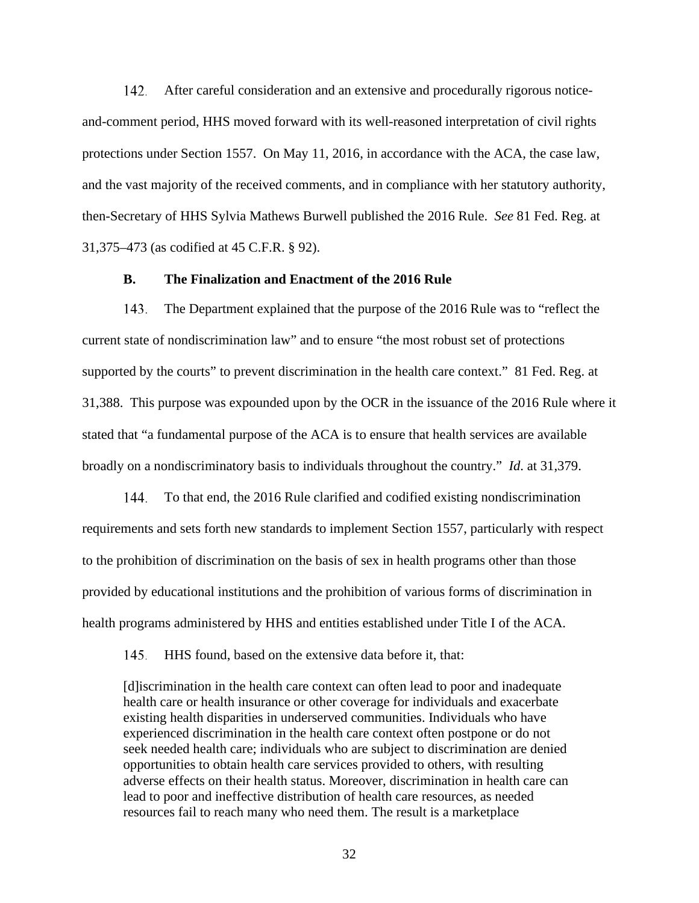After careful consideration and an extensive and procedurally rigorous noticeand-comment period, HHS moved forward with its well-reasoned interpretation of civil rights protections under Section 1557. On May 11, 2016, in accordance with the ACA, the case law, and the vast majority of the received comments, and in compliance with her statutory authority, then-Secretary of HHS Sylvia Mathews Burwell published the 2016 Rule. *See* 81 Fed. Reg. at 31,375–473 (as codified at 45 C.F.R. § 92). 142.

### **B. The Finalization and Enactment of the 2016 Rule**

The Department explained that the purpose of the 2016 Rule was to "reflect the current state of nondiscrimination law" and to ensure "the most robust set of protections supported by the courts" to prevent discrimination in the health care context." 81 Fed. Reg. at 31,388. This purpose was expounded upon by the OCR in the issuance of the 2016 Rule where it stated that "a fundamental purpose of the ACA is to ensure that health services are available broadly on a nondiscriminatory basis to individuals throughout the country." *Id*. at 31,379. 143.

To that end, the 2016 Rule clarified and codified existing nondiscrimination requirements and sets forth new standards to implement Section 1557, particularly with respect to the prohibition of discrimination on the basis of sex in health programs other than those provided by educational institutions and the prohibition of various forms of discrimination in health programs administered by HHS and entities established under Title I of the ACA. 144.

HHS found, based on the extensive data before it, that: 145.

[d]iscrimination in the health care context can often lead to poor and inadequate health care or health insurance or other coverage for individuals and exacerbate existing health disparities in underserved communities. Individuals who have experienced discrimination in the health care context often postpone or do not seek needed health care; individuals who are subject to discrimination are denied opportunities to obtain health care services provided to others, with resulting adverse effects on their health status. Moreover, discrimination in health care can lead to poor and ineffective distribution of health care resources, as needed resources fail to reach many who need them. The result is a marketplace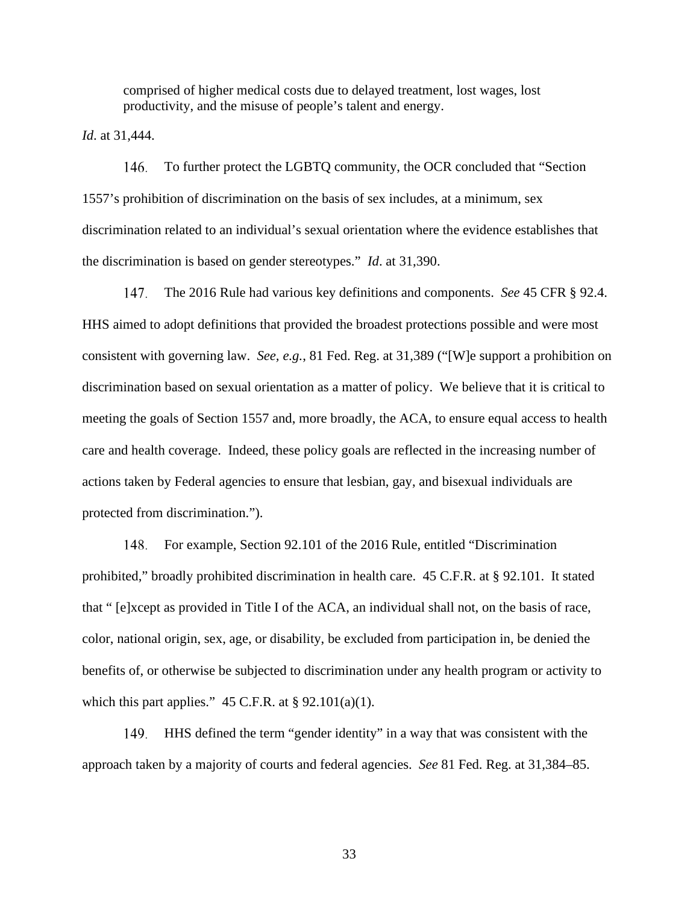comprised of higher medical costs due to delayed treatment, lost wages, lost productivity, and the misuse of people's talent and energy.

*Id*. at 31,444.

To further protect the LGBTQ community, the OCR concluded that "Section 1557's prohibition of discrimination on the basis of sex includes, at a minimum, sex discrimination related to an individual's sexual orientation where the evidence establishes that the discrimination is based on gender stereotypes." *Id*. at 31,390. 146.

The 2016 Rule had various key definitions and components. *See* 45 CFR § 92.4. HHS aimed to adopt definitions that provided the broadest protections possible and were most consistent with governing law. *See, e.g.*, 81 Fed. Reg. at 31,389 ("[W]e support a prohibition on discrimination based on sexual orientation as a matter of policy. We believe that it is critical to meeting the goals of Section 1557 and, more broadly, the ACA, to ensure equal access to health care and health coverage. Indeed, these policy goals are reflected in the increasing number of actions taken by Federal agencies to ensure that lesbian, gay, and bisexual individuals are protected from discrimination."). 147.

For example, Section 92.101 of the 2016 Rule, entitled "Discrimination prohibited," broadly prohibited discrimination in health care. 45 C.F.R. at § 92.101. It stated that " [e]xcept as provided in Title I of the ACA, an individual shall not, on the basis of race, color, national origin, sex, age, or disability, be excluded from participation in, be denied the benefits of, or otherwise be subjected to discrimination under any health program or activity to which this part applies."  $45$  C.F.R. at § 92.101(a)(1). 148.

HHS defined the term "gender identity" in a way that was consistent with the approach taken by a majority of courts and federal agencies. *See* 81 Fed. Reg. at 31,384–85. 149.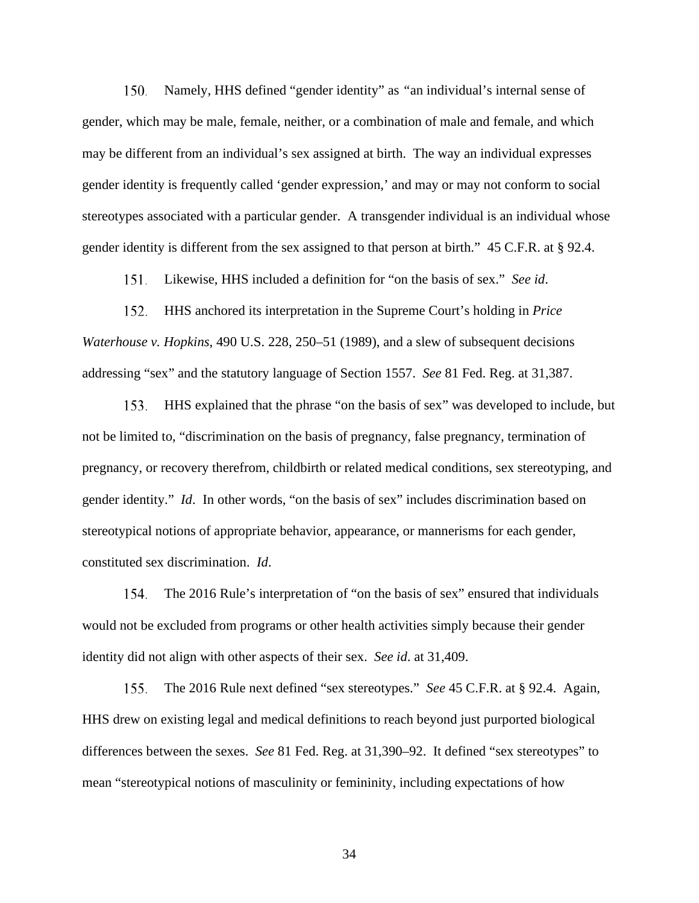Namely, HHS defined "gender identity" as *"*an individual's internal sense of gender, which may be male, female, neither, or a combination of male and female, and which may be different from an individual's sex assigned at birth. The way an individual expresses gender identity is frequently called 'gender expression,' and may or may not conform to social stereotypes associated with a particular gender. A transgender individual is an individual whose gender identity is different from the sex assigned to that person at birth." 45 C.F.R. at § 92.4. 150.

Likewise, HHS included a definition for "on the basis of sex." *See id*. 151.

HHS anchored its interpretation in the Supreme Court's holding in *Price Waterhouse v. Hopkins*, 490 U.S. 228, 250–51 (1989), and a slew of subsequent decisions addressing "sex" and the statutory language of Section 1557. *See* 81 Fed. Reg. at 31,387. 152.

HHS explained that the phrase "on the basis of sex" was developed to include, but not be limited to, "discrimination on the basis of pregnancy, false pregnancy, termination of pregnancy, or recovery therefrom, childbirth or related medical conditions, sex stereotyping, and gender identity." *Id*. In other words, "on the basis of sex" includes discrimination based on stereotypical notions of appropriate behavior, appearance, or mannerisms for each gender, constituted sex discrimination. *Id*. 153.

The 2016 Rule's interpretation of "on the basis of sex" ensured that individuals would not be excluded from programs or other health activities simply because their gender identity did not align with other aspects of their sex. *See id*. at 31,409. 154.

The 2016 Rule next defined "sex stereotypes." *See* 45 C.F.R. at § 92.4. Again, HHS drew on existing legal and medical definitions to reach beyond just purported biological differences between the sexes. *See* 81 Fed. Reg. at 31,390–92. It defined "sex stereotypes" to mean "stereotypical notions of masculinity or femininity, including expectations of how 155.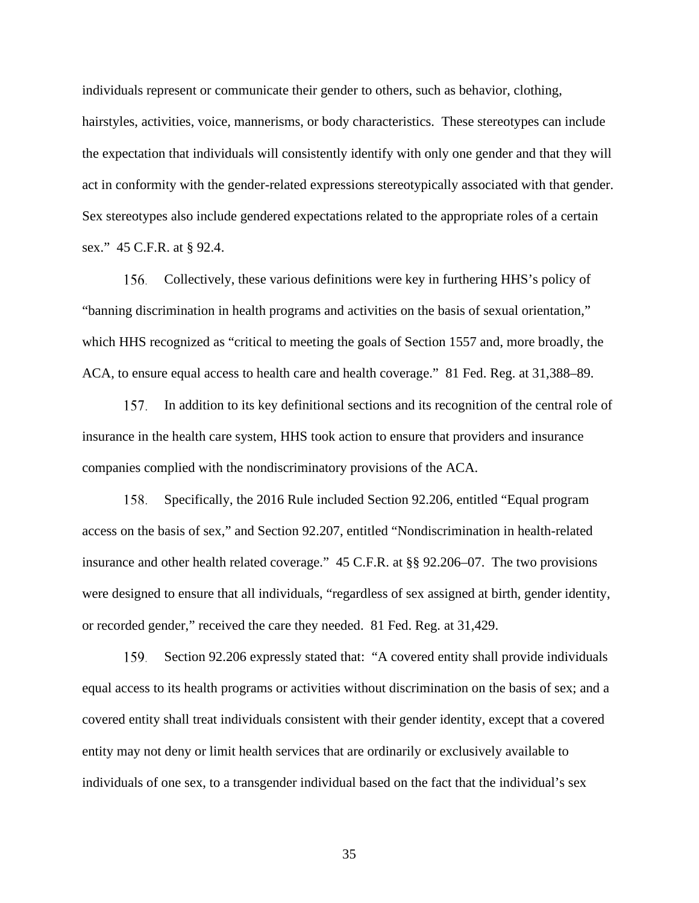individuals represent or communicate their gender to others, such as behavior, clothing, hairstyles, activities, voice, mannerisms, or body characteristics. These stereotypes can include the expectation that individuals will consistently identify with only one gender and that they will act in conformity with the gender-related expressions stereotypically associated with that gender. Sex stereotypes also include gendered expectations related to the appropriate roles of a certain sex." 45 C.F.R. at § 92.4.

Collectively, these various definitions were key in furthering HHS's policy of "banning discrimination in health programs and activities on the basis of sexual orientation," which HHS recognized as "critical to meeting the goals of Section 1557 and, more broadly, the ACA, to ensure equal access to health care and health coverage." 81 Fed. Reg. at 31,388–89. 156.

In addition to its key definitional sections and its recognition of the central role of insurance in the health care system, HHS took action to ensure that providers and insurance companies complied with the nondiscriminatory provisions of the ACA. 157.

Specifically, the 2016 Rule included Section 92.206, entitled "Equal program access on the basis of sex," and Section 92.207, entitled "Nondiscrimination in health-related insurance and other health related coverage." 45 C.F.R. at §§ 92.206–07. The two provisions were designed to ensure that all individuals, "regardless of sex assigned at birth, gender identity, or recorded gender," received the care they needed. 81 Fed. Reg. at 31,429. 158.

Section 92.206 expressly stated that: "A covered entity shall provide individuals equal access to its health programs or activities without discrimination on the basis of sex; and a covered entity shall treat individuals consistent with their gender identity, except that a covered entity may not deny or limit health services that are ordinarily or exclusively available to individuals of one sex, to a transgender individual based on the fact that the individual's sex 159.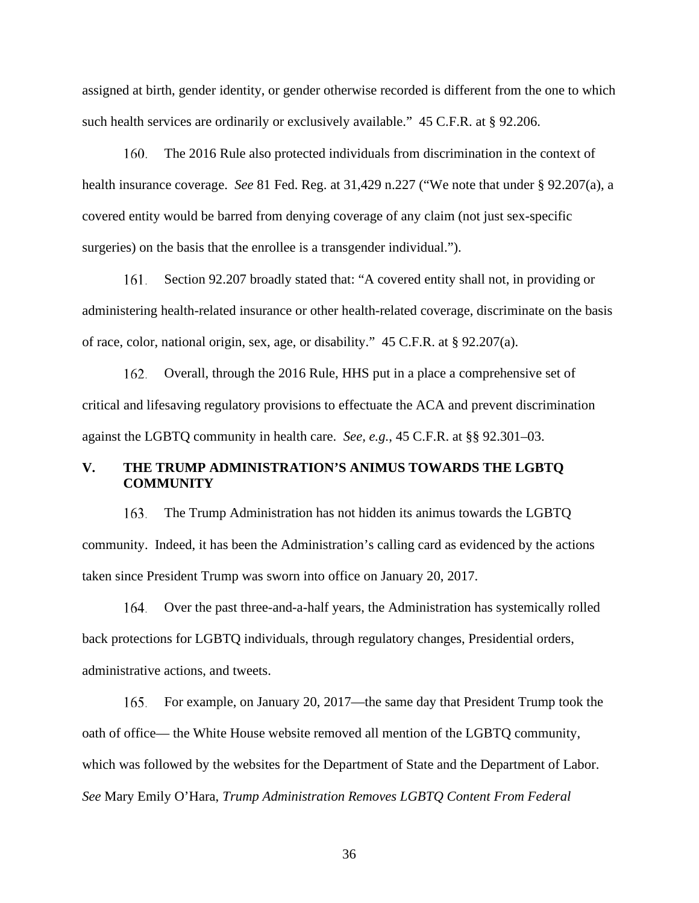assigned at birth, gender identity, or gender otherwise recorded is different from the one to which such health services are ordinarily or exclusively available." 45 C.F.R. at § 92.206.

The 2016 Rule also protected individuals from discrimination in the context of health insurance coverage. *See* 81 Fed. Reg. at 31,429 n.227 ("We note that under § 92.207(a), a covered entity would be barred from denying coverage of any claim (not just sex-specific surgeries) on the basis that the enrollee is a transgender individual."). 160.

Section 92.207 broadly stated that: "A covered entity shall not, in providing or administering health-related insurance or other health-related coverage, discriminate on the basis of race, color, national origin, sex, age, or disability." 45 C.F.R. at § 92.207(a). I 61.

Overall, through the 2016 Rule, HHS put in a place a comprehensive set of critical and lifesaving regulatory provisions to effectuate the ACA and prevent discrimination against the LGBTQ community in health care. *See, e.g.*, 45 C.F.R. at §§ 92.301–03. 162.

## **V. THE TRUMP ADMINISTRATION'S ANIMUS TOWARDS THE LGBTQ COMMUNITY**

The Trump Administration has not hidden its animus towards the LGBTQ community. Indeed, it has been the Administration's calling card as evidenced by the actions taken since President Trump was sworn into office on January 20, 2017. 163.

Over the past three-and-a-half years, the Administration has systemically rolled back protections for LGBTQ individuals, through regulatory changes, Presidential orders, administrative actions, and tweets. I 64.

For example, on January 20, 2017—the same day that President Trump took the oath of office— the White House website removed all mention of the LGBTQ community, which was followed by the websites for the Department of State and the Department of Labor. *See* Mary Emily O'Hara, *Trump Administration Removes LGBTQ Content From Federal*  165.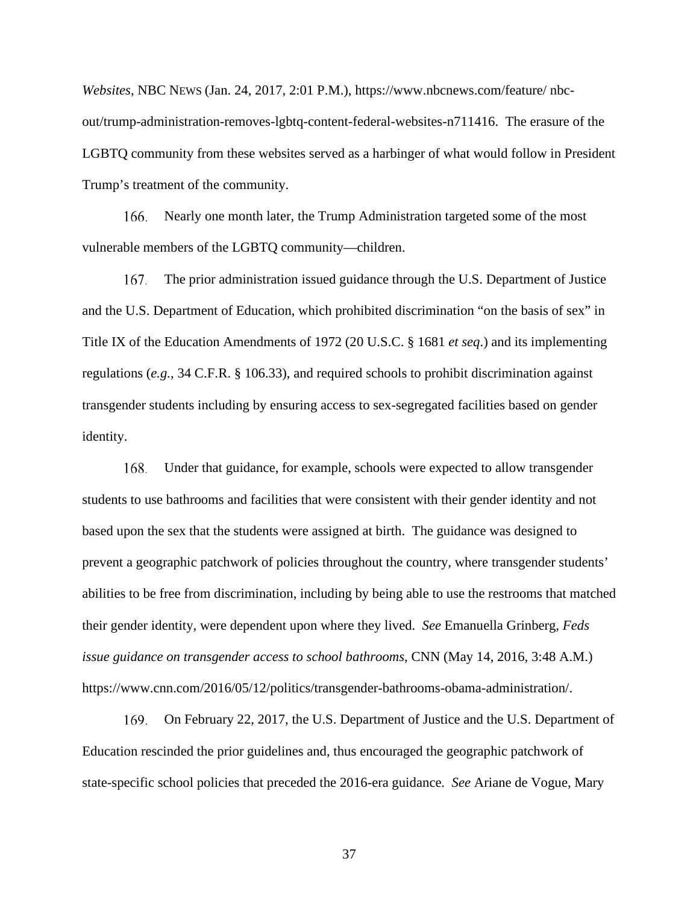*Websites*, NBC NEWS (Jan. 24, 2017, 2:01 P.M.), https://www.nbcnews.com/feature/ nbcout/trump-administration-removes-lgbtq-content-federal-websites-n711416. The erasure of the LGBTQ community from these websites served as a harbinger of what would follow in President Trump's treatment of the community.

Nearly one month later, the Trump Administration targeted some of the most vulnerable members of the LGBTQ community—children. 166.

The prior administration issued guidance through the U.S. Department of Justice and the U.S. Department of Education, which prohibited discrimination "on the basis of sex" in Title IX of the Education Amendments of 1972 (20 U.S.C. § 1681 *et seq*.) and its implementing regulations (*e.g.*, 34 C.F.R. § 106.33), and required schools to prohibit discrimination against transgender students including by ensuring access to sex-segregated facilities based on gender identity. 167.

Under that guidance, for example, schools were expected to allow transgender students to use bathrooms and facilities that were consistent with their gender identity and not based upon the sex that the students were assigned at birth. The guidance was designed to prevent a geographic patchwork of policies throughout the country, where transgender students' abilities to be free from discrimination, including by being able to use the restrooms that matched their gender identity, were dependent upon where they lived. *See* Emanuella Grinberg, *Feds issue guidance on transgender access to school bathrooms*, CNN (May 14, 2016, 3:48 A.M.) https://www.cnn.com/2016/05/12/politics/transgender-bathrooms-obama-administration/. 168.

On February 22, 2017, the U.S. Department of Justice and the U.S. Department of Education rescinded the prior guidelines and, thus encouraged the geographic patchwork of state-specific school policies that preceded the 2016-era guidance. *See* Ariane de Vogue, Mary 169.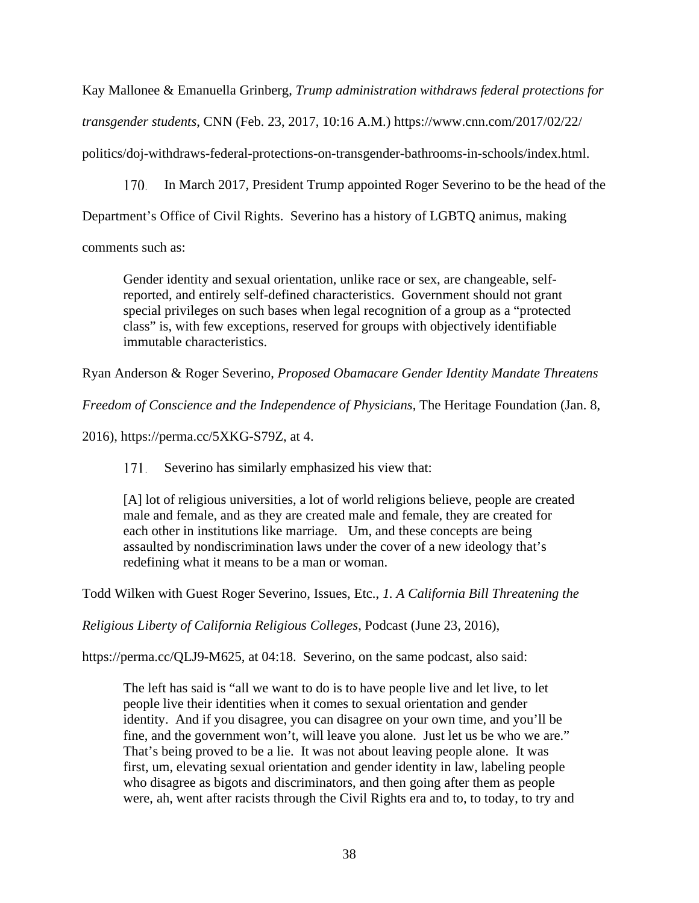Kay Mallonee & Emanuella Grinberg, *Trump administration withdraws federal protections for transgender students*, CNN (Feb. 23, 2017, 10:16 A.M.) https://www.cnn.com/2017/02/22/

politics/doj-withdraws-federal-protections-on-transgender-bathrooms-in-schools/index.html.

In March 2017, President Trump appointed Roger Severino to be the head of the 170.

Department's Office of Civil Rights. Severino has a history of LGBTQ animus, making

comments such as:

Gender identity and sexual orientation, unlike race or sex, are changeable, selfreported, and entirely self-defined characteristics. Government should not grant special privileges on such bases when legal recognition of a group as a "protected class" is, with few exceptions, reserved for groups with objectively identifiable immutable characteristics.

Ryan Anderson & Roger Severino, *Proposed Obamacare Gender Identity Mandate Threatens* 

*Freedom of Conscience and the Independence of Physicians*, The Heritage Foundation (Jan. 8,

2016), https://perma.cc/5XKG-S79Z, at 4.

Severino has similarly emphasized his view that: 171.

[A] lot of religious universities, a lot of world religions believe, people are created male and female, and as they are created male and female, they are created for each other in institutions like marriage. Um, and these concepts are being assaulted by nondiscrimination laws under the cover of a new ideology that's redefining what it means to be a man or woman.

Todd Wilken with Guest Roger Severino, Issues, Etc., *1. A California Bill Threatening the* 

*Religious Liberty of California Religious Colleges*, Podcast (June 23, 2016),

https://perma.cc/QLJ9-M625, at 04:18. Severino, on the same podcast, also said:

The left has said is "all we want to do is to have people live and let live, to let people live their identities when it comes to sexual orientation and gender identity. And if you disagree, you can disagree on your own time, and you'll be fine, and the government won't, will leave you alone. Just let us be who we are." That's being proved to be a lie. It was not about leaving people alone. It was first, um, elevating sexual orientation and gender identity in law, labeling people who disagree as bigots and discriminators, and then going after them as people were, ah, went after racists through the Civil Rights era and to, to today, to try and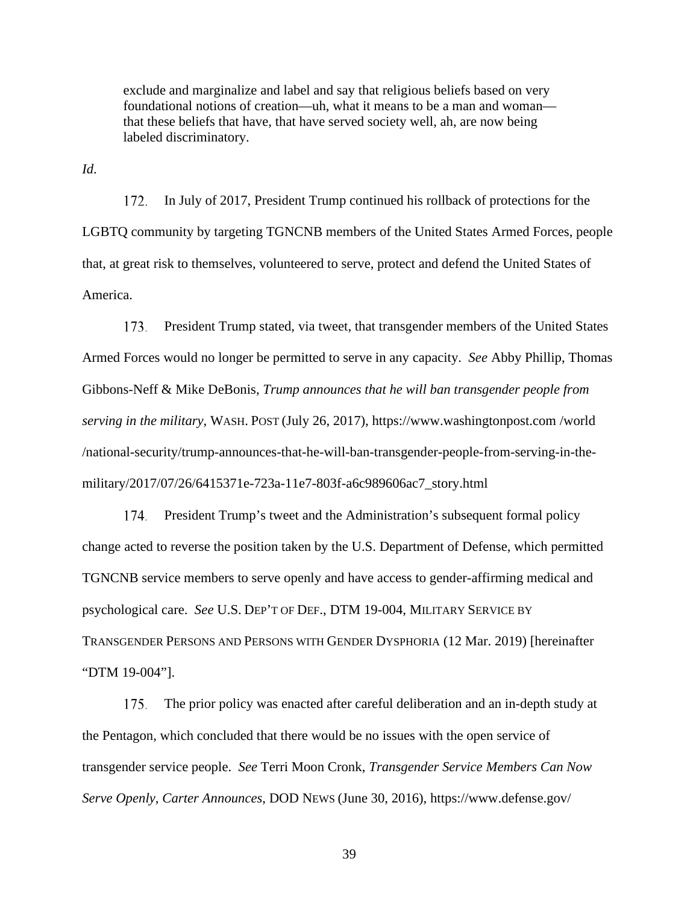exclude and marginalize and label and say that religious beliefs based on very foundational notions of creation—uh, what it means to be a man and woman that these beliefs that have, that have served society well, ah, are now being labeled discriminatory.

*Id*.

In July of 2017, President Trump continued his rollback of protections for the LGBTQ community by targeting TGNCNB members of the United States Armed Forces, people that, at great risk to themselves, volunteered to serve, protect and defend the United States of America. 172.

President Trump stated, via tweet, that transgender members of the United States Armed Forces would no longer be permitted to serve in any capacity. *See* Abby Phillip, Thomas Gibbons-Neff & Mike DeBonis, *Trump announces that he will ban transgender people from serving in the military*, WASH. POST (July 26, 2017), https://www.washingtonpost.com /world /national-security/trump-announces-that-he-will-ban-transgender-people-from-serving-in-themilitary/2017/07/26/6415371e-723a-11e7-803f-a6c989606ac7\_story.html 173.

President Trump's tweet and the Administration's subsequent formal policy change acted to reverse the position taken by the U.S. Department of Defense, which permitted TGNCNB service members to serve openly and have access to gender-affirming medical and psychological care. *See* U.S. DEP'T OF DEF., DTM 19-004, MILITARY SERVICE BY TRANSGENDER PERSONS AND PERSONS WITH GENDER DYSPHORIA (12 Mar. 2019) [hereinafter "DTM 19-004"]. 174.

The prior policy was enacted after careful deliberation and an in-depth study at the Pentagon, which concluded that there would be no issues with the open service of transgender service people. *See* Terri Moon Cronk, *Transgender Service Members Can Now Serve Openly, Carter Announces*, DOD NEWS (June 30, 2016), https://www.defense.gov/ 175.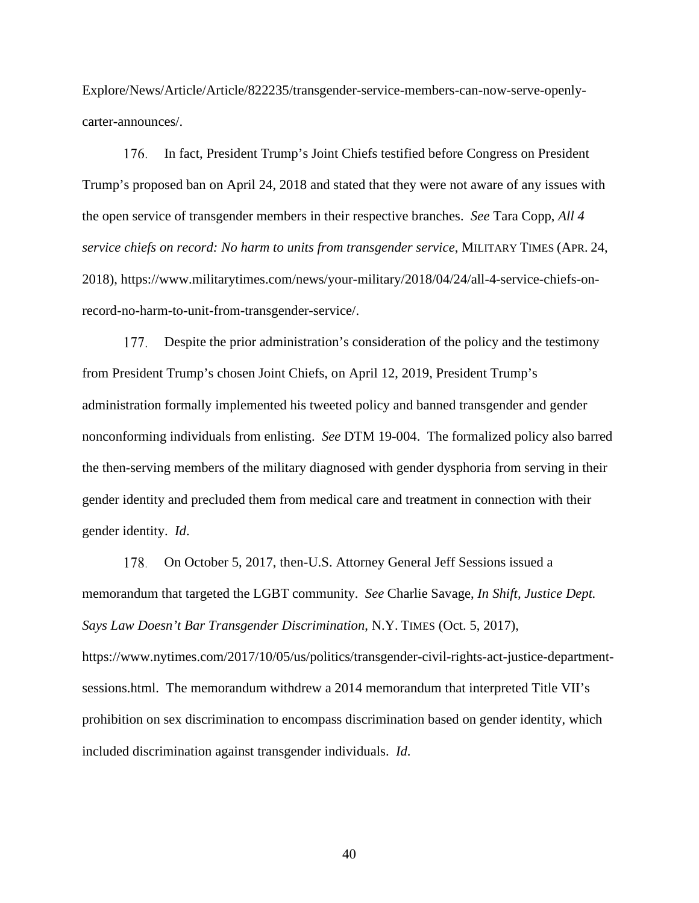Explore/News/Article/Article/822235/transgender-service-members-can-now-serve-openlycarter-announces/.

In fact, President Trump's Joint Chiefs testified before Congress on President Trump's proposed ban on April 24, 2018 and stated that they were not aware of any issues with the open service of transgender members in their respective branches. *See* Tara Copp, *All 4 service chiefs on record: No harm to units from transgender service*, MILITARY TIMES (APR. 24, 2018), https://www.militarytimes.com/news/your-military/2018/04/24/all-4-service-chiefs-onrecord-no-harm-to-unit-from-transgender-service/. 176.

Despite the prior administration's consideration of the policy and the testimony from President Trump's chosen Joint Chiefs, on April 12, 2019, President Trump's administration formally implemented his tweeted policy and banned transgender and gender nonconforming individuals from enlisting. *See* DTM 19-004. The formalized policy also barred the then-serving members of the military diagnosed with gender dysphoria from serving in their gender identity and precluded them from medical care and treatment in connection with their gender identity. *Id*. 177.

On October 5, 2017, then-U.S. Attorney General Jeff Sessions issued a memorandum that targeted the LGBT community. *See* Charlie Savage, *In Shift, Justice Dept. Says Law Doesn't Bar Transgender Discrimination*, N.Y. TIMES (Oct. 5, 2017), https://www.nytimes.com/2017/10/05/us/politics/transgender-civil-rights-act-justice-departmentsessions.html. The memorandum withdrew a 2014 memorandum that interpreted Title VII's prohibition on sex discrimination to encompass discrimination based on gender identity, which included discrimination against transgender individuals. *Id*. 178.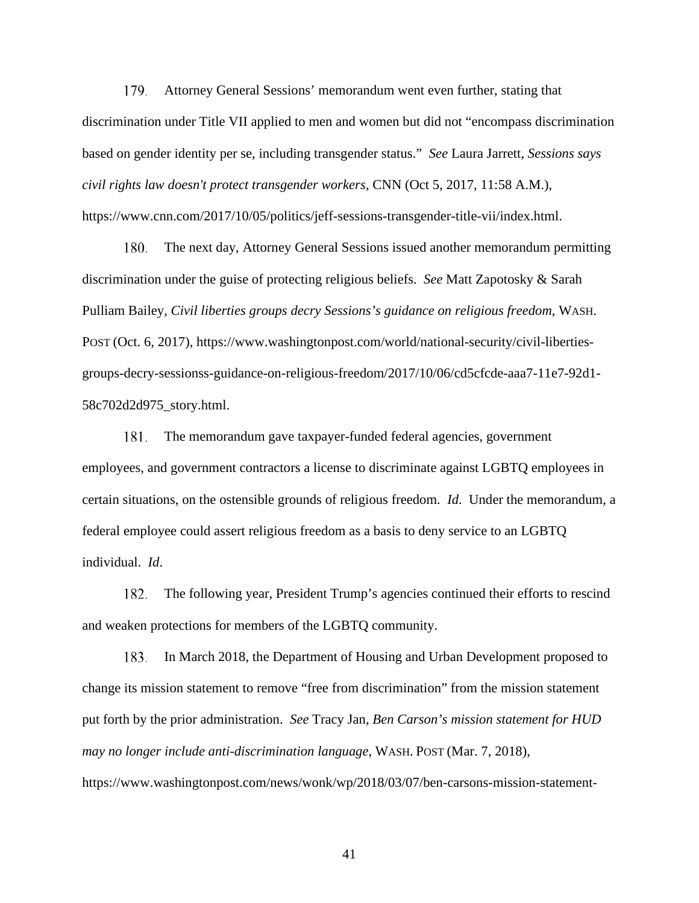Attorney General Sessions' memorandum went even further, stating that discrimination under Title VII applied to men and women but did not "encompass discrimination based on gender identity per se, including transgender status." *See* Laura Jarrett, *Sessions says civil rights law doesn't protect transgender workers*, CNN (Oct 5, 2017, 11:58 A.M.), https://www.cnn.com/2017/10/05/politics/jeff-sessions-transgender-title-vii/index.html. 179.

The next day, Attorney General Sessions issued another memorandum permitting discrimination under the guise of protecting religious beliefs. *See* Matt Zapotosky & Sarah Pulliam Bailey*, Civil liberties groups decry Sessions's guidance on religious freedom*, WASH. POST (Oct. 6, 2017), https://www.washingtonpost.com/world/national-security/civil-libertiesgroups-decry-sessionss-guidance-on-religious-freedom/2017/10/06/cd5cfcde-aaa7-11e7-92d1- 58c702d2d975\_story.html. 180.

The memorandum gave taxpayer-funded federal agencies, government employees, and government contractors a license to discriminate against LGBTQ employees in certain situations, on the ostensible grounds of religious freedom. *Id*. Under the memorandum, a federal employee could assert religious freedom as a basis to deny service to an LGBTQ individual. *Id*. 181.

The following year, President Trump's agencies continued their efforts to rescind and weaken protections for members of the LGBTQ community. 182.

In March 2018, the Department of Housing and Urban Development proposed to change its mission statement to remove "free from discrimination" from the mission statement put forth by the prior administration. *See* Tracy Jan, *Ben Carson's mission statement for HUD may no longer include anti-discrimination language*, WASH. POST (Mar. 7, 2018), https://www.washingtonpost.com/news/wonk/wp/2018/03/07/ben-carsons-mission-statement-183.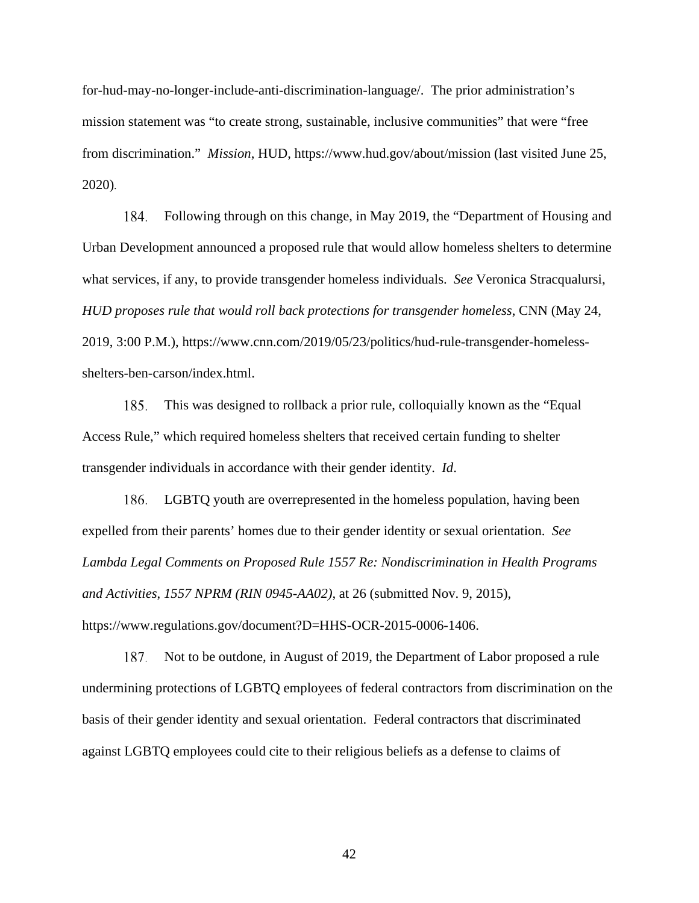for-hud-may-no-longer-include-anti-discrimination-language/. The prior administration's mission statement was "to create strong, sustainable, inclusive communities" that were "free from discrimination." *Mission*, HUD, https://www.hud.gov/about/mission (last visited June 25, 2020).

Following through on this change, in May 2019, the "Department of Housing and Urban Development announced a proposed rule that would allow homeless shelters to determine what services, if any, to provide transgender homeless individuals. *See* Veronica Stracqualursi, *HUD proposes rule that would roll back protections for transgender homeless*, CNN (May 24, 2019, 3:00 P.M.), https://www.cnn.com/2019/05/23/politics/hud-rule-transgender-homelessshelters-ben-carson/index.html. 184.

This was designed to rollback a prior rule, colloquially known as the "Equal Access Rule," which required homeless shelters that received certain funding to shelter transgender individuals in accordance with their gender identity. *Id*. 185.

LGBTQ youth are overrepresented in the homeless population, having been 186. expelled from their parents' homes due to their gender identity or sexual orientation. *See Lambda Legal Comments on Proposed Rule 1557 Re: Nondiscrimination in Health Programs and Activities*, *1557 NPRM (RIN 0945-AA02)*, at 26 (submitted Nov. 9, 2015), https://www.regulations.gov/document?D=HHS-OCR-2015-0006-1406.

Not to be outdone, in August of 2019, the Department of Labor proposed a rule undermining protections of LGBTQ employees of federal contractors from discrimination on the basis of their gender identity and sexual orientation. Federal contractors that discriminated against LGBTQ employees could cite to their religious beliefs as a defense to claims of 187.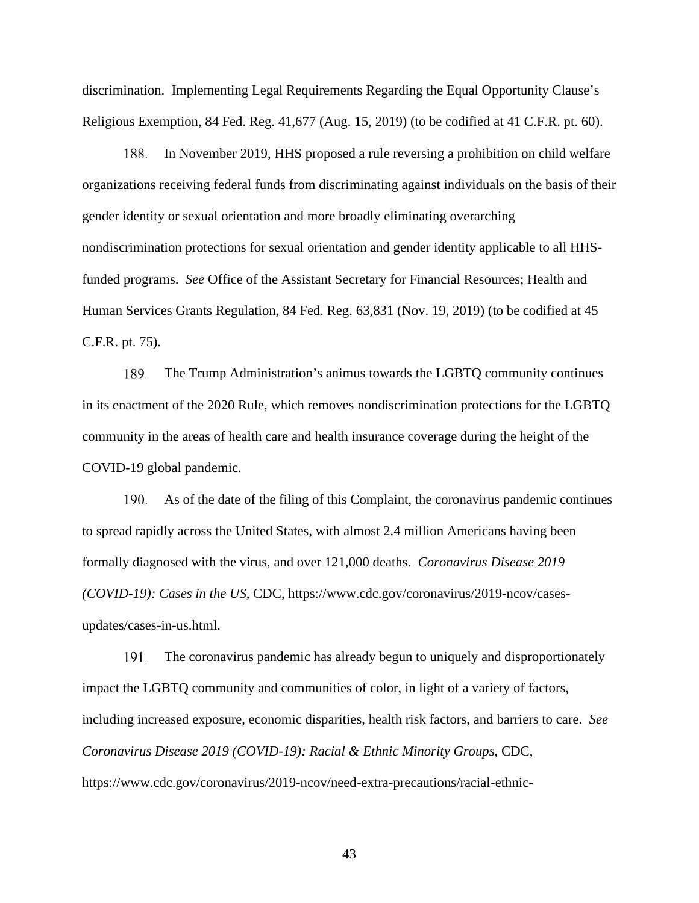discrimination. Implementing Legal Requirements Regarding the Equal Opportunity Clause's Religious Exemption, 84 Fed. Reg. 41,677 (Aug. 15, 2019) (to be codified at 41 C.F.R. pt. 60).

In November 2019, HHS proposed a rule reversing a prohibition on child welfare organizations receiving federal funds from discriminating against individuals on the basis of their gender identity or sexual orientation and more broadly eliminating overarching nondiscrimination protections for sexual orientation and gender identity applicable to all HHSfunded programs. *See* Office of the Assistant Secretary for Financial Resources; Health and Human Services Grants Regulation, 84 Fed. Reg. 63,831 (Nov. 19, 2019) (to be codified at 45 C.F.R. pt. 75). 188.

The Trump Administration's animus towards the LGBTQ community continues in its enactment of the 2020 Rule, which removes nondiscrimination protections for the LGBTQ community in the areas of health care and health insurance coverage during the height of the COVID-19 global pandemic. 189.

As of the date of the filing of this Complaint, the coronavirus pandemic continues to spread rapidly across the United States, with almost 2.4 million Americans having been formally diagnosed with the virus, and over 121,000 deaths. *Coronavirus Disease 2019 (COVID-19): Cases in the US*, CDC, https://www.cdc.gov/coronavirus/2019-ncov/casesupdates/cases-in-us.html. 190.

The coronavirus pandemic has already begun to uniquely and disproportionately impact the LGBTQ community and communities of color, in light of a variety of factors, including increased exposure, economic disparities, health risk factors, and barriers to care. *See Coronavirus Disease 2019 (COVID-19): Racial & Ethnic Minority Groups*, CDC, https://www.cdc.gov/coronavirus/2019-ncov/need-extra-precautions/racial-ethnic-191.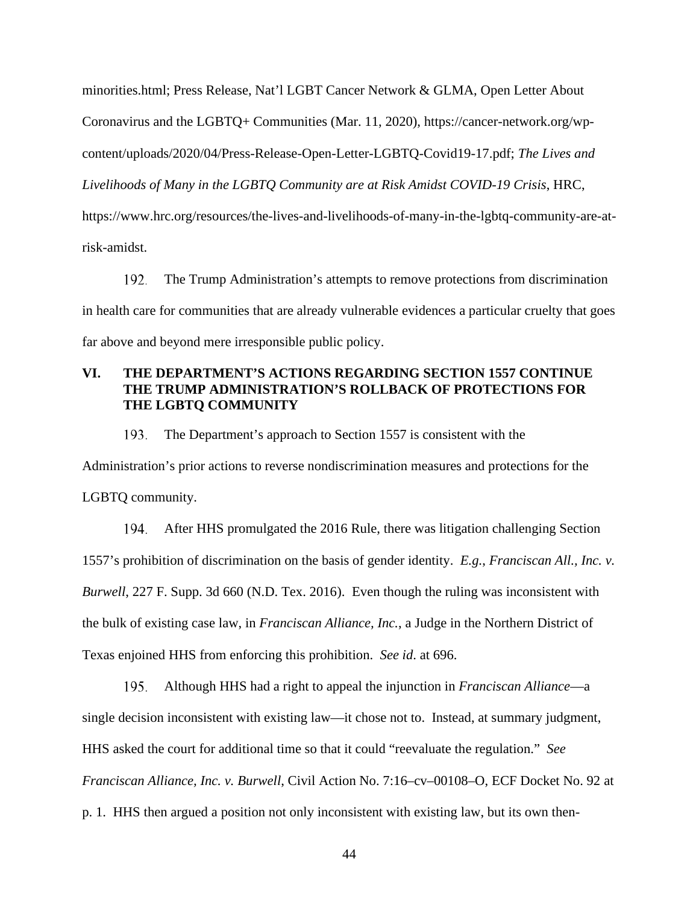minorities.html; Press Release, Nat'l LGBT Cancer Network & GLMA, Open Letter About Coronavirus and the LGBTQ+ Communities (Mar. 11, 2020), https://cancer-network.org/wpcontent/uploads/2020/04/Press-Release-Open-Letter-LGBTQ-Covid19-17.pdf; *The Lives and Livelihoods of Many in the LGBTQ Community are at Risk Amidst COVID-19 Crisis*, HRC, https://www.hrc.org/resources/the-lives-and-livelihoods-of-many-in-the-lgbtq-community-are-atrisk-amidst.

The Trump Administration's attempts to remove protections from discrimination in health care for communities that are already vulnerable evidences a particular cruelty that goes far above and beyond mere irresponsible public policy. 192.

# **VI. THE DEPARTMENT'S ACTIONS REGARDING SECTION 1557 CONTINUE THE TRUMP ADMINISTRATION'S ROLLBACK OF PROTECTIONS FOR THE LGBTQ COMMUNITY**

The Department's approach to Section 1557 is consistent with the Administration's prior actions to reverse nondiscrimination measures and protections for the LGBTQ community. 193.

After HHS promulgated the 2016 Rule, there was litigation challenging Section 1557's prohibition of discrimination on the basis of gender identity. *E.g.*, *Franciscan All., Inc. v. Burwell*, 227 F. Supp. 3d 660 (N.D. Tex. 2016). Even though the ruling was inconsistent with the bulk of existing case law, in *Franciscan Alliance, Inc.*, a Judge in the Northern District of Texas enjoined HHS from enforcing this prohibition. *See id*. at 696. 194.

Although HHS had a right to appeal the injunction in *Franciscan Alliance*—a single decision inconsistent with existing law—it chose not to. Instead, at summary judgment, HHS asked the court for additional time so that it could "reevaluate the regulation." *See Franciscan Alliance, Inc. v. Burwell*, Civil Action No. 7:16–cv–00108–O, ECF Docket No. 92 at p. 1. HHS then argued a position not only inconsistent with existing law, but its own then-195.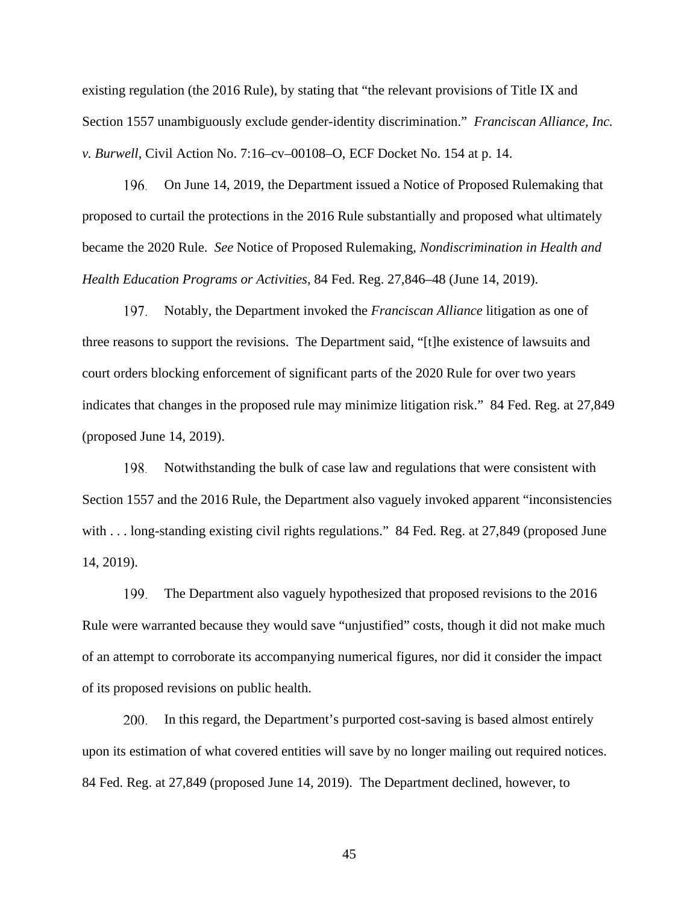existing regulation (the 2016 Rule), by stating that "the relevant provisions of Title IX and Section 1557 unambiguously exclude gender-identity discrimination." *Franciscan Alliance, Inc. v. Burwell*, Civil Action No. 7:16–cv–00108–O, ECF Docket No. 154 at p. 14.

On June 14, 2019, the Department issued a Notice of Proposed Rulemaking that proposed to curtail the protections in the 2016 Rule substantially and proposed what ultimately became the 2020 Rule. *See* Notice of Proposed Rulemaking, *Nondiscrimination in Health and Health Education Programs or Activities,* 84 Fed. Reg. 27,846–48 (June 14, 2019). 196.

Notably, the Department invoked the *Franciscan Alliance* litigation as one of three reasons to support the revisions. The Department said, "[t]he existence of lawsuits and court orders blocking enforcement of significant parts of the 2020 Rule for over two years indicates that changes in the proposed rule may minimize litigation risk." 84 Fed. Reg. at 27,849 (proposed June 14, 2019). 197.

Notwithstanding the bulk of case law and regulations that were consistent with Section 1557 and the 2016 Rule, the Department also vaguely invoked apparent "inconsistencies with . . . long-standing existing civil rights regulations." 84 Fed. Reg. at 27,849 (proposed June 14, 2019). 198.

The Department also vaguely hypothesized that proposed revisions to the 2016 Rule were warranted because they would save "unjustified" costs, though it did not make much of an attempt to corroborate its accompanying numerical figures, nor did it consider the impact of its proposed revisions on public health. 199.

In this regard, the Department's purported cost-saving is based almost entirely upon its estimation of what covered entities will save by no longer mailing out required notices. 84 Fed. Reg. at 27,849 (proposed June 14, 2019). The Department declined, however, to 200.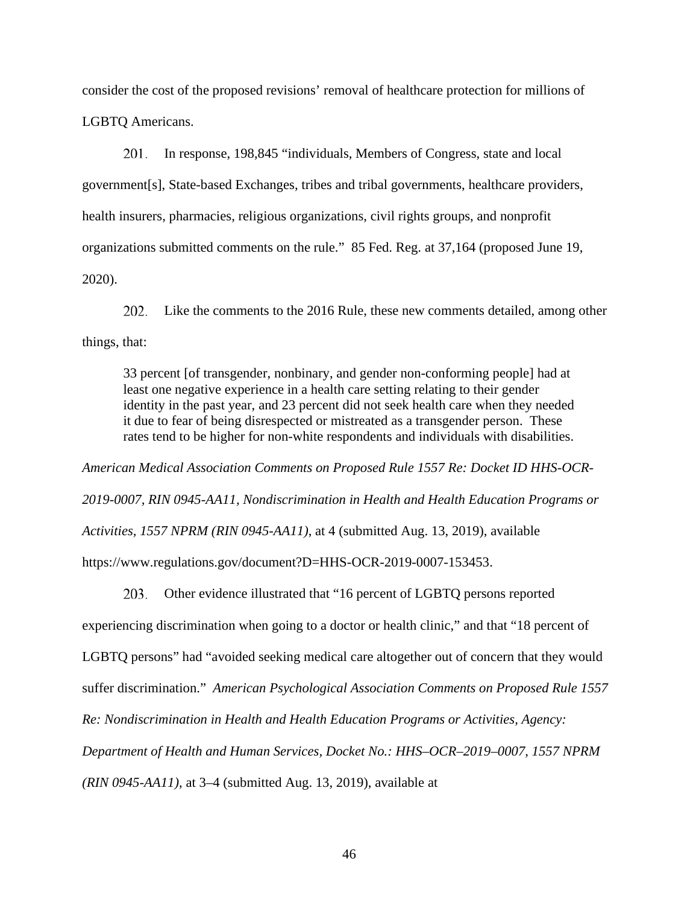consider the cost of the proposed revisions' removal of healthcare protection for millions of LGBTQ Americans.

In response, 198,845 "individuals, Members of Congress, state and local government[s], State-based Exchanges, tribes and tribal governments, healthcare providers, health insurers, pharmacies, religious organizations, civil rights groups, and nonprofit organizations submitted comments on the rule." 85 Fed. Reg. at 37,164 (proposed June 19, 2020). 201.

Like the comments to the 2016 Rule, these new comments detailed, among other things, that: 202.

33 percent [of transgender, nonbinary, and gender non-conforming people] had at least one negative experience in a health care setting relating to their gender identity in the past year, and 23 percent did not seek health care when they needed it due to fear of being disrespected or mistreated as a transgender person. These rates tend to be higher for non-white respondents and individuals with disabilities.

*American Medical Association Comments on Proposed Rule 1557 Re: Docket ID HHS-OCR-2019-0007, RIN 0945-AA11, Nondiscrimination in Health and Health Education Programs or Activities, 1557 NPRM (RIN 0945-AA11)*, at 4 (submitted Aug. 13, 2019), available https://www.regulations.gov/document?D=HHS-OCR-2019-0007-153453.

Other evidence illustrated that "16 percent of LGBTQ persons reported experiencing discrimination when going to a doctor or health clinic," and that "18 percent of LGBTQ persons" had "avoided seeking medical care altogether out of concern that they would suffer discrimination." *American Psychological Association Comments on Proposed Rule 1557 Re: Nondiscrimination in Health and Health Education Programs or Activities, Agency: Department of Health and Human Services, Docket No.: HHS–OCR–2019–0007, 1557 NPRM (RIN 0945-AA11)*, at 3–4 (submitted Aug. 13, 2019), available at 203.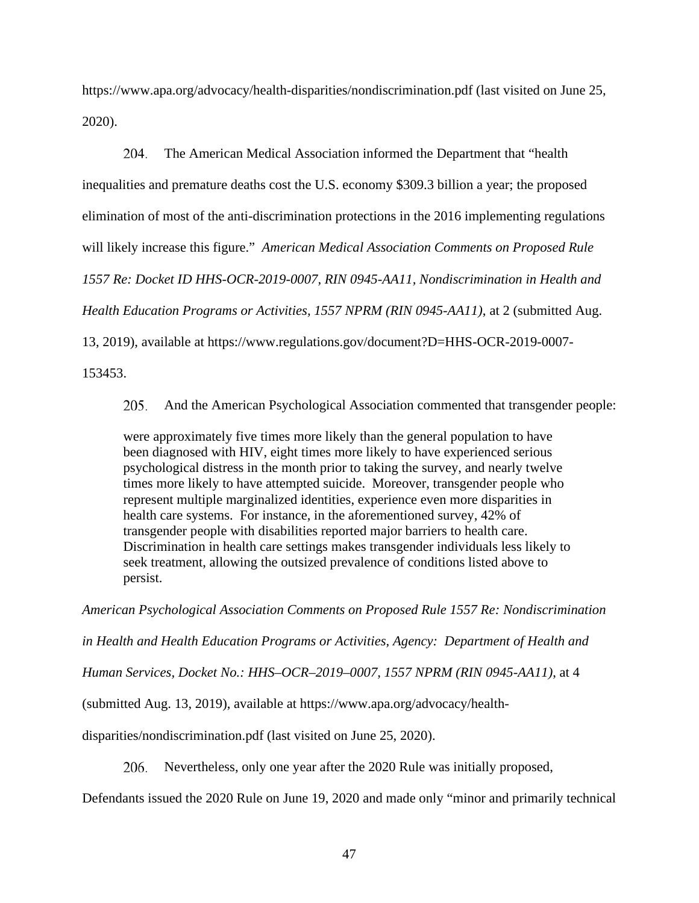https://www.apa.org/advocacy/health-disparities/nondiscrimination.pdf (last visited on June 25, 2020).

The American Medical Association informed the Department that "health inequalities and premature deaths cost the U.S. economy \$309.3 billion a year; the proposed elimination of most of the anti-discrimination protections in the 2016 implementing regulations will likely increase this figure." *American Medical Association Comments on Proposed Rule 1557 Re: Docket ID HHS-OCR-2019-0007, RIN 0945-AA11, Nondiscrimination in Health and Health Education Programs or Activities, 1557 NPRM (RIN 0945-AA11)*, at 2 (submitted Aug. 13, 2019), available at https://www.regulations.gov/document?D=HHS-OCR-2019-0007- 204.

153453.

And the American Psychological Association commented that transgender people: 205.

were approximately five times more likely than the general population to have been diagnosed with HIV, eight times more likely to have experienced serious psychological distress in the month prior to taking the survey, and nearly twelve times more likely to have attempted suicide. Moreover, transgender people who represent multiple marginalized identities, experience even more disparities in health care systems. For instance, in the aforementioned survey, 42% of transgender people with disabilities reported major barriers to health care. Discrimination in health care settings makes transgender individuals less likely to seek treatment, allowing the outsized prevalence of conditions listed above to persist.

*American Psychological Association Comments on Proposed Rule 1557 Re: Nondiscrimination* 

*in Health and Health Education Programs or Activities, Agency: Department of Health and* 

*Human Services, Docket No.: HHS–OCR–2019–0007, 1557 NPRM (RIN 0945-AA11)*, at 4

(submitted Aug. 13, 2019), available at https://www.apa.org/advocacy/health-

disparities/nondiscrimination.pdf (last visited on June 25, 2020).

Nevertheless, only one year after the 2020 Rule was initially proposed, 206.

Defendants issued the 2020 Rule on June 19, 2020 and made only "minor and primarily technical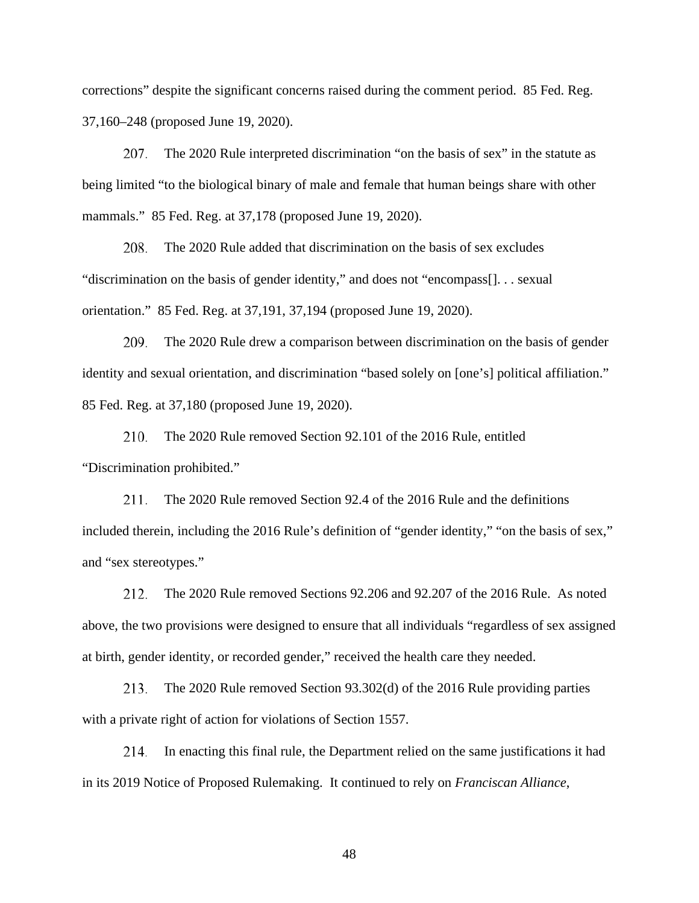corrections" despite the significant concerns raised during the comment period. 85 Fed. Reg. 37,160–248 (proposed June 19, 2020).

The 2020 Rule interpreted discrimination "on the basis of sex" in the statute as being limited "to the biological binary of male and female that human beings share with other mammals." 85 Fed. Reg. at 37,178 (proposed June 19, 2020). 207.

The 2020 Rule added that discrimination on the basis of sex excludes "discrimination on the basis of gender identity," and does not "encompass[]. . . sexual orientation." 85 Fed. Reg. at 37,191, 37,194 (proposed June 19, 2020). 208.

The 2020 Rule drew a comparison between discrimination on the basis of gender identity and sexual orientation, and discrimination "based solely on [one's] political affiliation." 85 Fed. Reg. at 37,180 (proposed June 19, 2020). 209.

The 2020 Rule removed Section 92.101 of the 2016 Rule, entitled "Discrimination prohibited." 210.

The 2020 Rule removed Section 92.4 of the 2016 Rule and the definitions included therein, including the 2016 Rule's definition of "gender identity," "on the basis of sex," and "sex stereotypes." 211.

The 2020 Rule removed Sections 92.206 and 92.207 of the 2016 Rule. As noted above, the two provisions were designed to ensure that all individuals "regardless of sex assigned at birth, gender identity, or recorded gender," received the health care they needed. 212.

The 2020 Rule removed Section 93.302(d) of the 2016 Rule providing parties with a private right of action for violations of Section 1557. 213.

In enacting this final rule, the Department relied on the same justifications it had in its 2019 Notice of Proposed Rulemaking. It continued to rely on *Franciscan Alliance*, 214.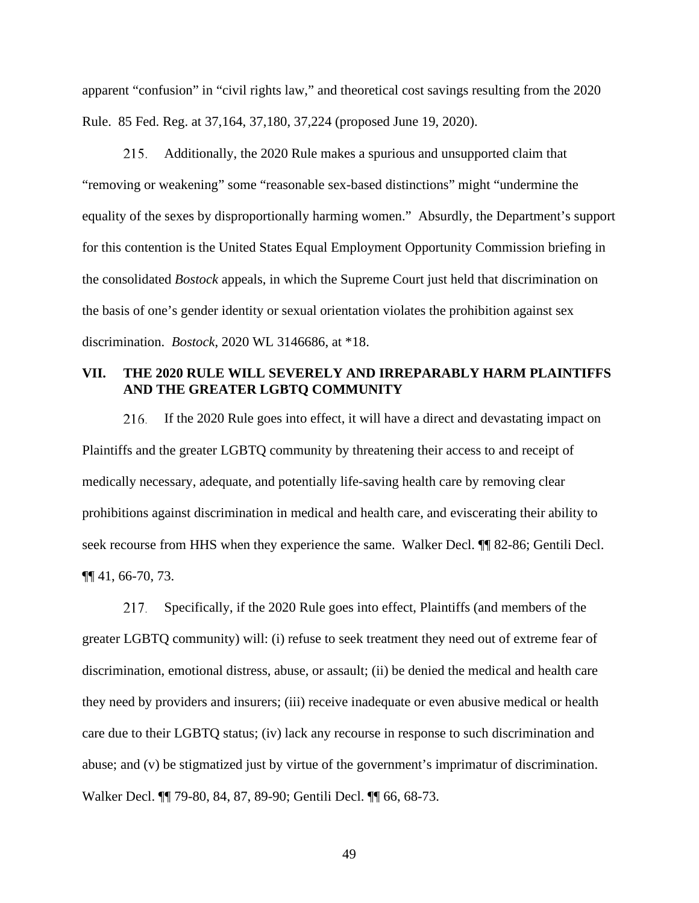apparent "confusion" in "civil rights law," and theoretical cost savings resulting from the 2020 Rule. 85 Fed. Reg. at 37,164, 37,180, 37,224 (proposed June 19, 2020).

Additionally, the 2020 Rule makes a spurious and unsupported claim that "removing or weakening" some "reasonable sex-based distinctions" might "undermine the equality of the sexes by disproportionally harming women." Absurdly, the Department's support for this contention is the United States Equal Employment Opportunity Commission briefing in the consolidated *Bostock* appeals, in which the Supreme Court just held that discrimination on the basis of one's gender identity or sexual orientation violates the prohibition against sex discrimination. *Bostock*, 2020 WL 3146686, at \*18. 215.

## **VII. THE 2020 RULE WILL SEVERELY AND IRREPARABLY HARM PLAINTIFFS AND THE GREATER LGBTQ COMMUNITY**

If the 2020 Rule goes into effect, it will have a direct and devastating impact on Plaintiffs and the greater LGBTQ community by threatening their access to and receipt of medically necessary, adequate, and potentially life-saving health care by removing clear prohibitions against discrimination in medical and health care, and eviscerating their ability to seek recourse from HHS when they experience the same. Walker Decl. ¶¶ 82-86; Gentili Decl. ¶¶ 41, 66-70, 73. 216.

Specifically, if the 2020 Rule goes into effect, Plaintiffs (and members of the greater LGBTQ community) will: (i) refuse to seek treatment they need out of extreme fear of discrimination, emotional distress, abuse, or assault; (ii) be denied the medical and health care they need by providers and insurers; (iii) receive inadequate or even abusive medical or health care due to their LGBTQ status; (iv) lack any recourse in response to such discrimination and abuse; and (v) be stigmatized just by virtue of the government's imprimatur of discrimination. Walker Decl. ¶¶ 79-80, 84, 87, 89-90; Gentili Decl. ¶¶ 66, 68-73. 217.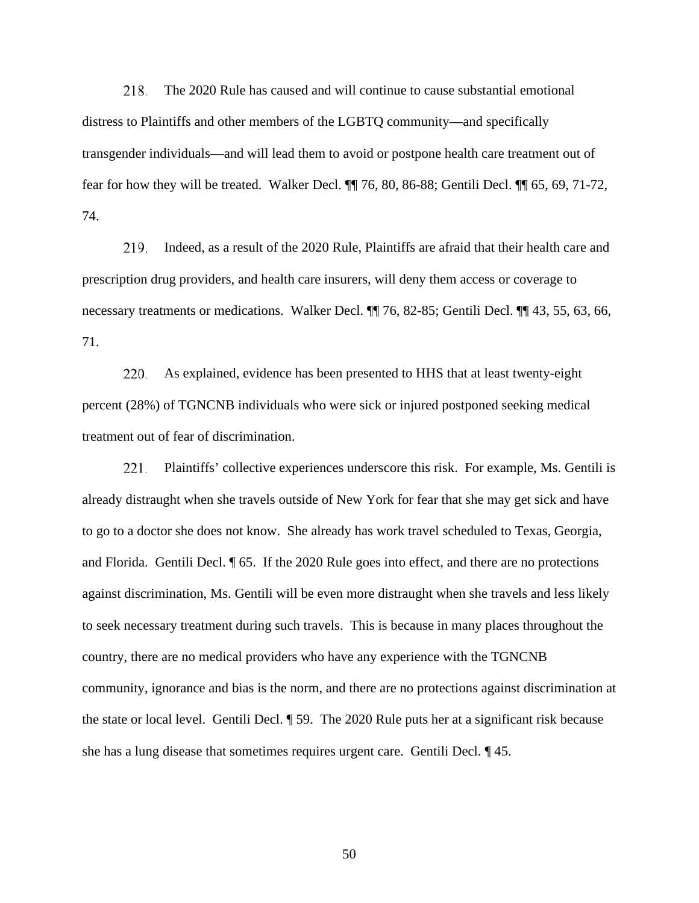The 2020 Rule has caused and will continue to cause substantial emotional distress to Plaintiffs and other members of the LGBTQ community—and specifically transgender individuals—and will lead them to avoid or postpone health care treatment out of fear for how they will be treated. Walker Decl. ¶¶ 76, 80, 86-88; Gentili Decl. ¶¶ 65, 69, 71-72, 74. 218.

Indeed, as a result of the 2020 Rule, Plaintiffs are afraid that their health care and prescription drug providers, and health care insurers, will deny them access or coverage to necessary treatments or medications. Walker Decl.  $\P$  76, 82-85; Gentili Decl.  $\P$  43, 55, 63, 66, 71. 219.

As explained, evidence has been presented to HHS that at least twenty-eight percent (28%) of TGNCNB individuals who were sick or injured postponed seeking medical treatment out of fear of discrimination. 220.

Plaintiffs' collective experiences underscore this risk. For example, Ms. Gentili is already distraught when she travels outside of New York for fear that she may get sick and have to go to a doctor she does not know. She already has work travel scheduled to Texas, Georgia, and Florida. Gentili Decl. ¶ 65. If the 2020 Rule goes into effect, and there are no protections against discrimination, Ms. Gentili will be even more distraught when she travels and less likely to seek necessary treatment during such travels. This is because in many places throughout the country, there are no medical providers who have any experience with the TGNCNB community, ignorance and bias is the norm, and there are no protections against discrimination at the state or local level. Gentili Decl. ¶ 59. The 2020 Rule puts her at a significant risk because she has a lung disease that sometimes requires urgent care. Gentili Decl. ¶ 45. 221.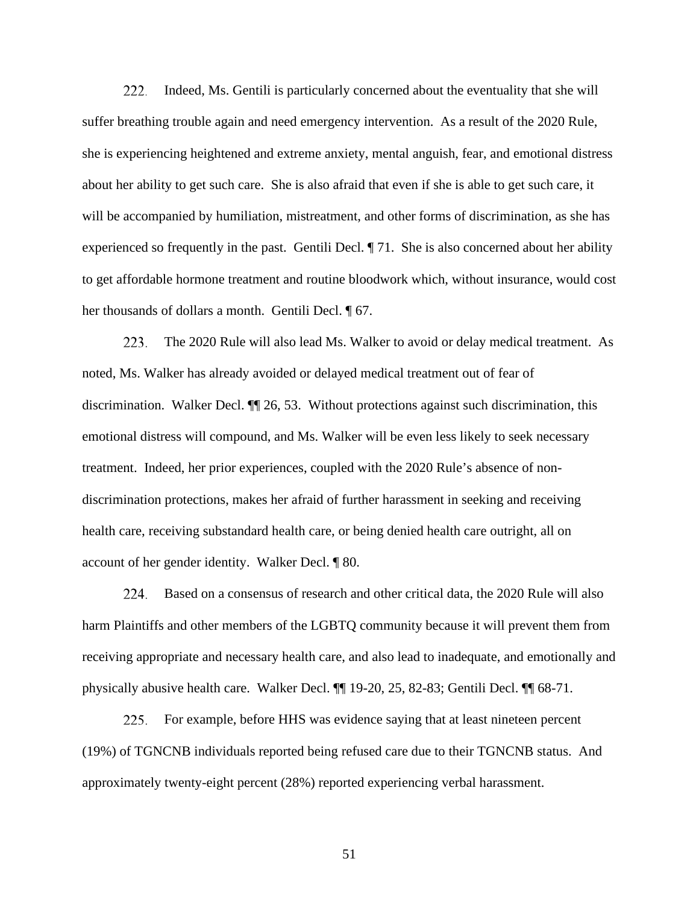Indeed, Ms. Gentili is particularly concerned about the eventuality that she will suffer breathing trouble again and need emergency intervention. As a result of the 2020 Rule, she is experiencing heightened and extreme anxiety, mental anguish, fear, and emotional distress about her ability to get such care. She is also afraid that even if she is able to get such care, it will be accompanied by humiliation, mistreatment, and other forms of discrimination, as she has experienced so frequently in the past. Gentili Decl. ¶ 71. She is also concerned about her ability to get affordable hormone treatment and routine bloodwork which, without insurance, would cost her thousands of dollars a month. Gentili Decl. ¶ 67. 222.

The 2020 Rule will also lead Ms. Walker to avoid or delay medical treatment. As noted, Ms. Walker has already avoided or delayed medical treatment out of fear of discrimination. Walker Decl. ¶¶ 26, 53. Without protections against such discrimination, this emotional distress will compound, and Ms. Walker will be even less likely to seek necessary treatment. Indeed, her prior experiences, coupled with the 2020 Rule's absence of nondiscrimination protections, makes her afraid of further harassment in seeking and receiving health care, receiving substandard health care, or being denied health care outright, all on account of her gender identity. Walker Decl. ¶ 80. 223.

Based on a consensus of research and other critical data, the 2020 Rule will also harm Plaintiffs and other members of the LGBTQ community because it will prevent them from receiving appropriate and necessary health care, and also lead to inadequate, and emotionally and physically abusive health care. Walker Decl. ¶¶ 19-20, 25, 82-83; Gentili Decl. ¶¶ 68-71. 224.

For example, before HHS was evidence saying that at least nineteen percent (19%) of TGNCNB individuals reported being refused care due to their TGNCNB status. And approximately twenty-eight percent (28%) reported experiencing verbal harassment. 225.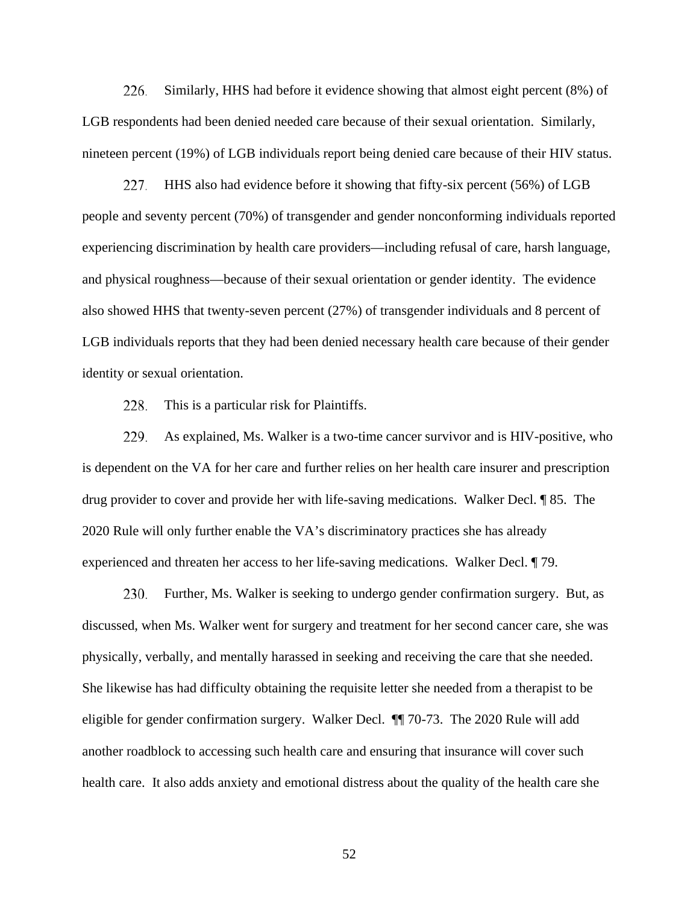Similarly, HHS had before it evidence showing that almost eight percent (8%) of LGB respondents had been denied needed care because of their sexual orientation. Similarly, nineteen percent (19%) of LGB individuals report being denied care because of their HIV status. 226.

HHS also had evidence before it showing that fifty-six percent (56%) of LGB people and seventy percent (70%) of transgender and gender nonconforming individuals reported experiencing discrimination by health care providers—including refusal of care, harsh language, and physical roughness—because of their sexual orientation or gender identity. The evidence also showed HHS that twenty-seven percent (27%) of transgender individuals and 8 percent of LGB individuals reports that they had been denied necessary health care because of their gender identity or sexual orientation. 227.

This is a particular risk for Plaintiffs. 228.

As explained, Ms. Walker is a two-time cancer survivor and is HIV-positive, who is dependent on the VA for her care and further relies on her health care insurer and prescription drug provider to cover and provide her with life-saving medications. Walker Decl. ¶ 85. The 2020 Rule will only further enable the VA's discriminatory practices she has already experienced and threaten her access to her life-saving medications. Walker Decl. ¶ 79. 229.

Further, Ms. Walker is seeking to undergo gender confirmation surgery. But, as discussed, when Ms. Walker went for surgery and treatment for her second cancer care, she was physically, verbally, and mentally harassed in seeking and receiving the care that she needed. She likewise has had difficulty obtaining the requisite letter she needed from a therapist to be eligible for gender confirmation surgery. Walker Decl. ¶¶ 70-73. The 2020 Rule will add another roadblock to accessing such health care and ensuring that insurance will cover such health care. It also adds anxiety and emotional distress about the quality of the health care she 230.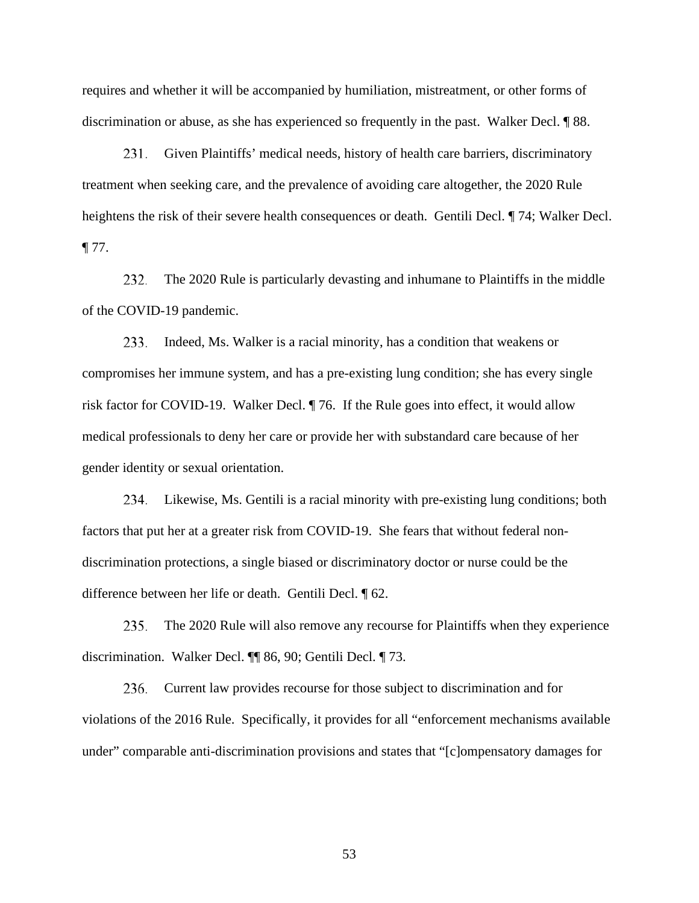requires and whether it will be accompanied by humiliation, mistreatment, or other forms of discrimination or abuse, as she has experienced so frequently in the past. Walker Decl. ¶ 88.

Given Plaintiffs' medical needs, history of health care barriers, discriminatory treatment when seeking care, and the prevalence of avoiding care altogether, the 2020 Rule heightens the risk of their severe health consequences or death. Gentili Decl. ¶ 74; Walker Decl. ¶ 77. 231.

The 2020 Rule is particularly devasting and inhumane to Plaintiffs in the middle of the COVID-19 pandemic. 232.

Indeed, Ms. Walker is a racial minority, has a condition that weakens or compromises her immune system, and has a pre-existing lung condition; she has every single risk factor for COVID-19. Walker Decl. ¶ 76. If the Rule goes into effect, it would allow medical professionals to deny her care or provide her with substandard care because of her gender identity or sexual orientation. 233.

Likewise, Ms. Gentili is a racial minority with pre-existing lung conditions; both 234. factors that put her at a greater risk from COVID-19. She fears that without federal nondiscrimination protections, a single biased or discriminatory doctor or nurse could be the difference between her life or death. Gentili Decl. ¶ 62.

The 2020 Rule will also remove any recourse for Plaintiffs when they experience discrimination. Walker Decl. ¶¶ 86, 90; Gentili Decl. ¶ 73. 235.

Current law provides recourse for those subject to discrimination and for violations of the 2016 Rule. Specifically, it provides for all "enforcement mechanisms available under" comparable anti-discrimination provisions and states that "[c]ompensatory damages for 236.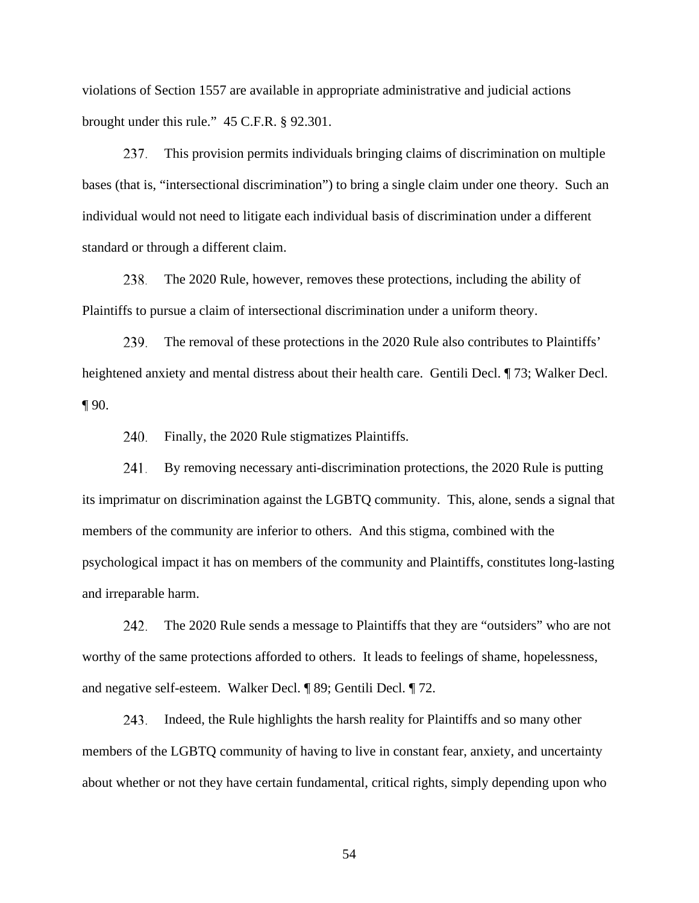violations of Section 1557 are available in appropriate administrative and judicial actions brought under this rule." 45 C.F.R. § 92.301.

This provision permits individuals bringing claims of discrimination on multiple bases (that is, "intersectional discrimination") to bring a single claim under one theory. Such an individual would not need to litigate each individual basis of discrimination under a different standard or through a different claim. 237.

The 2020 Rule, however, removes these protections, including the ability of Plaintiffs to pursue a claim of intersectional discrimination under a uniform theory. 238.

The removal of these protections in the 2020 Rule also contributes to Plaintiffs' heightened anxiety and mental distress about their health care. Gentili Decl. ¶ 73; Walker Decl.  $\P$  90. 239.

Finally, the 2020 Rule stigmatizes Plaintiffs. 240.

By removing necessary anti-discrimination protections, the 2020 Rule is putting its imprimatur on discrimination against the LGBTQ community. This, alone, sends a signal that members of the community are inferior to others. And this stigma, combined with the psychological impact it has on members of the community and Plaintiffs, constitutes long-lasting and irreparable harm. 241.

The 2020 Rule sends a message to Plaintiffs that they are "outsiders" who are not worthy of the same protections afforded to others. It leads to feelings of shame, hopelessness, and negative self-esteem. Walker Decl. ¶ 89; Gentili Decl. ¶ 72. 242.

Indeed, the Rule highlights the harsh reality for Plaintiffs and so many other members of the LGBTQ community of having to live in constant fear, anxiety, and uncertainty about whether or not they have certain fundamental, critical rights, simply depending upon who 243.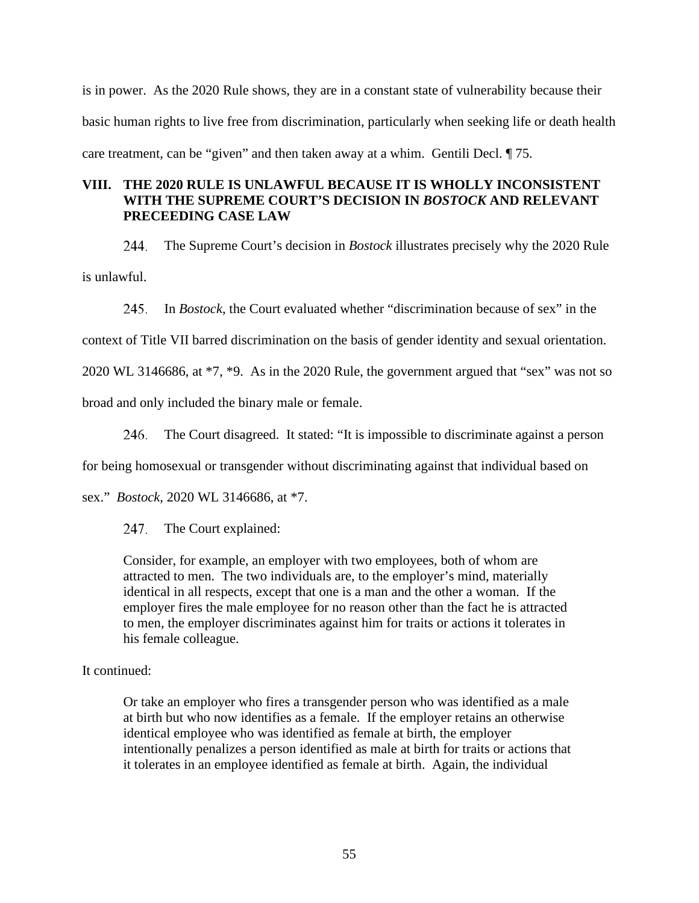is in power. As the 2020 Rule shows, they are in a constant state of vulnerability because their basic human rights to live free from discrimination, particularly when seeking life or death health care treatment, can be "given" and then taken away at a whim. Gentili Decl. ¶ 75.

# **VIII. THE 2020 RULE IS UNLAWFUL BECAUSE IT IS WHOLLY INCONSISTENT WITH THE SUPREME COURT'S DECISION IN** *BOSTOCK* **AND RELEVANT PRECEEDING CASE LAW**

The Supreme Court's decision in *Bostock* illustrates precisely why the 2020 Rule is unlawful. 244.

In *Bostock*, the Court evaluated whether "discrimination because of sex" in the 245,

context of Title VII barred discrimination on the basis of gender identity and sexual orientation.

2020 WL 3146686, at \*7, \*9. As in the 2020 Rule, the government argued that "sex" was not so

broad and only included the binary male or female.

The Court disagreed. It stated: "It is impossible to discriminate against a person 246.

for being homosexual or transgender without discriminating against that individual based on

sex." *Bostock*, 2020 WL 3146686, at \*7.

The Court explained: 247.

Consider, for example, an employer with two employees, both of whom are attracted to men. The two individuals are, to the employer's mind, materially identical in all respects, except that one is a man and the other a woman. If the employer fires the male employee for no reason other than the fact he is attracted to men, the employer discriminates against him for traits or actions it tolerates in his female colleague.

# It continued:

Or take an employer who fires a transgender person who was identified as a male at birth but who now identifies as a female. If the employer retains an otherwise identical employee who was identified as female at birth, the employer intentionally penalizes a person identified as male at birth for traits or actions that it tolerates in an employee identified as female at birth. Again, the individual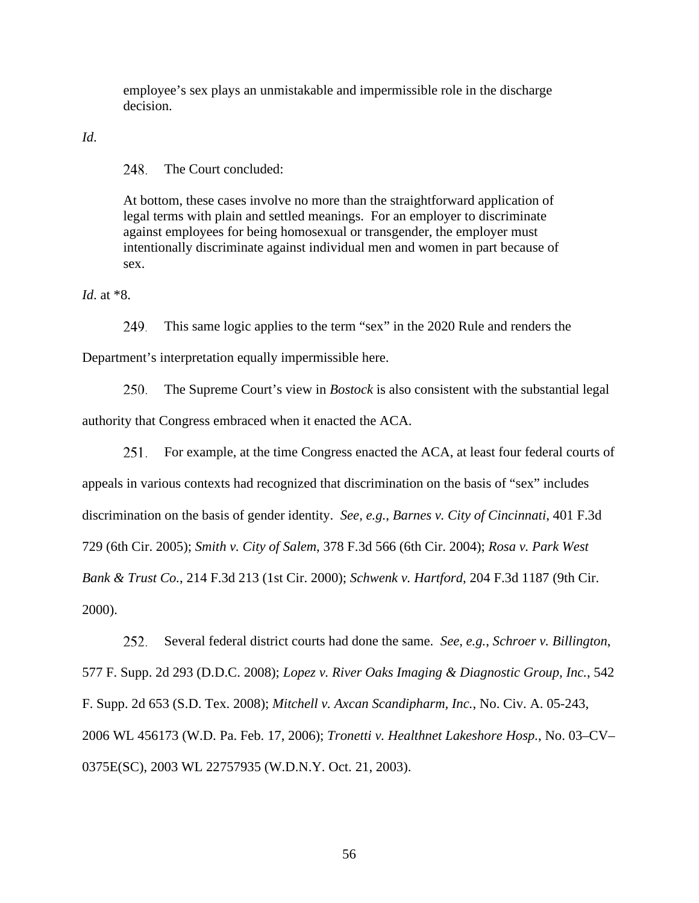employee's sex plays an unmistakable and impermissible role in the discharge decision.

*Id*.

The Court concluded: 248,

At bottom, these cases involve no more than the straightforward application of legal terms with plain and settled meanings. For an employer to discriminate against employees for being homosexual or transgender, the employer must intentionally discriminate against individual men and women in part because of sex.

*Id*. at \*8.

This same logic applies to the term "sex" in the 2020 Rule and renders the Department's interpretation equally impermissible here. 249.

The Supreme Court's view in *Bostock* is also consistent with the substantial legal authority that Congress embraced when it enacted the ACA. 250.

For example, at the time Congress enacted the ACA, at least four federal courts of 251. appeals in various contexts had recognized that discrimination on the basis of "sex" includes discrimination on the basis of gender identity. *See, e.g.*, *Barnes v. City of Cincinnati*, 401 F.3d 729 (6th Cir. 2005); *Smith v. City of Salem*, 378 F.3d 566 (6th Cir. 2004); *Rosa v. Park West Bank & Trust Co.*, 214 F.3d 213 (1st Cir. 2000); *Schwenk v. Hartford*, 204 F.3d 1187 (9th Cir. 2000).

Several federal district courts had done the same. *See, e.g.*, *Schroer v. Billington*, 577 F. Supp. 2d 293 (D.D.C. 2008); *Lopez v. River Oaks Imaging & Diagnostic Group, Inc.*, 542 F. Supp. 2d 653 (S.D. Tex. 2008); *Mitchell v. Axcan Scandipharm, Inc.*, No. Civ. A. 05-243, 2006 WL 456173 (W.D. Pa. Feb. 17, 2006); *Tronetti v. Healthnet Lakeshore Hosp.*, No. 03–CV– 0375E(SC), 2003 WL 22757935 (W.D.N.Y. Oct. 21, 2003). 252.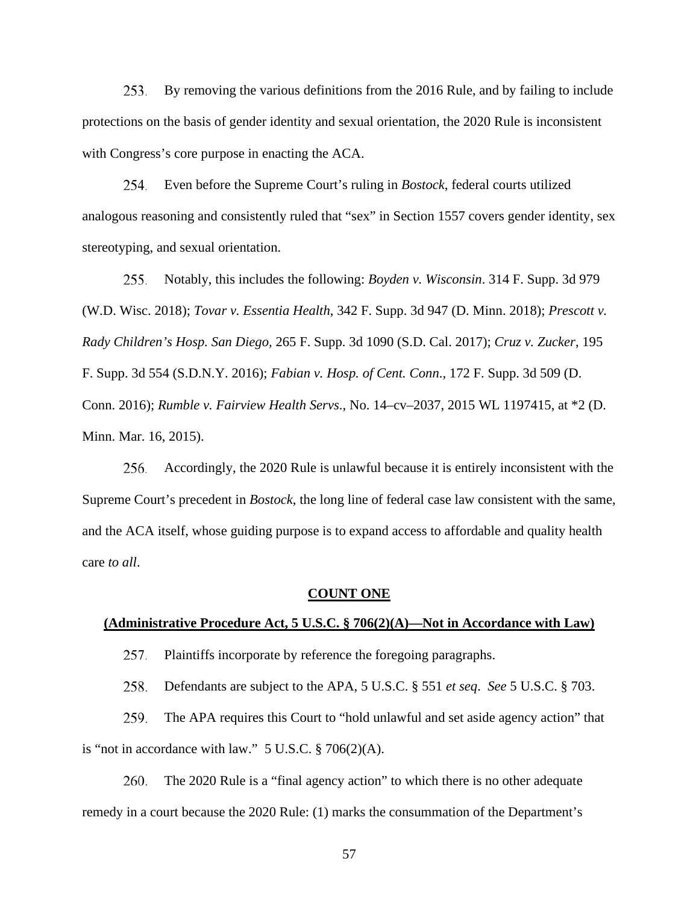By removing the various definitions from the 2016 Rule, and by failing to include protections on the basis of gender identity and sexual orientation, the 2020 Rule is inconsistent with Congress's core purpose in enacting the ACA. 253.

Even before the Supreme Court's ruling in *Bostock*, federal courts utilized analogous reasoning and consistently ruled that "sex" in Section 1557 covers gender identity, sex stereotyping, and sexual orientation. 254.

Notably, this includes the following: *Boyden v. Wisconsin*. 314 F. Supp. 3d 979 (W.D. Wisc. 2018); *Tovar v. Essentia Health*, 342 F. Supp. 3d 947 (D. Minn. 2018); *Prescott v. Rady Children's Hosp. San Diego,* 265 F. Supp. 3d 1090 (S.D. Cal. 2017); *Cruz v. Zucker*, 195 F. Supp. 3d 554 (S.D.N.Y. 2016); *Fabian v. Hosp. of Cent. Conn*., 172 F. Supp. 3d 509 (D. Conn. 2016); *Rumble v. Fairview Health Servs*., No. 14–cv–2037, 2015 WL 1197415, at \*2 (D. Minn. Mar. 16, 2015). 255.

Accordingly, the 2020 Rule is unlawful because it is entirely inconsistent with the Supreme Court's precedent in *Bostock*, the long line of federal case law consistent with the same, and the ACA itself, whose guiding purpose is to expand access to affordable and quality health care *to all*. 256.

#### **COUNT ONE**

#### **(Administrative Procedure Act, 5 U.S.C. § 706(2)(A)—Not in Accordance with Law)**

Plaintiffs incorporate by reference the foregoing paragraphs. 257.

Defendants are subject to the APA, 5 U.S.C. § 551 *et seq*. *See* 5 U.S.C. § 703. 258.

The APA requires this Court to "hold unlawful and set aside agency action" that is "not in accordance with law."  $5 \text{ U.S.C.} \$   $706(2)(\text{A})$ . 259.

The 2020 Rule is a "final agency action" to which there is no other adequate remedy in a court because the 2020 Rule: (1) marks the consummation of the Department's 260.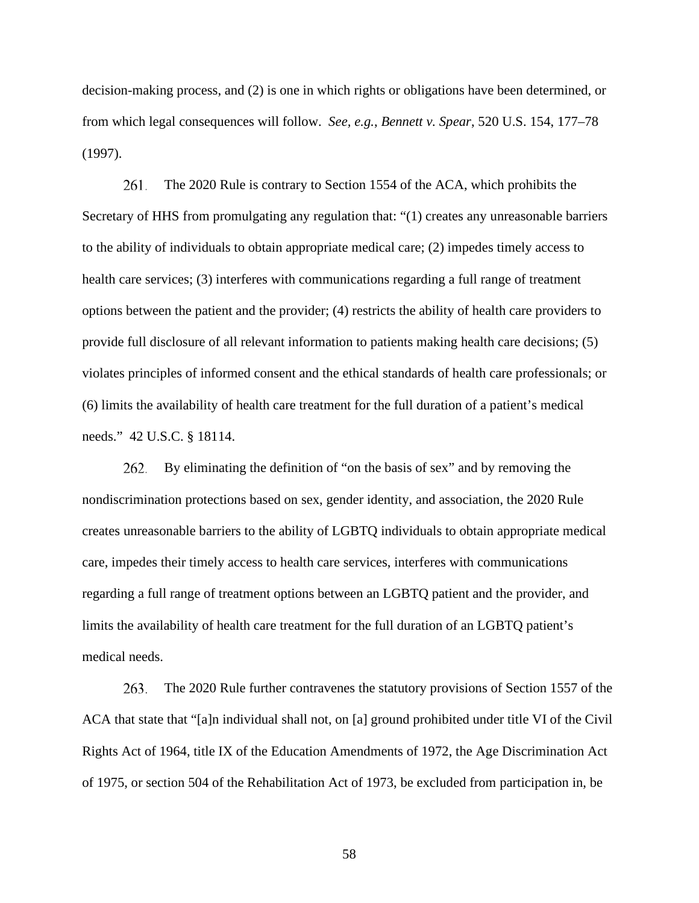decision-making process, and (2) is one in which rights or obligations have been determined, or from which legal consequences will follow. *See, e.g.*, *Bennett v. Spear*, 520 U.S. 154, 177–78 (1997).

The 2020 Rule is contrary to Section 1554 of the ACA, which prohibits the Secretary of HHS from promulgating any regulation that: "(1) creates any unreasonable barriers to the ability of individuals to obtain appropriate medical care; (2) impedes timely access to health care services; (3) interferes with communications regarding a full range of treatment options between the patient and the provider; (4) restricts the ability of health care providers to provide full disclosure of all relevant information to patients making health care decisions; (5) violates principles of informed consent and the ethical standards of health care professionals; or (6) limits the availability of health care treatment for the full duration of a patient's medical needs." 42 U.S.C. § 18114. 261.

By eliminating the definition of "on the basis of sex" and by removing the nondiscrimination protections based on sex, gender identity, and association, the 2020 Rule creates unreasonable barriers to the ability of LGBTQ individuals to obtain appropriate medical care, impedes their timely access to health care services, interferes with communications regarding a full range of treatment options between an LGBTQ patient and the provider, and limits the availability of health care treatment for the full duration of an LGBTQ patient's medical needs. 262.

The 2020 Rule further contravenes the statutory provisions of Section 1557 of the ACA that state that "[a]n individual shall not, on [a] ground prohibited under title VI of the Civil Rights Act of 1964, title IX of the Education Amendments of 1972, the Age Discrimination Act of 1975, or section 504 of the Rehabilitation Act of 1973, be excluded from participation in, be 263.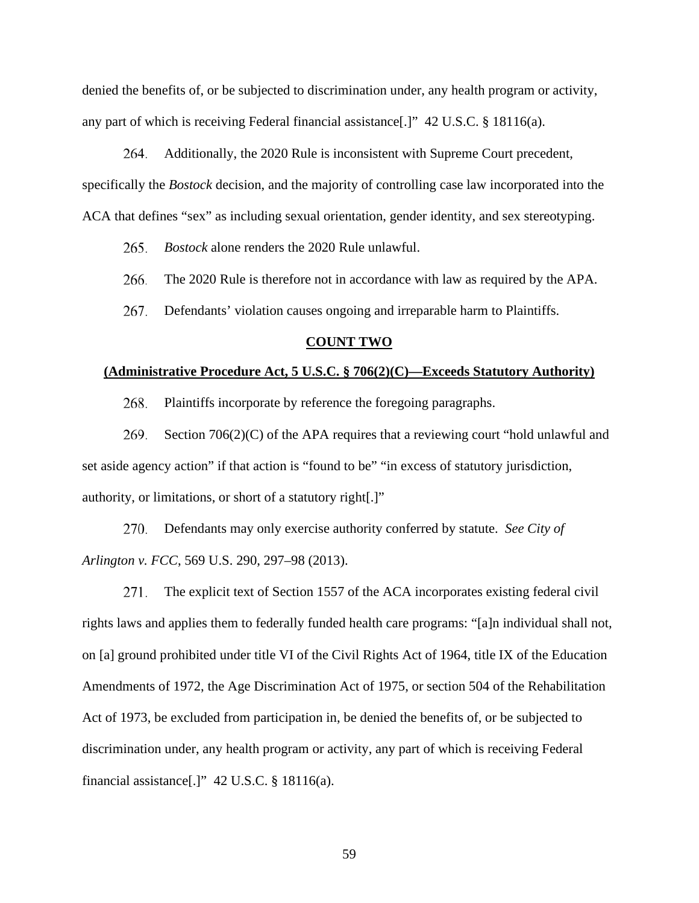denied the benefits of, or be subjected to discrimination under, any health program or activity, any part of which is receiving Federal financial assistance[.]" 42 U.S.C. § 18116(a).

Additionally, the 2020 Rule is inconsistent with Supreme Court precedent, specifically the *Bostock* decision, and the majority of controlling case law incorporated into the ACA that defines "sex" as including sexual orientation, gender identity, and sex stereotyping. 264.

*Bostock* alone renders the 2020 Rule unlawful. 265.

The 2020 Rule is therefore not in accordance with law as required by the APA. 266.

Defendants' violation causes ongoing and irreparable harm to Plaintiffs. 267.

### **COUNT TWO**

### **(Administrative Procedure Act, 5 U.S.C. § 706(2)(C)—Exceeds Statutory Authority)**

Plaintiffs incorporate by reference the foregoing paragraphs. 268.

Section 706(2)(C) of the APA requires that a reviewing court "hold unlawful and set aside agency action" if that action is "found to be" "in excess of statutory jurisdiction, authority, or limitations, or short of a statutory right[.]" 269.

Defendants may only exercise authority conferred by statute. *See City of Arlington v. FCC*, 569 U.S. 290, 297–98 (2013). 270.

The explicit text of Section 1557 of the ACA incorporates existing federal civil rights laws and applies them to federally funded health care programs: "[a]n individual shall not, on [a] ground prohibited under title VI of the Civil Rights Act of 1964, title IX of the Education Amendments of 1972, the Age Discrimination Act of 1975, or section 504 of the Rehabilitation Act of 1973, be excluded from participation in, be denied the benefits of, or be subjected to discrimination under, any health program or activity, any part of which is receiving Federal financial assistance[.]" 42 U.S.C. § 18116(a). 271.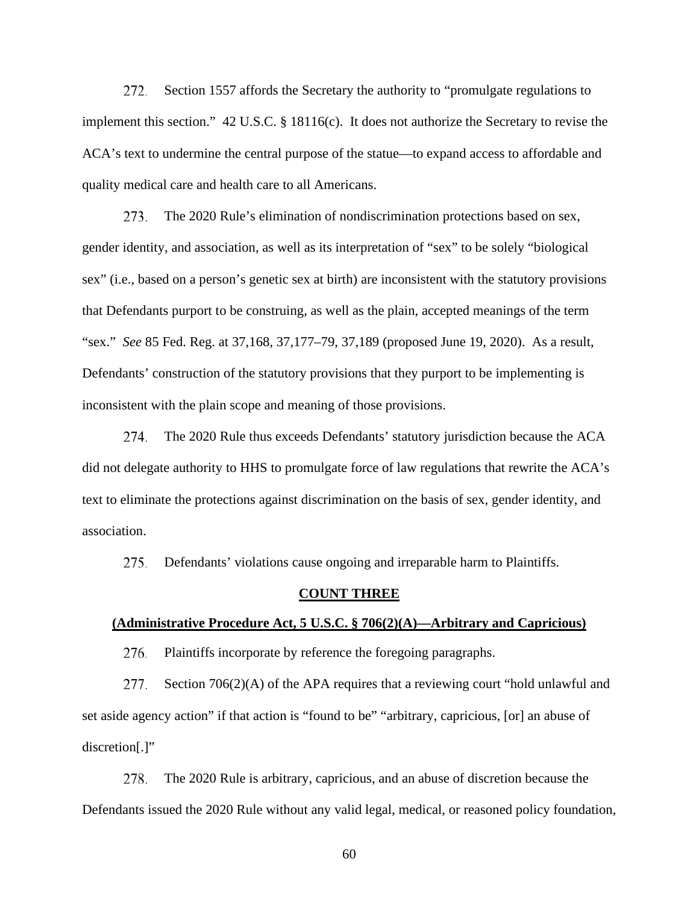Section 1557 affords the Secretary the authority to "promulgate regulations to implement this section." 42 U.S.C. § 18116(c). It does not authorize the Secretary to revise the ACA's text to undermine the central purpose of the statue—to expand access to affordable and quality medical care and health care to all Americans. 272.

The 2020 Rule's elimination of nondiscrimination protections based on sex, gender identity, and association, as well as its interpretation of "sex" to be solely "biological sex" (i.e., based on a person's genetic sex at birth) are inconsistent with the statutory provisions that Defendants purport to be construing, as well as the plain, accepted meanings of the term "sex." *See* 85 Fed. Reg. at 37,168, 37,177–79, 37,189 (proposed June 19, 2020). As a result, Defendants' construction of the statutory provisions that they purport to be implementing is inconsistent with the plain scope and meaning of those provisions. 273.

The 2020 Rule thus exceeds Defendants' statutory jurisdiction because the ACA did not delegate authority to HHS to promulgate force of law regulations that rewrite the ACA's text to eliminate the protections against discrimination on the basis of sex, gender identity, and association. 274.

Defendants' violations cause ongoing and irreparable harm to Plaintiffs. 275.

#### **COUNT THREE**

## **(Administrative Procedure Act, 5 U.S.C. § 706(2)(A)—Arbitrary and Capricious)**

Plaintiffs incorporate by reference the foregoing paragraphs. 276.

Section 706(2)(A) of the APA requires that a reviewing court "hold unlawful and set aside agency action" if that action is "found to be" "arbitrary, capricious, [or] an abuse of discretion[.]" 277.

The 2020 Rule is arbitrary, capricious, and an abuse of discretion because the Defendants issued the 2020 Rule without any valid legal, medical, or reasoned policy foundation, 278.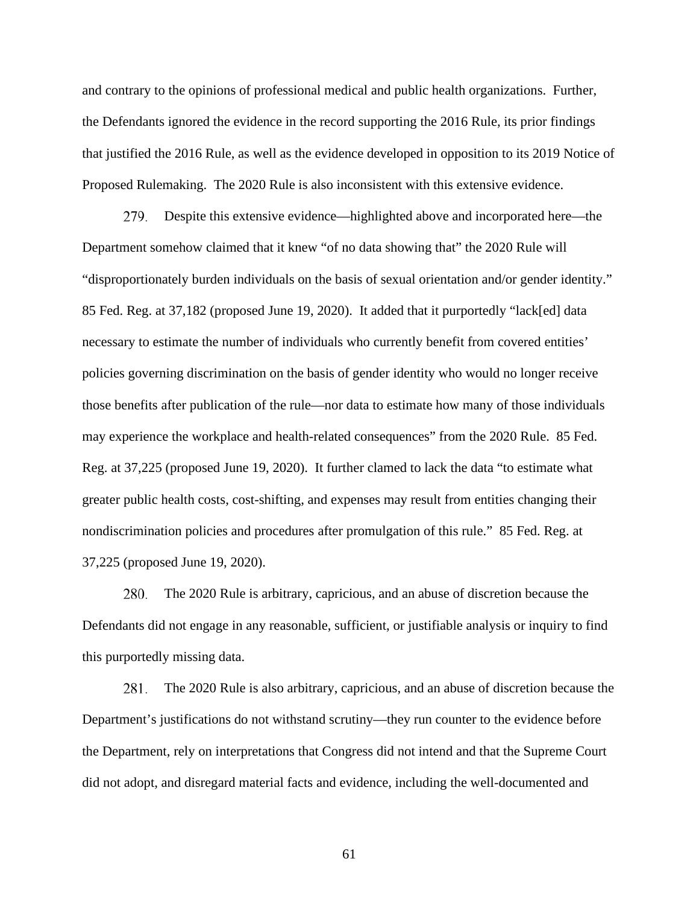and contrary to the opinions of professional medical and public health organizations. Further, the Defendants ignored the evidence in the record supporting the 2016 Rule, its prior findings that justified the 2016 Rule, as well as the evidence developed in opposition to its 2019 Notice of Proposed Rulemaking. The 2020 Rule is also inconsistent with this extensive evidence.

Despite this extensive evidence—highlighted above and incorporated here—the Department somehow claimed that it knew "of no data showing that" the 2020 Rule will "disproportionately burden individuals on the basis of sexual orientation and/or gender identity." 85 Fed. Reg. at 37,182 (proposed June 19, 2020). It added that it purportedly "lack[ed] data necessary to estimate the number of individuals who currently benefit from covered entities' policies governing discrimination on the basis of gender identity who would no longer receive those benefits after publication of the rule—nor data to estimate how many of those individuals may experience the workplace and health-related consequences" from the 2020 Rule. 85 Fed. Reg. at 37,225 (proposed June 19, 2020). It further clamed to lack the data "to estimate what greater public health costs, cost-shifting, and expenses may result from entities changing their nondiscrimination policies and procedures after promulgation of this rule." 85 Fed. Reg. at 37,225 (proposed June 19, 2020). 279.

The 2020 Rule is arbitrary, capricious, and an abuse of discretion because the Defendants did not engage in any reasonable, sufficient, or justifiable analysis or inquiry to find this purportedly missing data. 280.

The 2020 Rule is also arbitrary, capricious, and an abuse of discretion because the Department's justifications do not withstand scrutiny—they run counter to the evidence before the Department, rely on interpretations that Congress did not intend and that the Supreme Court did not adopt, and disregard material facts and evidence, including the well-documented and 28 I.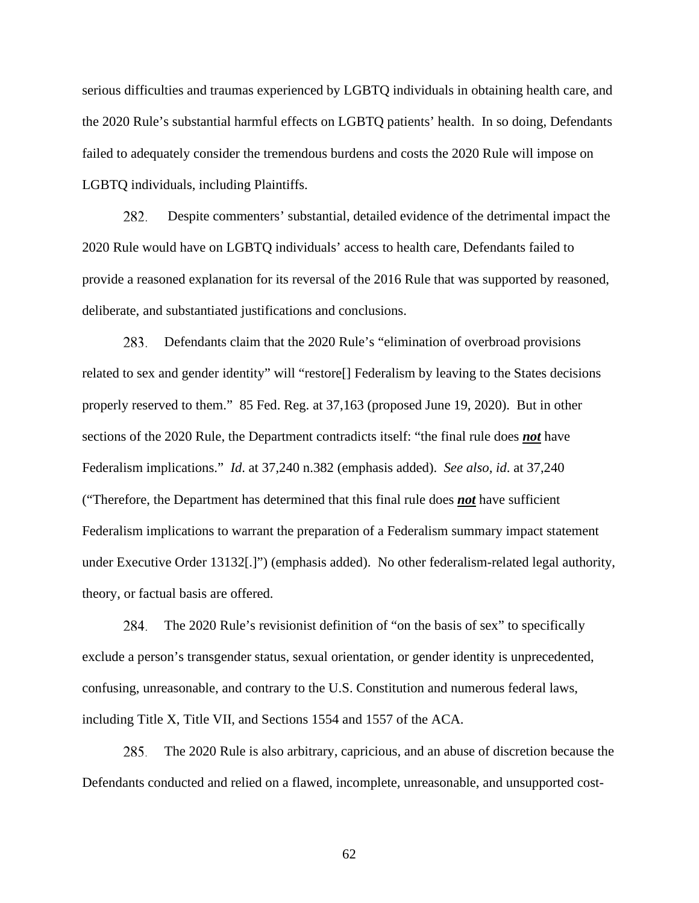serious difficulties and traumas experienced by LGBTQ individuals in obtaining health care, and the 2020 Rule's substantial harmful effects on LGBTQ patients' health. In so doing, Defendants failed to adequately consider the tremendous burdens and costs the 2020 Rule will impose on LGBTQ individuals, including Plaintiffs.

Despite commenters' substantial, detailed evidence of the detrimental impact the 2020 Rule would have on LGBTQ individuals' access to health care, Defendants failed to provide a reasoned explanation for its reversal of the 2016 Rule that was supported by reasoned, deliberate, and substantiated justifications and conclusions. 282.

Defendants claim that the 2020 Rule's "elimination of overbroad provisions related to sex and gender identity" will "restore[] Federalism by leaving to the States decisions properly reserved to them." 85 Fed. Reg. at 37,163 (proposed June 19, 2020). But in other sections of the 2020 Rule, the Department contradicts itself: "the final rule does *not* have Federalism implications." *Id*. at 37,240 n.382 (emphasis added). *See also, id*. at 37,240 ("Therefore, the Department has determined that this final rule does *not* have sufficient Federalism implications to warrant the preparation of a Federalism summary impact statement under Executive Order 13132[.]") (emphasis added). No other federalism-related legal authority, theory, or factual basis are offered. 283.

The 2020 Rule's revisionist definition of "on the basis of sex" to specifically exclude a person's transgender status, sexual orientation, or gender identity is unprecedented, confusing, unreasonable, and contrary to the U.S. Constitution and numerous federal laws, including Title X, Title VII, and Sections 1554 and 1557 of the ACA. 284.

The 2020 Rule is also arbitrary, capricious, and an abuse of discretion because the Defendants conducted and relied on a flawed, incomplete, unreasonable, and unsupported cost-285.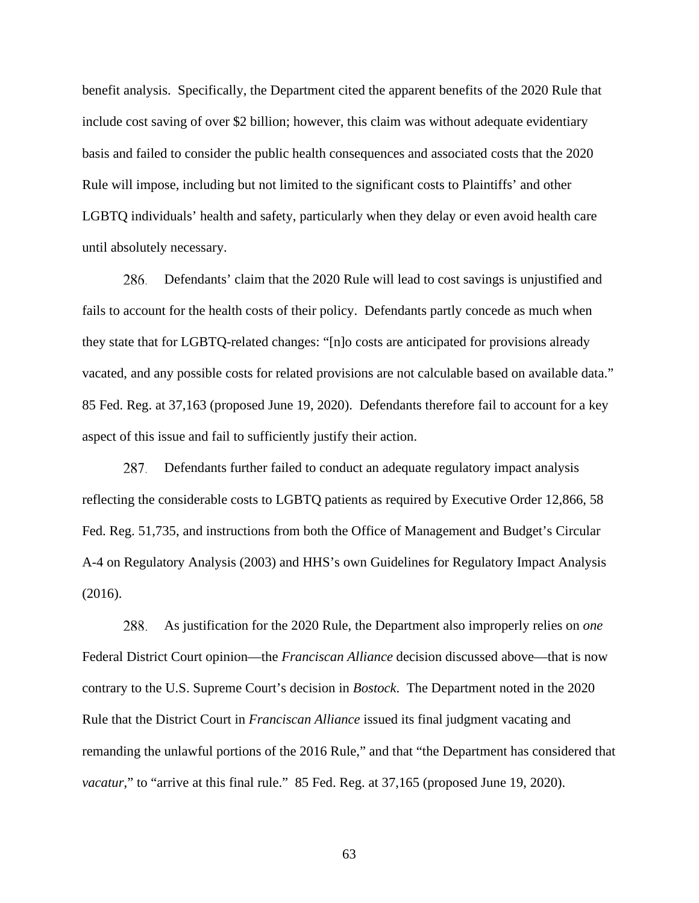benefit analysis. Specifically, the Department cited the apparent benefits of the 2020 Rule that include cost saving of over \$2 billion; however, this claim was without adequate evidentiary basis and failed to consider the public health consequences and associated costs that the 2020 Rule will impose, including but not limited to the significant costs to Plaintiffs' and other LGBTQ individuals' health and safety, particularly when they delay or even avoid health care until absolutely necessary.

Defendants' claim that the 2020 Rule will lead to cost savings is unjustified and fails to account for the health costs of their policy. Defendants partly concede as much when they state that for LGBTQ-related changes: "[n]o costs are anticipated for provisions already vacated, and any possible costs for related provisions are not calculable based on available data." 85 Fed. Reg. at 37,163 (proposed June 19, 2020). Defendants therefore fail to account for a key aspect of this issue and fail to sufficiently justify their action. 286.

Defendants further failed to conduct an adequate regulatory impact analysis reflecting the considerable costs to LGBTQ patients as required by Executive Order 12,866, 58 Fed. Reg. 51,735, and instructions from both the Office of Management and Budget's Circular A-4 on Regulatory Analysis (2003) and HHS's own Guidelines for Regulatory Impact Analysis (2016). 287.

As justification for the 2020 Rule, the Department also improperly relies on *one*  Federal District Court opinion—the *Franciscan Alliance* decision discussed above—that is now contrary to the U.S. Supreme Court's decision in *Bostock*. The Department noted in the 2020 Rule that the District Court in *Franciscan Alliance* issued its final judgment vacating and remanding the unlawful portions of the 2016 Rule," and that "the Department has considered that *vacatur*," to "arrive at this final rule." 85 Fed. Reg. at 37,165 (proposed June 19, 2020). 288.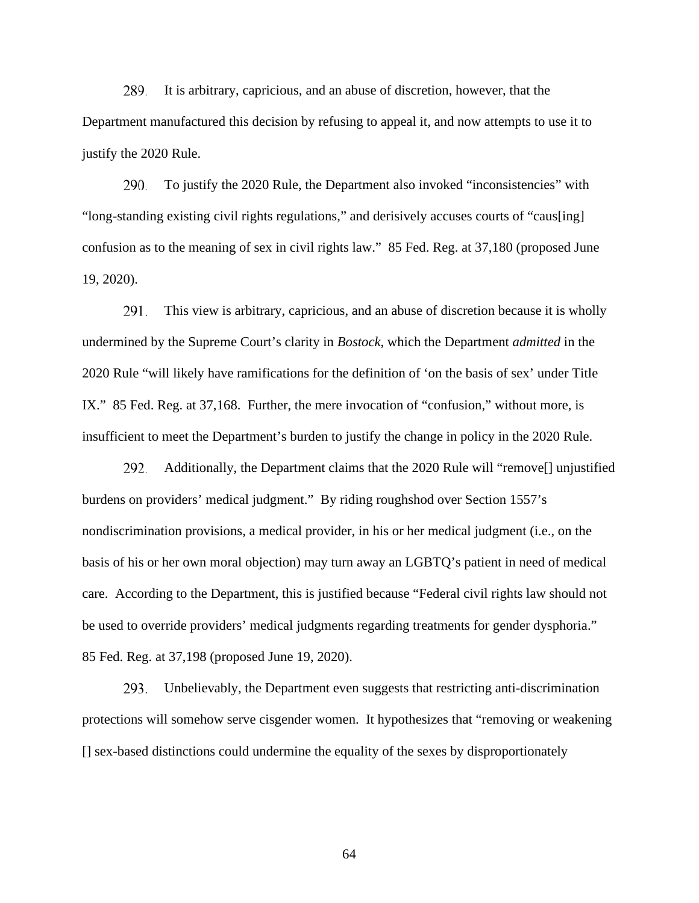It is arbitrary, capricious, and an abuse of discretion, however, that the Department manufactured this decision by refusing to appeal it, and now attempts to use it to justify the 2020 Rule. 289.

To justify the 2020 Rule, the Department also invoked "inconsistencies" with "long-standing existing civil rights regulations," and derisively accuses courts of "caus[ing] confusion as to the meaning of sex in civil rights law." 85 Fed. Reg. at 37,180 (proposed June 19, 2020). 290.

This view is arbitrary, capricious, and an abuse of discretion because it is wholly undermined by the Supreme Court's clarity in *Bostock*, which the Department *admitted* in the 2020 Rule "will likely have ramifications for the definition of 'on the basis of sex' under Title IX." 85 Fed. Reg. at 37,168. Further, the mere invocation of "confusion," without more, is insufficient to meet the Department's burden to justify the change in policy in the 2020 Rule. 291.

Additionally, the Department claims that the 2020 Rule will "remove[] unjustified burdens on providers' medical judgment." By riding roughshod over Section 1557's nondiscrimination provisions, a medical provider, in his or her medical judgment (i.e., on the basis of his or her own moral objection) may turn away an LGBTQ's patient in need of medical care. According to the Department, this is justified because "Federal civil rights law should not be used to override providers' medical judgments regarding treatments for gender dysphoria." 85 Fed. Reg. at 37,198 (proposed June 19, 2020). 292.

Unbelievably, the Department even suggests that restricting anti-discrimination protections will somehow serve cisgender women. It hypothesizes that "removing or weakening [] sex-based distinctions could undermine the equality of the sexes by disproportionately 293.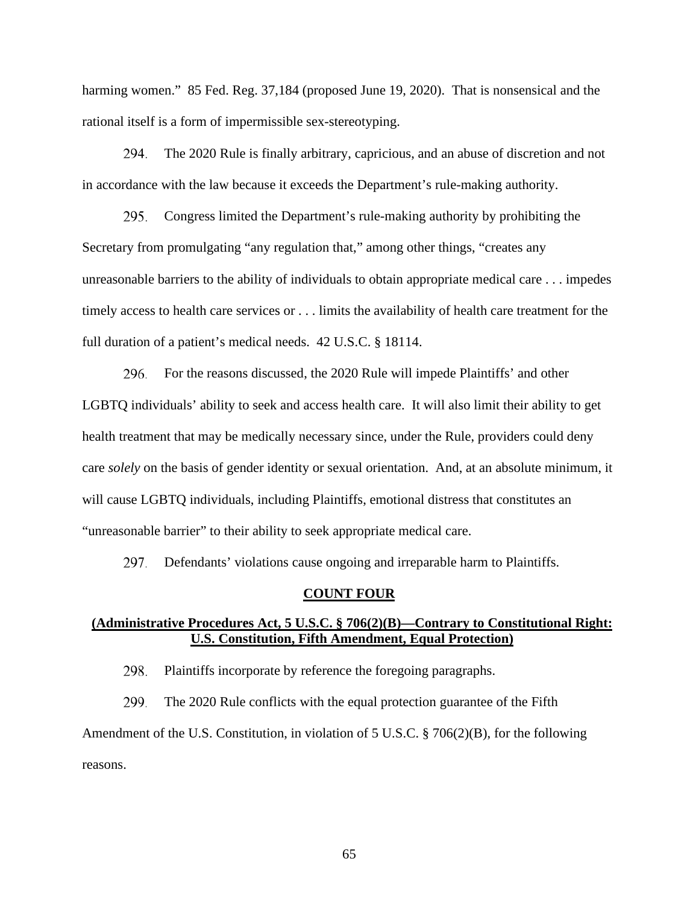harming women." 85 Fed. Reg. 37,184 (proposed June 19, 2020). That is nonsensical and the rational itself is a form of impermissible sex-stereotyping.

The 2020 Rule is finally arbitrary, capricious, and an abuse of discretion and not in accordance with the law because it exceeds the Department's rule-making authority. 294.

Congress limited the Department's rule-making authority by prohibiting the Secretary from promulgating "any regulation that," among other things, "creates any unreasonable barriers to the ability of individuals to obtain appropriate medical care . . . impedes timely access to health care services or . . . limits the availability of health care treatment for the full duration of a patient's medical needs. 42 U.S.C. § 18114. 295 .

For the reasons discussed, the 2020 Rule will impede Plaintiffs' and other LGBTQ individuals' ability to seek and access health care. It will also limit their ability to get health treatment that may be medically necessary since, under the Rule, providers could deny care *solely* on the basis of gender identity or sexual orientation. And, at an absolute minimum, it will cause LGBTQ individuals, including Plaintiffs, emotional distress that constitutes an "unreasonable barrier" to their ability to seek appropriate medical care. 296.

Defendants' violations cause ongoing and irreparable harm to Plaintiffs. 297.

#### **COUNT FOUR**

# **(Administrative Procedures Act, 5 U.S.C. § 706(2)(B)—Contrary to Constitutional Right: U.S. Constitution, Fifth Amendment, Equal Protection)**

Plaintiffs incorporate by reference the foregoing paragraphs. 298.

The 2020 Rule conflicts with the equal protection guarantee of the Fifth Amendment of the U.S. Constitution, in violation of 5 U.S.C. § 706(2)(B), for the following reasons. 299.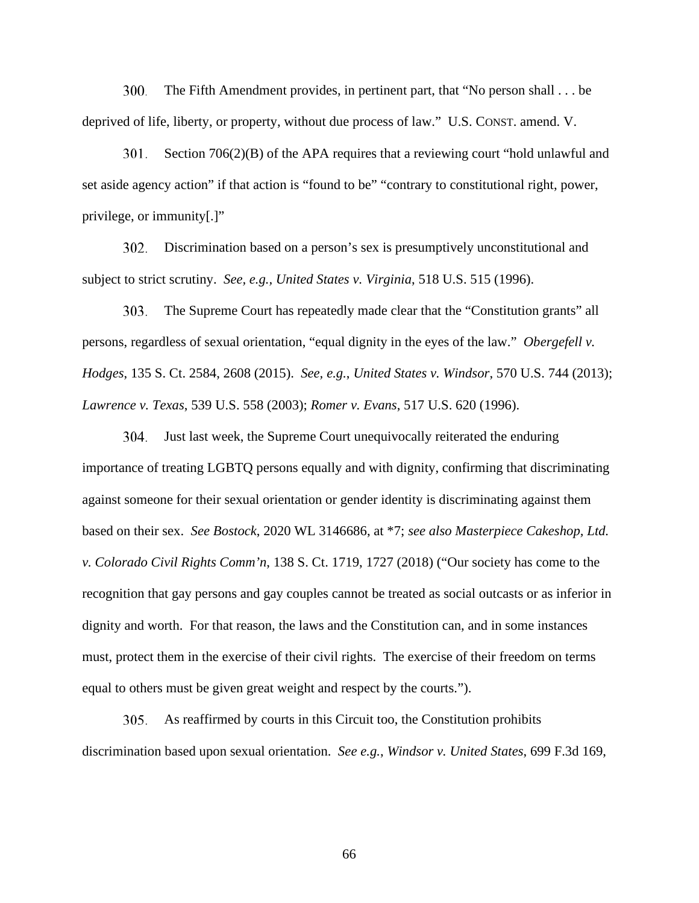The Fifth Amendment provides, in pertinent part, that "No person shall . . . be deprived of life, liberty, or property, without due process of law." U.S. CONST. amend. V. 300.

Section 706(2)(B) of the APA requires that a reviewing court "hold unlawful and set aside agency action" if that action is "found to be" "contrary to constitutional right, power, privilege, or immunity[.]" 301.

Discrimination based on a person's sex is presumptively unconstitutional and subject to strict scrutiny. *See, e.g., United States v. Virginia*, 518 U.S. 515 (1996). 302.

The Supreme Court has repeatedly made clear that the "Constitution grants" all persons, regardless of sexual orientation, "equal dignity in the eyes of the law." *Obergefell v. Hodges*, 135 S. Ct. 2584, 2608 (2015). *See, e.g.*, *United States v. Windsor*, 570 U.S. 744 (2013); *Lawrence v. Texas*, 539 U.S. 558 (2003); *Romer v. Evans*, 517 U.S. 620 (1996). 303.

Just last week, the Supreme Court unequivocally reiterated the enduring importance of treating LGBTQ persons equally and with dignity, confirming that discriminating against someone for their sexual orientation or gender identity is discriminating against them based on their sex. *See Bostock*, 2020 WL 3146686, at \*7; *see also Masterpiece Cakeshop, Ltd. v. Colorado Civil Rights Comm'n*, 138 S. Ct. 1719, 1727 (2018) ("Our society has come to the recognition that gay persons and gay couples cannot be treated as social outcasts or as inferior in dignity and worth. For that reason, the laws and the Constitution can, and in some instances must, protect them in the exercise of their civil rights. The exercise of their freedom on terms equal to others must be given great weight and respect by the courts."). 304.

As reaffirmed by courts in this Circuit too, the Constitution prohibits discrimination based upon sexual orientation. *See e.g.*, *Windsor v. United States*, 699 F.3d 169, 305.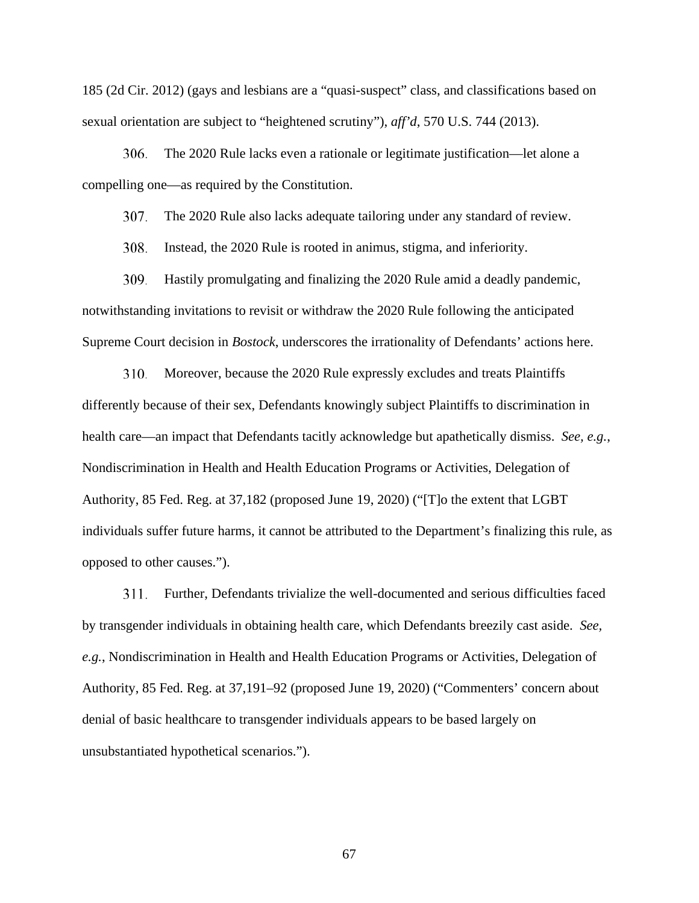185 (2d Cir. 2012) (gays and lesbians are a "quasi-suspect" class, and classifications based on sexual orientation are subject to "heightened scrutiny"), *aff'd*, 570 U.S. 744 (2013).

The 2020 Rule lacks even a rationale or legitimate justification—let alone a compelling one—as required by the Constitution. 306.

The 2020 Rule also lacks adequate tailoring under any standard of review. 307.

Instead, the 2020 Rule is rooted in animus, stigma, and inferiority. 308.

Hastily promulgating and finalizing the 2020 Rule amid a deadly pandemic, notwithstanding invitations to revisit or withdraw the 2020 Rule following the anticipated Supreme Court decision in *Bostock*, underscores the irrationality of Defendants' actions here. 309.

Moreover, because the 2020 Rule expressly excludes and treats Plaintiffs differently because of their sex, Defendants knowingly subject Plaintiffs to discrimination in health care—an impact that Defendants tacitly acknowledge but apathetically dismiss. *See, e.g.*, Nondiscrimination in Health and Health Education Programs or Activities, Delegation of Authority, 85 Fed. Reg. at 37,182 (proposed June 19, 2020) ("[T]o the extent that LGBT individuals suffer future harms, it cannot be attributed to the Department's finalizing this rule, as opposed to other causes."). 310.

Further, Defendants trivialize the well-documented and serious difficulties faced by transgender individuals in obtaining health care, which Defendants breezily cast aside. *See, e.g.*, Nondiscrimination in Health and Health Education Programs or Activities, Delegation of Authority, 85 Fed. Reg. at 37,191–92 (proposed June 19, 2020) ("Commenters' concern about denial of basic healthcare to transgender individuals appears to be based largely on unsubstantiated hypothetical scenarios."). 311.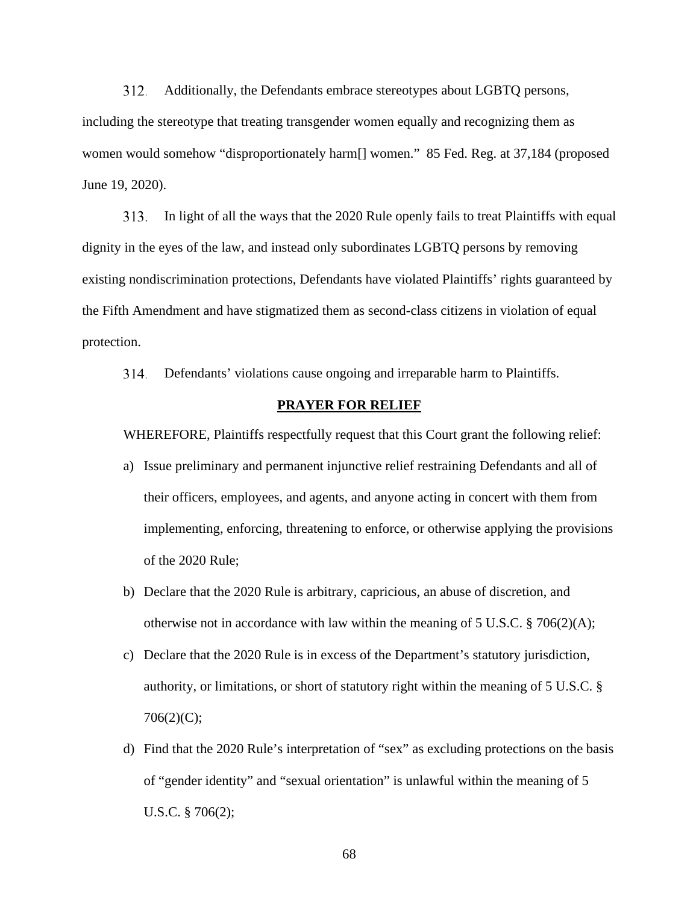Additionally, the Defendants embrace stereotypes about LGBTQ persons, including the stereotype that treating transgender women equally and recognizing them as women would somehow "disproportionately harm[] women." 85 Fed. Reg. at 37,184 (proposed June 19, 2020). 312.

In light of all the ways that the 2020 Rule openly fails to treat Plaintiffs with equal dignity in the eyes of the law, and instead only subordinates LGBTQ persons by removing existing nondiscrimination protections, Defendants have violated Plaintiffs' rights guaranteed by the Fifth Amendment and have stigmatized them as second-class citizens in violation of equal protection. 313 .

Defendants' violations cause ongoing and irreparable harm to Plaintiffs. 314.

#### **PRAYER FOR RELIEF**

WHEREFORE, Plaintiffs respectfully request that this Court grant the following relief:

- a) Issue preliminary and permanent injunctive relief restraining Defendants and all of their officers, employees, and agents, and anyone acting in concert with them from implementing, enforcing, threatening to enforce, or otherwise applying the provisions of the 2020 Rule;
- b) Declare that the 2020 Rule is arbitrary, capricious, an abuse of discretion, and otherwise not in accordance with law within the meaning of  $5 \text{ U.S.C.} \$   $706(2)(\text{A})$ ;
- c) Declare that the 2020 Rule is in excess of the Department's statutory jurisdiction, authority, or limitations, or short of statutory right within the meaning of 5 U.S.C. § 706(2)(C);
- d) Find that the 2020 Rule's interpretation of "sex" as excluding protections on the basis of "gender identity" and "sexual orientation" is unlawful within the meaning of 5 U.S.C. § 706(2);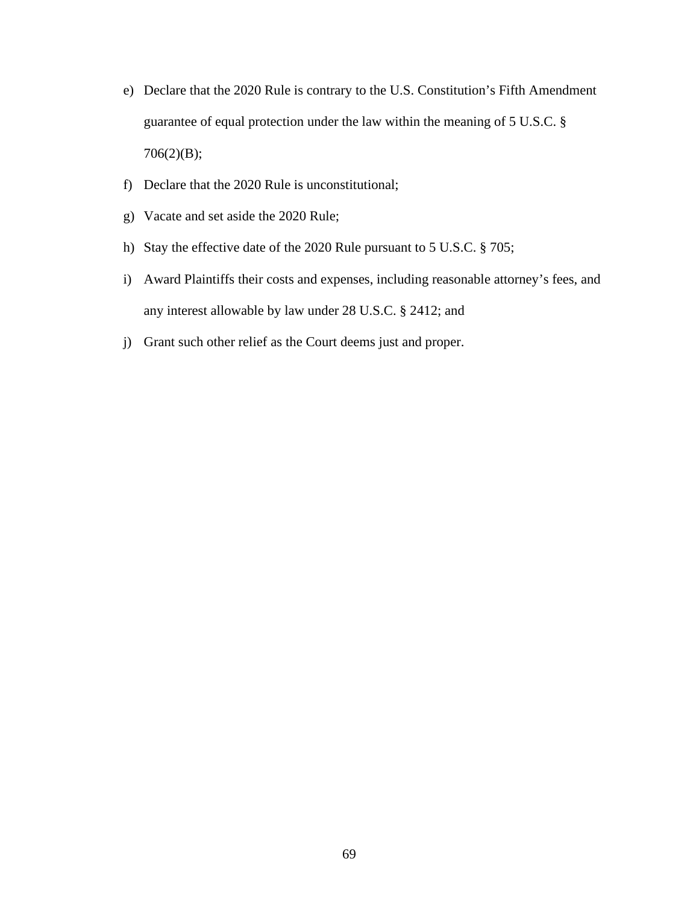- e) Declare that the 2020 Rule is contrary to the U.S. Constitution's Fifth Amendment guarantee of equal protection under the law within the meaning of 5 U.S.C. § 706(2)(B);
- f) Declare that the 2020 Rule is unconstitutional;
- g) Vacate and set aside the 2020 Rule;
- h) Stay the effective date of the 2020 Rule pursuant to 5 U.S.C. § 705;
- i) Award Plaintiffs their costs and expenses, including reasonable attorney's fees, and any interest allowable by law under 28 U.S.C. § 2412; and
- j) Grant such other relief as the Court deems just and proper.